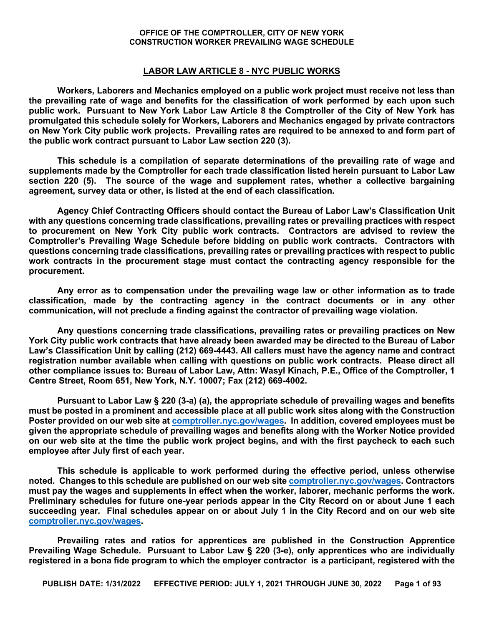#### **LABOR LAW ARTICLE 8 - NYC PUBLIC WORKS**

**Workers, Laborers and Mechanics employed on a public work project must receive not less than the prevailing rate of wage and benefits for the classification of work performed by each upon such public work. Pursuant to New York Labor Law Article 8 the Comptroller of the City of New York has promulgated this schedule solely for Workers, Laborers and Mechanics engaged by private contractors on New York City public work projects. Prevailing rates are required to be annexed to and form part of the public work contract pursuant to Labor Law section 220 (3).** 

**This schedule is a compilation of separate determinations of the prevailing rate of wage and supplements made by the Comptroller for each trade classification listed herein pursuant to Labor Law section 220 (5). The source of the wage and supplement rates, whether a collective bargaining agreement, survey data or other, is listed at the end of each classification.** 

**Agency Chief Contracting Officers should contact the Bureau of Labor Law's Classification Unit with any questions concerning trade classifications, prevailing rates or prevailing practices with respect to procurement on New York City public work contracts. Contractors are advised to review the Comptroller's Prevailing Wage Schedule before bidding on public work contracts. Contractors with questions concerning trade classifications, prevailing rates or prevailing practices with respect to public work contracts in the procurement stage must contact the contracting agency responsible for the procurement.** 

**Any error as to compensation under the prevailing wage law or other information as to trade classification, made by the contracting agency in the contract documents or in any other communication, will not preclude a finding against the contractor of prevailing wage violation.**

**Any questions concerning trade classifications, prevailing rates or prevailing practices on New York City public work contracts that have already been awarded may be directed to the Bureau of Labor Law's Classification Unit by calling (212) 669-4443. All callers must have the agency name and contract registration number available when calling with questions on public work contracts. Please direct all other compliance issues to: Bureau of Labor Law, Attn: Wasyl Kinach, P.E., Office of the Comptroller, 1 Centre Street, Room 651, New York, N.Y. 10007; Fax (212) 669-4002.**

**Pursuant to Labor Law § 220 (3-a) (a), the appropriate schedule of prevailing wages and benefits must be posted in a prominent and accessible place at all public work sites along with the Construction Poster provided on our web site at [comptroller.nyc.gov/wages.](http://comptroller.nyc.gov/wages) In addition, covered employees must be given the appropriate schedule of prevailing wages and benefits along with the Worker Notice provided on our web site at the time the public work project begins, and with the first paycheck to each such employee after July first of each year.**

**This schedule is applicable to work performed during the effective period, unless otherwise noted. Changes to this schedule are published on our web sit[e comptroller.nyc.gov/wages.](http://comptroller.nyc.gov/wages) Contractors must pay the wages and supplements in effect when the worker, laborer, mechanic performs the work. Preliminary schedules for future one-year periods appear in the City Record on or about June 1 each succeeding year. Final schedules appear on or about July 1 in the City Record and on our web site [comptroller.nyc.gov/wages.](http://comptroller.nyc.gov/wages)**

**Prevailing rates and ratios for apprentices are published in the Construction Apprentice Prevailing Wage Schedule. Pursuant to Labor Law § 220 (3-e), only apprentices who are individually registered in a bona fide program to which the employer contractor is a participant, registered with the**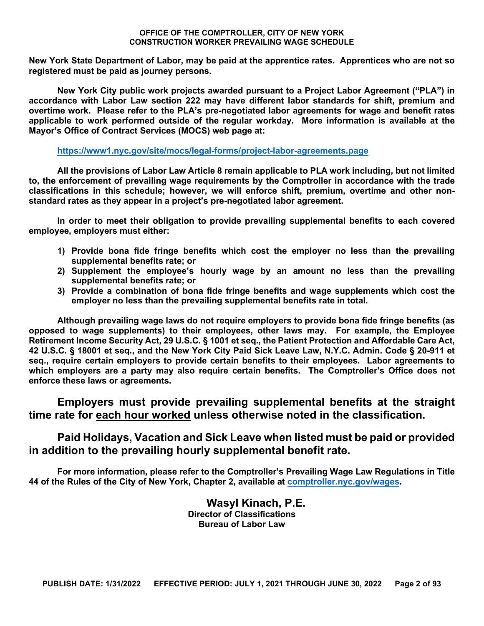**New York State Department of Labor, may be paid at the apprentice rates. Apprentices who are not so registered must be paid as journey persons.** 

**New York City public work projects awarded pursuant to a Project Labor Agreement ("PLA") in accordance with Labor Law section 222 may have different labor standards for shift, premium and overtime work. Please refer to the PLA's pre-negotiated labor agreements for wage and benefit rates applicable to work performed outside of the regular workday. More information is available at the Mayor's Office of Contract Services (MOCS) web page at:**

#### **<https://www1.nyc.gov/site/mocs/legal-forms/project-labor-agreements.page>**

**All the provisions of Labor Law Article 8 remain applicable to PLA work including, but not limited to, the enforcement of prevailing wage requirements by the Comptroller in accordance with the trade classifications in this schedule; however, we will enforce shift, premium, overtime and other nonstandard rates as they appear in a project's pre-negotiated labor agreement.**

**In order to meet their obligation to provide prevailing supplemental benefits to each covered employee, employers must either:**

- **1) Provide bona fide fringe benefits which cost the employer no less than the prevailing supplemental benefits rate; or**
- **2) Supplement the employee's hourly wage by an amount no less than the prevailing supplemental benefits rate; or**
- **3) Provide a combination of bona fide fringe benefits and wage supplements which cost the employer no less than the prevailing supplemental benefits rate in total.**

**Although prevailing wage laws do not require employers to provide bona fide fringe benefits (as opposed to wage supplements) to their employees, other laws may. For example, the Employee Retirement Income Security Act, 29 U.S.C. § 1001 et seq., the Patient Protection and Affordable Care Act, 42 U.S.C. § 18001 et seq., and the New York City Paid Sick Leave Law, N.Y.C. Admin. Code § 20-911 et seq., require certain employers to provide certain benefits to their employees. Labor agreements to which employers are a party may also require certain benefits. The Comptroller's Office does not enforce these laws or agreements.**

**Employers must provide prevailing supplemental benefits at the straight time rate for each hour worked unless otherwise noted in the classification.**

#### **Paid Holidays, Vacation and Sick Leave when listed must be paid or provided in addition to the prevailing hourly supplemental benefit rate.**

**For more information, please refer to the Comptroller's Prevailing Wage Law Regulations in Title 44 of the Rules of the City of New York, Chapter 2, available at [comptroller.nyc.gov/wages.](http://comptroller.nyc.gov/wages)**

> **Wasyl Kinach, P.E. Director of Classifications Bureau of Labor Law**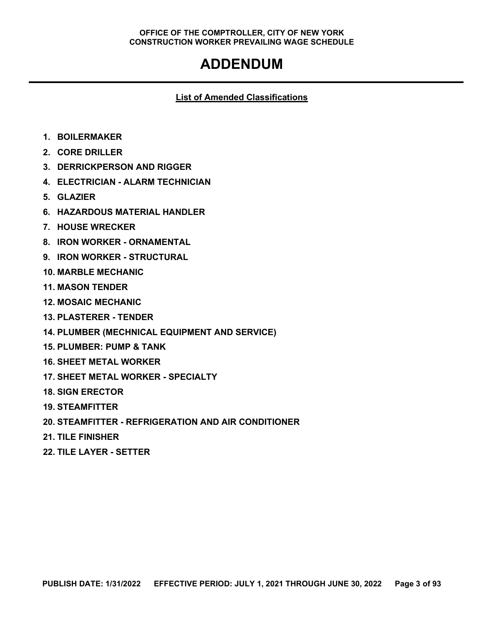## **ADDENDUM**

#### **List of Amended Classifications**

- **1. BOILERMAKER**
- **2. CORE DRILLER**
- **3. DERRICKPERSON AND RIGGER**
- **4. ELECTRICIAN - ALARM TECHNICIAN**
- **5. GLAZIER**
- **6. HAZARDOUS MATERIAL HANDLER**
- **7. HOUSE WRECKER**
- **8. IRON WORKER - ORNAMENTAL**
- **9. IRON WORKER - STRUCTURAL**
- **10. MARBLE MECHANIC**
- **11. MASON TENDER**
- **12. MOSAIC MECHANIC**
- **13. PLASTERER - TENDER**
- **14. PLUMBER (MECHNICAL EQUIPMENT AND SERVICE)**
- **15. PLUMBER: PUMP & TANK**
- **16. SHEET METAL WORKER**
- **17. SHEET METAL WORKER - SPECIALTY**
- **18. SIGN ERECTOR**
- **19. STEAMFITTER**
- **20. STEAMFITTER - REFRIGERATION AND AIR CONDITIONER**
- **21. TILE FINISHER**
- **22. TILE LAYER - SETTER**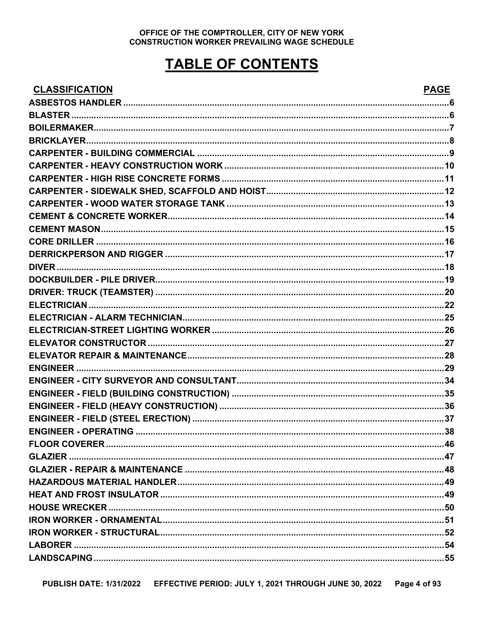## **TABLE OF CONTENTS**

### CLASSIFICATION

### **PAGE**

| <u>ULAJJIFIUATIUN</u> | ГАУЕ |
|-----------------------|------|
|                       |      |
|                       |      |
|                       |      |
|                       |      |
|                       |      |
|                       |      |
|                       |      |
|                       |      |
|                       |      |
|                       |      |
|                       |      |
|                       |      |
|                       |      |
|                       |      |
|                       |      |
|                       |      |
|                       |      |
|                       |      |
|                       |      |
|                       |      |
|                       |      |
|                       |      |
|                       |      |
|                       |      |
|                       |      |
|                       |      |
|                       |      |
| <b>FI OOR COVERER</b> |      |
|                       |      |
|                       |      |
|                       |      |
|                       |      |
|                       |      |
|                       |      |
|                       |      |
|                       |      |
|                       |      |
|                       |      |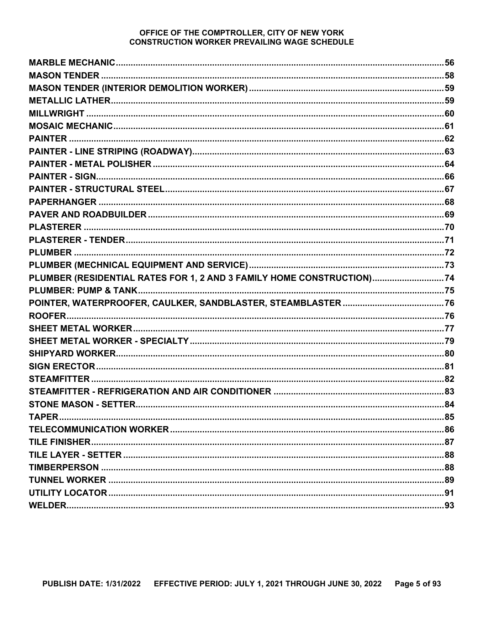| PLUMBER (RESIDENTIAL RATES FOR 1, 2 AND 3 FAMILY HOME CONSTRUCTION)74 |  |
|-----------------------------------------------------------------------|--|
|                                                                       |  |
|                                                                       |  |
|                                                                       |  |
|                                                                       |  |
|                                                                       |  |
|                                                                       |  |
|                                                                       |  |
|                                                                       |  |
|                                                                       |  |
|                                                                       |  |
|                                                                       |  |
|                                                                       |  |
|                                                                       |  |
|                                                                       |  |
|                                                                       |  |
|                                                                       |  |
|                                                                       |  |
|                                                                       |  |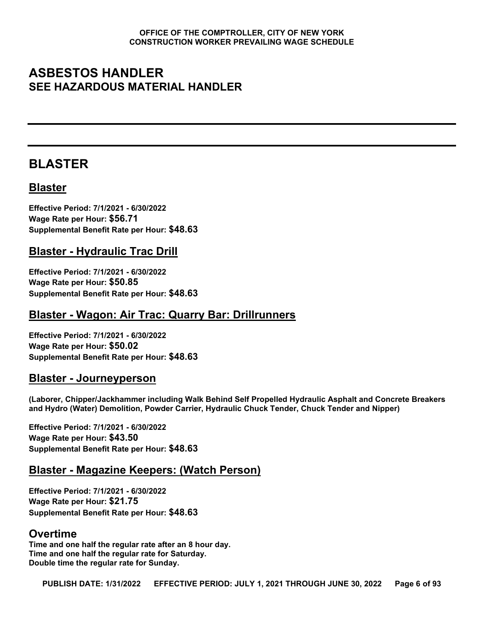## <span id="page-5-0"></span>**ASBESTOS HANDLER SEE HAZARDOUS MATERIAL HANDLER**

## <span id="page-5-1"></span>**BLASTER**

### **Blaster**

**Effective Period: 7/1/2021 - 6/30/2022 Wage Rate per Hour: \$56.71 Supplemental Benefit Rate per Hour: \$48.63**

#### **Blaster - Hydraulic Trac Drill**

**Effective Period: 7/1/2021 - 6/30/2022 Wage Rate per Hour: \$50.85 Supplemental Benefit Rate per Hour: \$48.63**

#### **Blaster - Wagon: Air Trac: Quarry Bar: Drillrunners**

**Effective Period: 7/1/2021 - 6/30/2022 Wage Rate per Hour: \$50.02 Supplemental Benefit Rate per Hour: \$48.63**

#### **Blaster - Journeyperson**

**(Laborer, Chipper/Jackhammer including Walk Behind Self Propelled Hydraulic Asphalt and Concrete Breakers and Hydro (Water) Demolition, Powder Carrier, Hydraulic Chuck Tender, Chuck Tender and Nipper)**

**Effective Period: 7/1/2021 - 6/30/2022 Wage Rate per Hour: \$43.50 Supplemental Benefit Rate per Hour: \$48.63**

#### **Blaster - Magazine Keepers: (Watch Person)**

**Effective Period: 7/1/2021 - 6/30/2022 Wage Rate per Hour: \$21.75 Supplemental Benefit Rate per Hour: \$48.63**

#### **Overtime**

**Time and one half the regular rate after an 8 hour day. Time and one half the regular rate for Saturday. Double time the regular rate for Sunday.**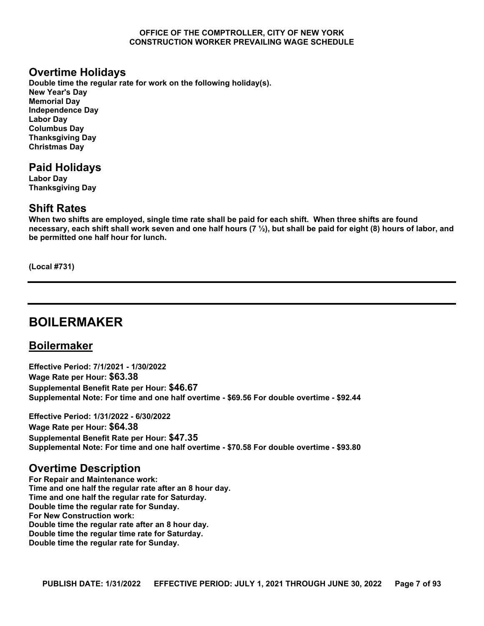#### **Overtime Holidays**

**Double time the regular rate for work on the following holiday(s). New Year's Day Memorial Day Independence Day Labor Day Columbus Day Thanksgiving Day Christmas Day**

#### **Paid Holidays**

**Labor Day Thanksgiving Day**

#### **Shift Rates**

**When two shifts are employed, single time rate shall be paid for each shift. When three shifts are found necessary, each shift shall work seven and one half hours (7 ½), but shall be paid for eight (8) hours of labor, and be permitted one half hour for lunch.**

**(Local #731)**

## <span id="page-6-0"></span>**BOILERMAKER**

#### **Boilermaker**

**Effective Period: 7/1/2021 - 1/30/2022 Wage Rate per Hour: \$63.38 Supplemental Benefit Rate per Hour: \$46.67 Supplemental Note: For time and one half overtime - \$69.56 For double overtime - \$92.44**

**Effective Period: 1/31/2022 - 6/30/2022 Wage Rate per Hour: \$64.38 Supplemental Benefit Rate per Hour: \$47.35 Supplemental Note: For time and one half overtime - \$70.58 For double overtime - \$93.80**

#### **Overtime Description**

**For Repair and Maintenance work: Time and one half the regular rate after an 8 hour day. Time and one half the regular rate for Saturday. Double time the regular rate for Sunday. For New Construction work: Double time the regular rate after an 8 hour day. Double time the regular time rate for Saturday. Double time the regular rate for Sunday.**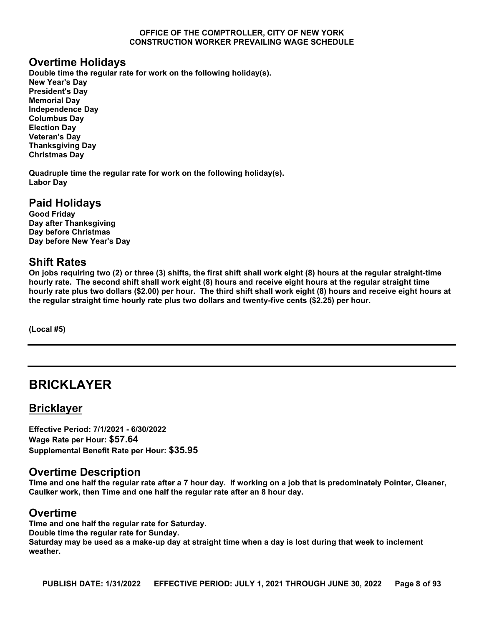#### **Overtime Holidays**

**Double time the regular rate for work on the following holiday(s). New Year's Day President's Day Memorial Day Independence Day Columbus Day Election Day Veteran's Day Thanksgiving Day Christmas Day**

**Quadruple time the regular rate for work on the following holiday(s). Labor Day**

### **Paid Holidays**

**Good Friday Day after Thanksgiving Day before Christmas Day before New Year's Day**

#### **Shift Rates**

**On jobs requiring two (2) or three (3) shifts, the first shift shall work eight (8) hours at the regular straight-time hourly rate. The second shift shall work eight (8) hours and receive eight hours at the regular straight time hourly rate plus two dollars (\$2.00) per hour. The third shift shall work eight (8) hours and receive eight hours at the regular straight time hourly rate plus two dollars and twenty-five cents (\$2.25) per hour.**

**(Local #5)**

## <span id="page-7-0"></span>**BRICKLAYER**

#### **Bricklayer**

**Effective Period: 7/1/2021 - 6/30/2022 Wage Rate per Hour: \$57.64 Supplemental Benefit Rate per Hour: \$35.95**

#### **Overtime Description**

**Time and one half the regular rate after a 7 hour day. If working on a job that is predominately Pointer, Cleaner, Caulker work, then Time and one half the regular rate after an 8 hour day.**

#### **Overtime**

**Time and one half the regular rate for Saturday. Double time the regular rate for Sunday. Saturday may be used as a make-up day at straight time when a day is lost during that week to inclement weather.**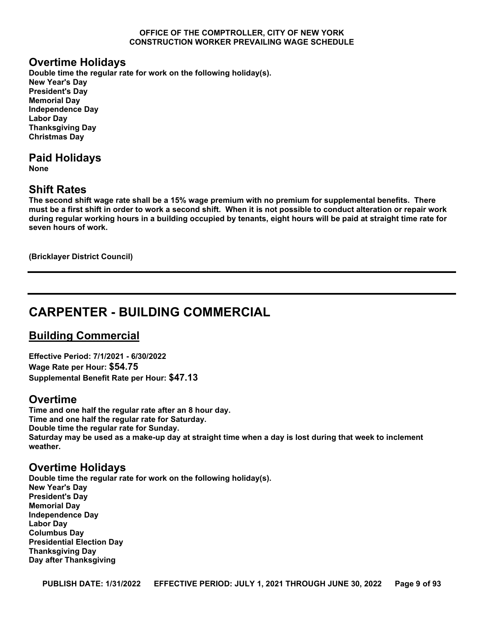#### **Overtime Holidays**

**Double time the regular rate for work on the following holiday(s). New Year's Day President's Day Memorial Day Independence Day Labor Day Thanksgiving Day Christmas Day**

#### **Paid Holidays**

**None**

#### **Shift Rates**

**The second shift wage rate shall be a 15% wage premium with no premium for supplemental benefits. There must be a first shift in order to work a second shift. When it is not possible to conduct alteration or repair work during regular working hours in a building occupied by tenants, eight hours will be paid at straight time rate for seven hours of work.**

**(Bricklayer District Council)**

## <span id="page-8-0"></span>**CARPENTER - BUILDING COMMERCIAL**

#### **Building Commercial**

**Effective Period: 7/1/2021 - 6/30/2022 Wage Rate per Hour: \$54.75 Supplemental Benefit Rate per Hour: \$47.13**

#### **Overtime**

**Time and one half the regular rate after an 8 hour day. Time and one half the regular rate for Saturday. Double time the regular rate for Sunday. Saturday may be used as a make-up day at straight time when a day is lost during that week to inclement weather.**

#### **Overtime Holidays**

**Double time the regular rate for work on the following holiday(s). New Year's Day President's Day Memorial Day Independence Day Labor Day Columbus Day Presidential Election Day Thanksgiving Day Day after Thanksgiving**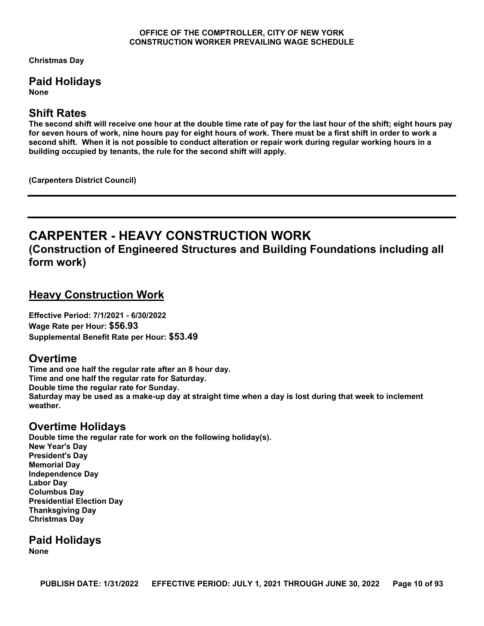**Christmas Day**

### **Paid Holidays**

**None**

#### **Shift Rates**

**The second shift will receive one hour at the double time rate of pay for the last hour of the shift; eight hours pay for seven hours of work, nine hours pay for eight hours of work. There must be a first shift in order to work a second shift. When it is not possible to conduct alteration or repair work during regular working hours in a building occupied by tenants, the rule for the second shift will apply.**

**(Carpenters District Council)**

## <span id="page-9-0"></span>**CARPENTER - HEAVY CONSTRUCTION WORK**

**(Construction of Engineered Structures and Building Foundations including all form work)**

#### **Heavy Construction Work**

**Effective Period: 7/1/2021 - 6/30/2022 Wage Rate per Hour: \$56.93 Supplemental Benefit Rate per Hour: \$53.49**

#### **Overtime**

**Time and one half the regular rate after an 8 hour day. Time and one half the regular rate for Saturday. Double time the regular rate for Sunday. Saturday may be used as a make-up day at straight time when a day is lost during that week to inclement weather.**

#### **Overtime Holidays**

**Double time the regular rate for work on the following holiday(s). New Year's Day President's Day Memorial Day Independence Day Labor Day Columbus Day Presidential Election Day Thanksgiving Day Christmas Day**

**Paid Holidays None**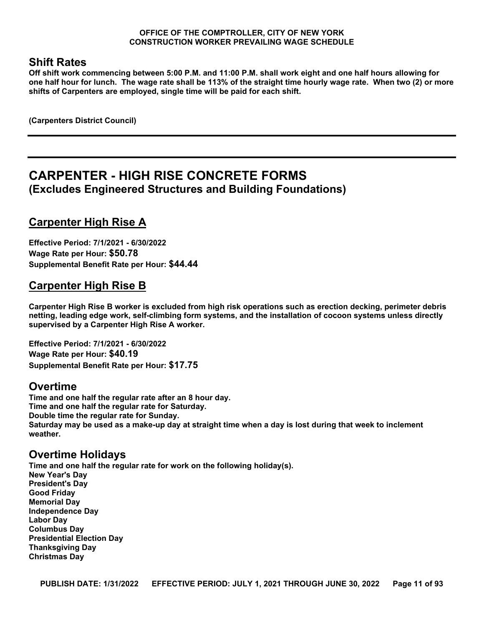#### **Shift Rates**

**Off shift work commencing between 5:00 P.M. and 11:00 P.M. shall work eight and one half hours allowing for one half hour for lunch. The wage rate shall be 113% of the straight time hourly wage rate. When two (2) or more shifts of Carpenters are employed, single time will be paid for each shift.**

**(Carpenters District Council)**

## <span id="page-10-0"></span>**CARPENTER - HIGH RISE CONCRETE FORMS (Excludes Engineered Structures and Building Foundations)**

### **Carpenter High Rise A**

**Effective Period: 7/1/2021 - 6/30/2022 Wage Rate per Hour: \$50.78 Supplemental Benefit Rate per Hour: \$44.44**

### **Carpenter High Rise B**

**Carpenter High Rise B worker is excluded from high risk operations such as erection decking, perimeter debris netting, leading edge work, self-climbing form systems, and the installation of cocoon systems unless directly supervised by a Carpenter High Rise A worker.**

**Effective Period: 7/1/2021 - 6/30/2022 Wage Rate per Hour: \$40.19 Supplemental Benefit Rate per Hour: \$17.75**

#### **Overtime**

**Time and one half the regular rate after an 8 hour day. Time and one half the regular rate for Saturday. Double time the regular rate for Sunday. Saturday may be used as a make-up day at straight time when a day is lost during that week to inclement weather.**

#### **Overtime Holidays**

**Time and one half the regular rate for work on the following holiday(s). New Year's Day President's Day Good Friday Memorial Day Independence Day Labor Day Columbus Day Presidential Election Day Thanksgiving Day Christmas Day**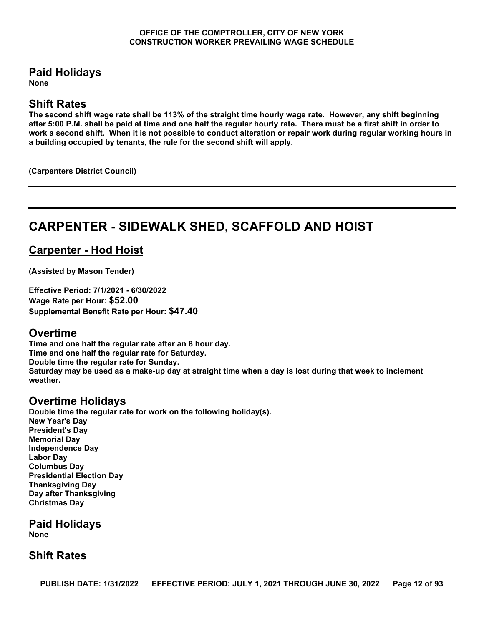#### **Paid Holidays**

**None**

#### **Shift Rates**

**The second shift wage rate shall be 113% of the straight time hourly wage rate. However, any shift beginning after 5:00 P.M. shall be paid at time and one half the regular hourly rate. There must be a first shift in order to work a second shift. When it is not possible to conduct alteration or repair work during regular working hours in a building occupied by tenants, the rule for the second shift will apply.**

**(Carpenters District Council)**

## <span id="page-11-0"></span>**CARPENTER - SIDEWALK SHED, SCAFFOLD AND HOIST**

## **Carpenter - Hod Hoist**

**(Assisted by Mason Tender)**

**Effective Period: 7/1/2021 - 6/30/2022 Wage Rate per Hour: \$52.00 Supplemental Benefit Rate per Hour: \$47.40**

#### **Overtime**

**Time and one half the regular rate after an 8 hour day. Time and one half the regular rate for Saturday. Double time the regular rate for Sunday. Saturday may be used as a make-up day at straight time when a day is lost during that week to inclement weather.**

### **Overtime Holidays**

**Double time the regular rate for work on the following holiday(s). New Year's Day President's Day Memorial Day Independence Day Labor Day Columbus Day Presidential Election Day Thanksgiving Day Day after Thanksgiving Christmas Day**

**Paid Holidays**

**None**

#### **Shift Rates**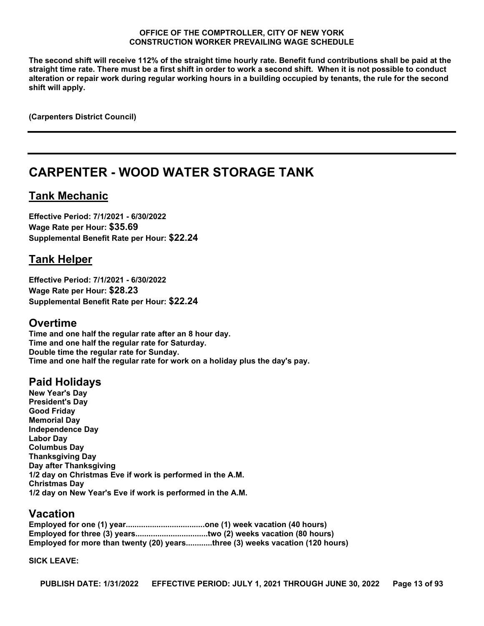**The second shift will receive 112% of the straight time hourly rate. Benefit fund contributions shall be paid at the straight time rate. There must be a first shift in order to work a second shift. When it is not possible to conduct alteration or repair work during regular working hours in a building occupied by tenants, the rule for the second shift will apply.**

**(Carpenters District Council)**

## <span id="page-12-0"></span>**CARPENTER - WOOD WATER STORAGE TANK**

#### **Tank Mechanic**

**Effective Period: 7/1/2021 - 6/30/2022 Wage Rate per Hour: \$35.69 Supplemental Benefit Rate per Hour: \$22.24**

#### **Tank Helper**

**Effective Period: 7/1/2021 - 6/30/2022 Wage Rate per Hour: \$28.23 Supplemental Benefit Rate per Hour: \$22.24**

#### **Overtime**

**Time and one half the regular rate after an 8 hour day. Time and one half the regular rate for Saturday. Double time the regular rate for Sunday. Time and one half the regular rate for work on a holiday plus the day's pay.**

### **Paid Holidays**

**New Year's Day President's Day Good Friday Memorial Day Independence Day Labor Day Columbus Day Thanksgiving Day Day after Thanksgiving 1/2 day on Christmas Eve if work is performed in the A.M. Christmas Day 1/2 day on New Year's Eve if work is performed in the A.M.**

#### **Vacation**

**Employed for one (1) year....................................one (1) week vacation (40 hours) Employed for three (3) years.................................two (2) weeks vacation (80 hours) Employed for more than twenty (20) years............three (3) weeks vacation (120 hours)**

#### **SICK LEAVE:**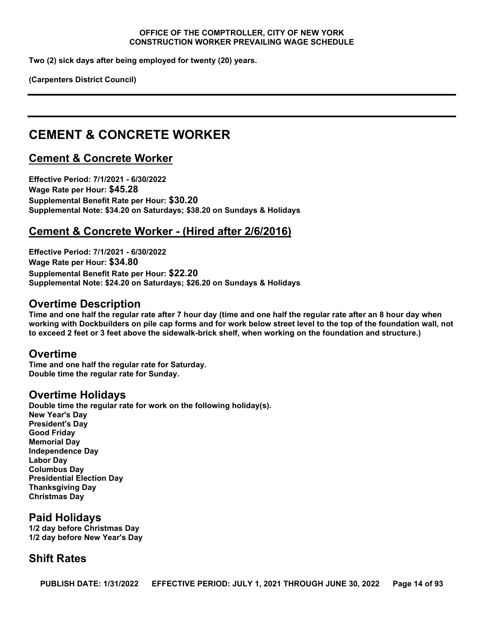**Two (2) sick days after being employed for twenty (20) years.**

**(Carpenters District Council)**

## <span id="page-13-0"></span>**CEMENT & CONCRETE WORKER**

#### **Cement & Concrete Worker**

**Effective Period: 7/1/2021 - 6/30/2022 Wage Rate per Hour: \$45.28 Supplemental Benefit Rate per Hour: \$30.20 Supplemental Note: \$34.20 on Saturdays; \$38.20 on Sundays & Holidays**

#### **Cement & Concrete Worker - (Hired after 2/6/2016)**

**Effective Period: 7/1/2021 - 6/30/2022 Wage Rate per Hour: \$34.80 Supplemental Benefit Rate per Hour: \$22.20 Supplemental Note: \$24.20 on Saturdays; \$26.20 on Sundays & Holidays**

#### **Overtime Description**

**Time and one half the regular rate after 7 hour day (time and one half the regular rate after an 8 hour day when working with Dockbuilders on pile cap forms and for work below street level to the top of the foundation wall, not to exceed 2 feet or 3 feet above the sidewalk-brick shelf, when working on the foundation and structure.)**

#### **Overtime**

**Time and one half the regular rate for Saturday. Double time the regular rate for Sunday.**

#### **Overtime Holidays**

**Double time the regular rate for work on the following holiday(s). New Year's Day President's Day Good Friday Memorial Day Independence Day Labor Day Columbus Day Presidential Election Day Thanksgiving Day Christmas Day**

#### **Paid Holidays**

**1/2 day before Christmas Day 1/2 day before New Year's Day**

#### **Shift Rates**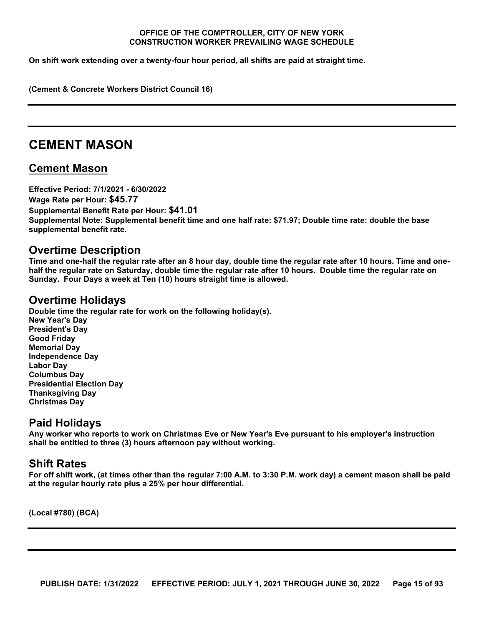**On shift work extending over a twenty-four hour period, all shifts are paid at straight time.**

**(Cement & Concrete Workers District Council 16)**

## <span id="page-14-0"></span>**CEMENT MASON**

#### **Cement Mason**

**Effective Period: 7/1/2021 - 6/30/2022 Wage Rate per Hour: \$45.77 Supplemental Benefit Rate per Hour: \$41.01 Supplemental Note: Supplemental benefit time and one half rate: \$71.97; Double time rate: double the base supplemental benefit rate.**

#### **Overtime Description**

**Time and one-half the regular rate after an 8 hour day, double time the regular rate after 10 hours. Time and onehalf the regular rate on Saturday, double time the regular rate after 10 hours. Double time the regular rate on Sunday. Four Days a week at Ten (10) hours straight time is allowed.**

#### **Overtime Holidays**

**Double time the regular rate for work on the following holiday(s). New Year's Day President's Day Good Friday Memorial Day Independence Day Labor Day Columbus Day Presidential Election Day Thanksgiving Day Christmas Day**

#### **Paid Holidays**

**Any worker who reports to work on Christmas Eve or New Year's Eve pursuant to his employer's instruction shall be entitled to three (3) hours afternoon pay without working.**

#### **Shift Rates**

**For off shift work, (at times other than the regular 7:00 A.M. to 3:30 P.M. work day) a cement mason shall be paid at the regular hourly rate plus a 25% per hour differential.**

**(Local #780) (BCA)**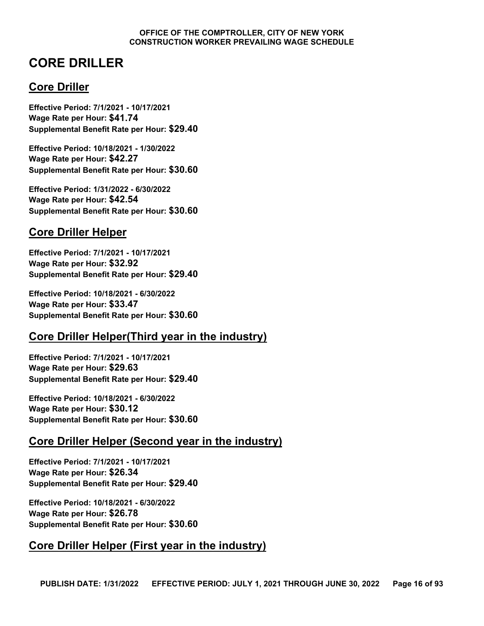## <span id="page-15-0"></span>**CORE DRILLER**

### **Core Driller**

**Effective Period: 7/1/2021 - 10/17/2021 Wage Rate per Hour: \$41.74 Supplemental Benefit Rate per Hour: \$29.40**

**Effective Period: 10/18/2021 - 1/30/2022 Wage Rate per Hour: \$42.27 Supplemental Benefit Rate per Hour: \$30.60**

**Effective Period: 1/31/2022 - 6/30/2022 Wage Rate per Hour: \$42.54 Supplemental Benefit Rate per Hour: \$30.60**

### **Core Driller Helper**

**Effective Period: 7/1/2021 - 10/17/2021 Wage Rate per Hour: \$32.92 Supplemental Benefit Rate per Hour: \$29.40**

**Effective Period: 10/18/2021 - 6/30/2022 Wage Rate per Hour: \$33.47 Supplemental Benefit Rate per Hour: \$30.60**

### **Core Driller Helper(Third year in the industry)**

**Effective Period: 7/1/2021 - 10/17/2021 Wage Rate per Hour: \$29.63 Supplemental Benefit Rate per Hour: \$29.40**

**Effective Period: 10/18/2021 - 6/30/2022 Wage Rate per Hour: \$30.12 Supplemental Benefit Rate per Hour: \$30.60**

#### **Core Driller Helper (Second year in the industry)**

**Effective Period: 7/1/2021 - 10/17/2021 Wage Rate per Hour: \$26.34 Supplemental Benefit Rate per Hour: \$29.40**

**Effective Period: 10/18/2021 - 6/30/2022 Wage Rate per Hour: \$26.78 Supplemental Benefit Rate per Hour: \$30.60**

### **Core Driller Helper (First year in the industry)**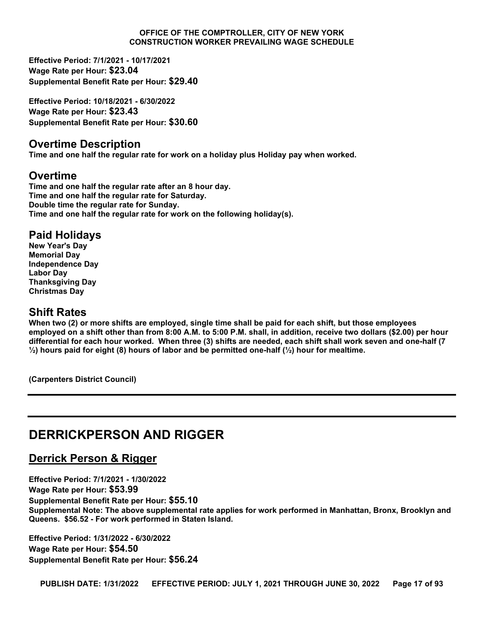**Effective Period: 7/1/2021 - 10/17/2021 Wage Rate per Hour: \$23.04 Supplemental Benefit Rate per Hour: \$29.40**

**Effective Period: 10/18/2021 - 6/30/2022 Wage Rate per Hour: \$23.43 Supplemental Benefit Rate per Hour: \$30.60**

#### **Overtime Description**

**Time and one half the regular rate for work on a holiday plus Holiday pay when worked.**

#### **Overtime**

**Time and one half the regular rate after an 8 hour day. Time and one half the regular rate for Saturday. Double time the regular rate for Sunday. Time and one half the regular rate for work on the following holiday(s).**

#### **Paid Holidays**

**New Year's Day Memorial Day Independence Day Labor Day Thanksgiving Day Christmas Day**

#### **Shift Rates**

**When two (2) or more shifts are employed, single time shall be paid for each shift, but those employees employed on a shift other than from 8:00 A.M. to 5:00 P.M. shall, in addition, receive two dollars (\$2.00) per hour differential for each hour worked. When three (3) shifts are needed, each shift shall work seven and one-half (7 ½) hours paid for eight (8) hours of labor and be permitted one-half (½) hour for mealtime.**

**(Carpenters District Council)**

## <span id="page-16-0"></span>**DERRICKPERSON AND RIGGER**

### **Derrick Person & Rigger**

**Effective Period: 7/1/2021 - 1/30/2022 Wage Rate per Hour: \$53.99 Supplemental Benefit Rate per Hour: \$55.10 Supplemental Note: The above supplemental rate applies for work performed in Manhattan, Bronx, Brooklyn and Queens. \$56.52 - For work performed in Staten Island.**

**Effective Period: 1/31/2022 - 6/30/2022 Wage Rate per Hour: \$54.50 Supplemental Benefit Rate per Hour: \$56.24**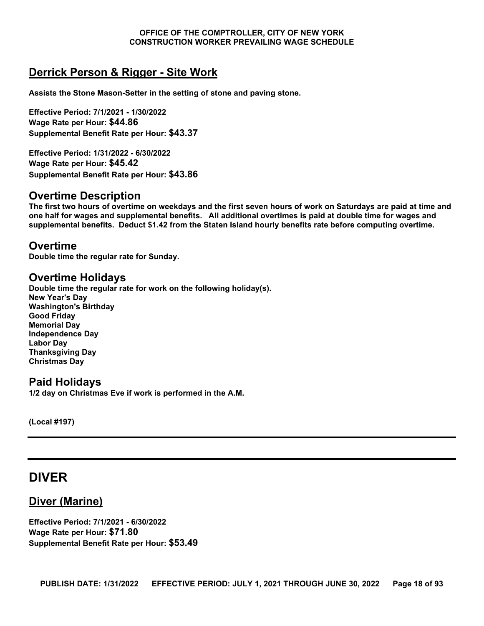### **Derrick Person & Rigger - Site Work**

**Assists the Stone Mason-Setter in the setting of stone and paving stone.**

**Effective Period: 7/1/2021 - 1/30/2022 Wage Rate per Hour: \$44.86 Supplemental Benefit Rate per Hour: \$43.37**

**Effective Period: 1/31/2022 - 6/30/2022 Wage Rate per Hour: \$45.42 Supplemental Benefit Rate per Hour: \$43.86**

#### **Overtime Description**

**The first two hours of overtime on weekdays and the first seven hours of work on Saturdays are paid at time and one half for wages and supplemental benefits. All additional overtimes is paid at double time for wages and supplemental benefits. Deduct \$1.42 from the Staten Island hourly benefits rate before computing overtime.**

#### **Overtime**

**Double time the regular rate for Sunday.**

#### **Overtime Holidays**

**Double time the regular rate for work on the following holiday(s). New Year's Day Washington's Birthday Good Friday Memorial Day Independence Day Labor Day Thanksgiving Day Christmas Day**

#### **Paid Holidays**

**1/2 day on Christmas Eve if work is performed in the A.M.**

**(Local #197)**

### <span id="page-17-0"></span>**DIVER**

#### **Diver (Marine)**

**Effective Period: 7/1/2021 - 6/30/2022 Wage Rate per Hour: \$71.80 Supplemental Benefit Rate per Hour: \$53.49**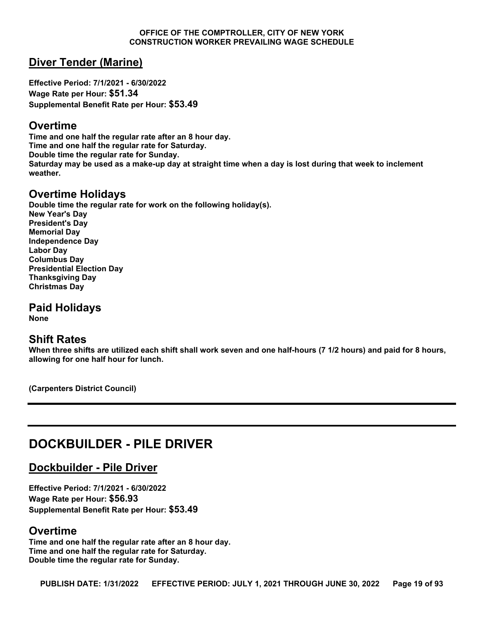#### **Diver Tender (Marine)**

**Effective Period: 7/1/2021 - 6/30/2022 Wage Rate per Hour: \$51.34 Supplemental Benefit Rate per Hour: \$53.49**

#### **Overtime**

**Time and one half the regular rate after an 8 hour day. Time and one half the regular rate for Saturday. Double time the regular rate for Sunday. Saturday may be used as a make-up day at straight time when a day is lost during that week to inclement weather.**

#### **Overtime Holidays**

**Double time the regular rate for work on the following holiday(s). New Year's Day President's Day Memorial Day Independence Day Labor Day Columbus Day Presidential Election Day Thanksgiving Day Christmas Day**

**Paid Holidays None**

#### **Shift Rates**

**When three shifts are utilized each shift shall work seven and one half-hours (7 1/2 hours) and paid for 8 hours, allowing for one half hour for lunch.**

**(Carpenters District Council)**

## <span id="page-18-0"></span>**DOCKBUILDER - PILE DRIVER**

**Dockbuilder - Pile Driver**

**Effective Period: 7/1/2021 - 6/30/2022 Wage Rate per Hour: \$56.93 Supplemental Benefit Rate per Hour: \$53.49**

#### **Overtime**

**Time and one half the regular rate after an 8 hour day. Time and one half the regular rate for Saturday. Double time the regular rate for Sunday.**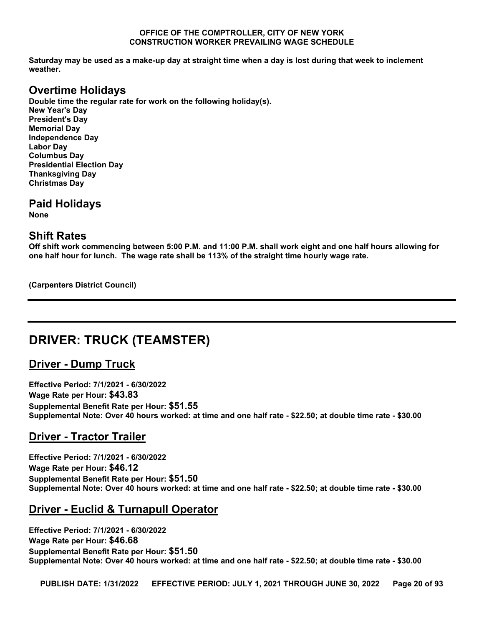**Saturday may be used as a make-up day at straight time when a day is lost during that week to inclement weather.**

### **Overtime Holidays**

**Double time the regular rate for work on the following holiday(s). New Year's Day President's Day Memorial Day Independence Day Labor Day Columbus Day Presidential Election Day Thanksgiving Day Christmas Day**

**Paid Holidays**

**None**

#### **Shift Rates**

**Off shift work commencing between 5:00 P.M. and 11:00 P.M. shall work eight and one half hours allowing for one half hour for lunch. The wage rate shall be 113% of the straight time hourly wage rate.**

**(Carpenters District Council)**

## <span id="page-19-0"></span>**DRIVER: TRUCK (TEAMSTER)**

#### **Driver - Dump Truck**

**Effective Period: 7/1/2021 - 6/30/2022 Wage Rate per Hour: \$43.83 Supplemental Benefit Rate per Hour: \$51.55 Supplemental Note: Over 40 hours worked: at time and one half rate - \$22.50; at double time rate - \$30.00**

### **Driver - Tractor Trailer**

**Effective Period: 7/1/2021 - 6/30/2022 Wage Rate per Hour: \$46.12 Supplemental Benefit Rate per Hour: \$51.50 Supplemental Note: Over 40 hours worked: at time and one half rate - \$22.50; at double time rate - \$30.00**

### **Driver - Euclid & Turnapull Operator**

**Effective Period: 7/1/2021 - 6/30/2022 Wage Rate per Hour: \$46.68 Supplemental Benefit Rate per Hour: \$51.50 Supplemental Note: Over 40 hours worked: at time and one half rate - \$22.50; at double time rate - \$30.00**

**PUBLISH DATE: 1/31/2022 EFFECTIVE PERIOD: JULY 1, 2021 THROUGH JUNE 30, 2022 Page 20 of 93**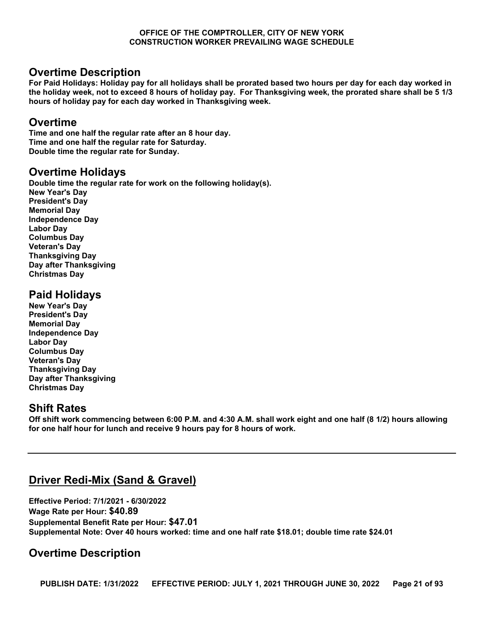#### **Overtime Description**

**For Paid Holidays: Holiday pay for all holidays shall be prorated based two hours per day for each day worked in the holiday week, not to exceed 8 hours of holiday pay. For Thanksgiving week, the prorated share shall be 5 1/3 hours of holiday pay for each day worked in Thanksgiving week.**

#### **Overtime**

**Time and one half the regular rate after an 8 hour day. Time and one half the regular rate for Saturday. Double time the regular rate for Sunday.**

#### **Overtime Holidays**

**Double time the regular rate for work on the following holiday(s). New Year's Day President's Day Memorial Day Independence Day Labor Day Columbus Day Veteran's Day Thanksgiving Day Day after Thanksgiving Christmas Day**

#### **Paid Holidays**

**New Year's Day President's Day Memorial Day Independence Day Labor Day Columbus Day Veteran's Day Thanksgiving Day Day after Thanksgiving Christmas Day**

#### **Shift Rates**

**Off shift work commencing between 6:00 P.M. and 4:30 A.M. shall work eight and one half (8 1/2) hours allowing for one half hour for lunch and receive 9 hours pay for 8 hours of work.**

### **Driver Redi-Mix (Sand & Gravel)**

**Effective Period: 7/1/2021 - 6/30/2022 Wage Rate per Hour: \$40.89 Supplemental Benefit Rate per Hour: \$47.01 Supplemental Note: Over 40 hours worked: time and one half rate \$18.01; double time rate \$24.01**

### **Overtime Description**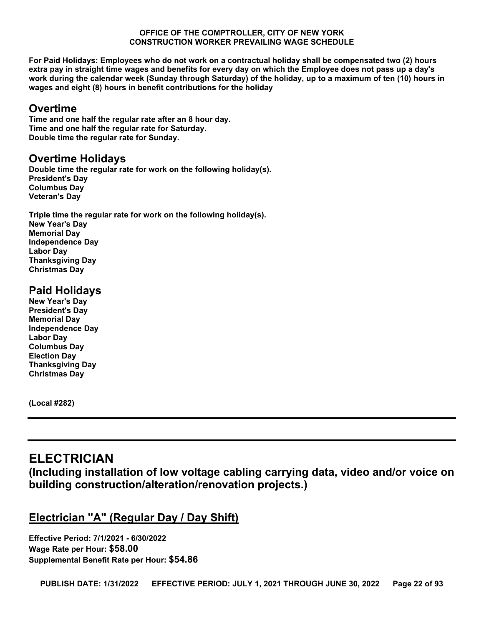**For Paid Holidays: Employees who do not work on a contractual holiday shall be compensated two (2) hours extra pay in straight time wages and benefits for every day on which the Employee does not pass up a day's work during the calendar week (Sunday through Saturday) of the holiday, up to a maximum of ten (10) hours in wages and eight (8) hours in benefit contributions for the holiday**

### **Overtime**

**Time and one half the regular rate after an 8 hour day. Time and one half the regular rate for Saturday. Double time the regular rate for Sunday.**

#### **Overtime Holidays**

**Double time the regular rate for work on the following holiday(s). President's Day Columbus Day Veteran's Day**

**Triple time the regular rate for work on the following holiday(s). New Year's Day Memorial Day Independence Day Labor Day Thanksgiving Day Christmas Day**

### **Paid Holidays**

**New Year's Day President's Day Memorial Day Independence Day Labor Day Columbus Day Election Day Thanksgiving Day Christmas Day**

**(Local #282)**

## <span id="page-21-0"></span>**ELECTRICIAN**

**(Including installation of low voltage cabling carrying data, video and/or voice on building construction/alteration/renovation projects.)**

### **Electrician "A" (Regular Day / Day Shift)**

**Effective Period: 7/1/2021 - 6/30/2022 Wage Rate per Hour: \$58.00 Supplemental Benefit Rate per Hour: \$54.86**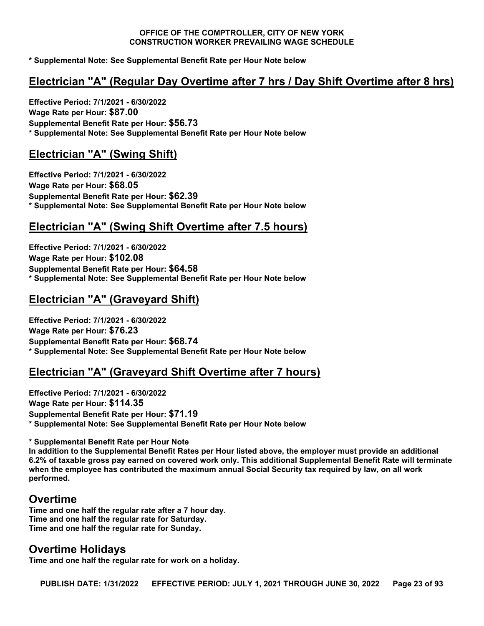**\* Supplemental Note: See Supplemental Benefit Rate per Hour Note below**

#### **Electrician "A" (Regular Day Overtime after 7 hrs / Day Shift Overtime after 8 hrs)**

**Effective Period: 7/1/2021 - 6/30/2022 Wage Rate per Hour: \$87.00 Supplemental Benefit Rate per Hour: \$56.73 \* Supplemental Note: See Supplemental Benefit Rate per Hour Note below**

### **Electrician "A" (Swing Shift)**

**Effective Period: 7/1/2021 - 6/30/2022 Wage Rate per Hour: \$68.05 Supplemental Benefit Rate per Hour: \$62.39 \* Supplemental Note: See Supplemental Benefit Rate per Hour Note below**

### **Electrician "A" (Swing Shift Overtime after 7.5 hours)**

**Effective Period: 7/1/2021 - 6/30/2022 Wage Rate per Hour: \$102.08 Supplemental Benefit Rate per Hour: \$64.58 \* Supplemental Note: See Supplemental Benefit Rate per Hour Note below**

### **Electrician "A" (Graveyard Shift)**

**Effective Period: 7/1/2021 - 6/30/2022 Wage Rate per Hour: \$76.23 Supplemental Benefit Rate per Hour: \$68.74 \* Supplemental Note: See Supplemental Benefit Rate per Hour Note below**

#### **Electrician "A" (Graveyard Shift Overtime after 7 hours)**

**Effective Period: 7/1/2021 - 6/30/2022 Wage Rate per Hour: \$114.35 Supplemental Benefit Rate per Hour: \$71.19 \* Supplemental Note: See Supplemental Benefit Rate per Hour Note below** 

**\* Supplemental Benefit Rate per Hour Note**

**In addition to the Supplemental Benefit Rates per Hour listed above, the employer must provide an additional 6.2% of taxable gross pay earned on covered work only. This additional Supplemental Benefit Rate will terminate when the employee has contributed the maximum annual Social Security tax required by law, on all work performed.**

#### **Overtime**

**Time and one half the regular rate after a 7 hour day. Time and one half the regular rate for Saturday. Time and one half the regular rate for Sunday.**

#### **Overtime Holidays**

**Time and one half the regular rate for work on a holiday.**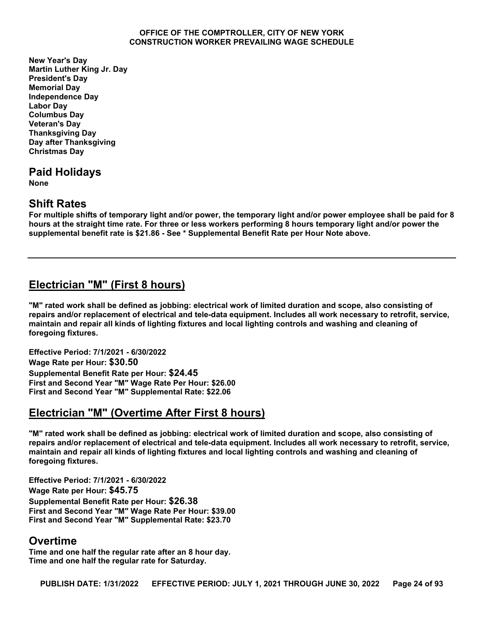**New Year's Day Martin Luther King Jr. Day President's Day Memorial Day Independence Day Labor Day Columbus Day Veteran's Day Thanksgiving Day Day after Thanksgiving Christmas Day**

**Paid Holidays None**

#### **Shift Rates**

**For multiple shifts of temporary light and/or power, the temporary light and/or power employee shall be paid for 8 hours at the straight time rate. For three or less workers performing 8 hours temporary light and/or power the supplemental benefit rate is \$21.86 - See \* Supplemental Benefit Rate per Hour Note above.**

### **Electrician "M" (First 8 hours)**

**"M" rated work shall be defined as jobbing: electrical work of limited duration and scope, also consisting of repairs and/or replacement of electrical and tele-data equipment. Includes all work necessary to retrofit, service, maintain and repair all kinds of lighting fixtures and local lighting controls and washing and cleaning of foregoing fixtures.**

**Effective Period: 7/1/2021 - 6/30/2022 Wage Rate per Hour: \$30.50 Supplemental Benefit Rate per Hour: \$24.45 First and Second Year "M" Wage Rate Per Hour: \$26.00 First and Second Year "M" Supplemental Rate: \$22.06**

### **Electrician "M" (Overtime After First 8 hours)**

**"M" rated work shall be defined as jobbing: electrical work of limited duration and scope, also consisting of repairs and/or replacement of electrical and tele-data equipment. Includes all work necessary to retrofit, service, maintain and repair all kinds of lighting fixtures and local lighting controls and washing and cleaning of foregoing fixtures.**

**Effective Period: 7/1/2021 - 6/30/2022 Wage Rate per Hour: \$45.75 Supplemental Benefit Rate per Hour: \$26.38 First and Second Year "M" Wage Rate Per Hour: \$39.00 First and Second Year "M" Supplemental Rate: \$23.70**

#### **Overtime**

**Time and one half the regular rate after an 8 hour day. Time and one half the regular rate for Saturday.**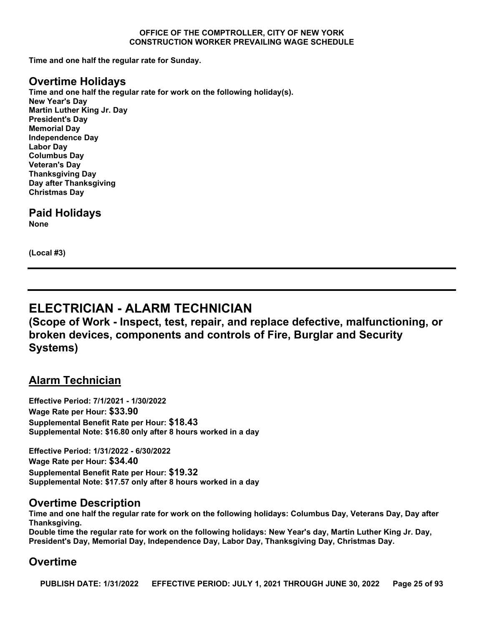**Time and one half the regular rate for Sunday.**

#### **Overtime Holidays**

**Time and one half the regular rate for work on the following holiday(s). New Year's Day Martin Luther King Jr. Day President's Day Memorial Day Independence Day Labor Day Columbus Day Veteran's Day Thanksgiving Day Day after Thanksgiving Christmas Day**

**Paid Holidays None**

**(Local #3)**

## <span id="page-24-0"></span>**ELECTRICIAN - ALARM TECHNICIAN**

**(Scope of Work - Inspect, test, repair, and replace defective, malfunctioning, or broken devices, components and controls of Fire, Burglar and Security Systems)**

#### **Alarm Technician**

**Effective Period: 7/1/2021 - 1/30/2022 Wage Rate per Hour: \$33.90 Supplemental Benefit Rate per Hour: \$18.43 Supplemental Note: \$16.80 only after 8 hours worked in a day**

**Effective Period: 1/31/2022 - 6/30/2022 Wage Rate per Hour: \$34.40 Supplemental Benefit Rate per Hour: \$19.32 Supplemental Note: \$17.57 only after 8 hours worked in a day**

#### **Overtime Description**

**Time and one half the regular rate for work on the following holidays: Columbus Day, Veterans Day, Day after Thanksgiving.**

**Double time the regular rate for work on the following holidays: New Year's day, Martin Luther King Jr. Day, President's Day, Memorial Day, Independence Day, Labor Day, Thanksgiving Day, Christmas Day.**

#### **Overtime**

**PUBLISH DATE: 1/31/2022 EFFECTIVE PERIOD: JULY 1, 2021 THROUGH JUNE 30, 2022 Page 25 of 93**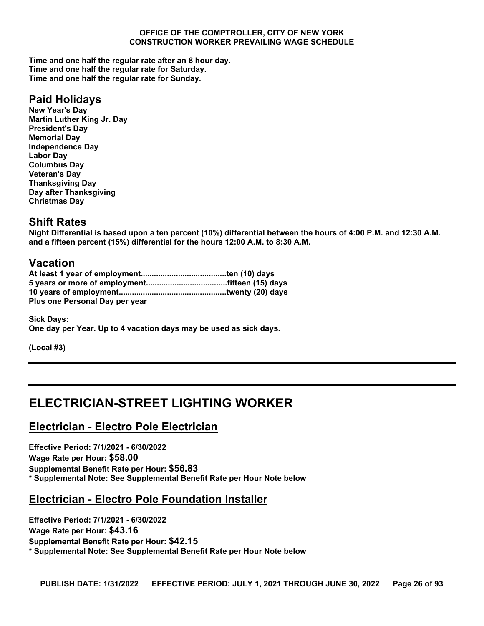**Time and one half the regular rate after an 8 hour day. Time and one half the regular rate for Saturday. Time and one half the regular rate for Sunday.**

### **Paid Holidays**

**New Year's Day Martin Luther King Jr. Day President's Day Memorial Day Independence Day Labor Day Columbus Day Veteran's Day Thanksgiving Day Day after Thanksgiving Christmas Day**

#### **Shift Rates**

**Night Differential is based upon a ten percent (10%) differential between the hours of 4:00 P.M. and 12:30 A.M. and a fifteen percent (15%) differential for the hours 12:00 A.M. to 8:30 A.M.**

#### **Vacation**

| Plus one Personal Day per year |  |
|--------------------------------|--|

**Sick Days: One day per Year. Up to 4 vacation days may be used as sick days.**

**(Local #3)**

## <span id="page-25-0"></span>**ELECTRICIAN-STREET LIGHTING WORKER**

#### **Electrician - Electro Pole Electrician**

**Effective Period: 7/1/2021 - 6/30/2022 Wage Rate per Hour: \$58.00 Supplemental Benefit Rate per Hour: \$56.83 \* Supplemental Note: See Supplemental Benefit Rate per Hour Note below**

#### **Electrician - Electro Pole Foundation Installer**

**Effective Period: 7/1/2021 - 6/30/2022 Wage Rate per Hour: \$43.16 Supplemental Benefit Rate per Hour: \$42.15 \* Supplemental Note: See Supplemental Benefit Rate per Hour Note below**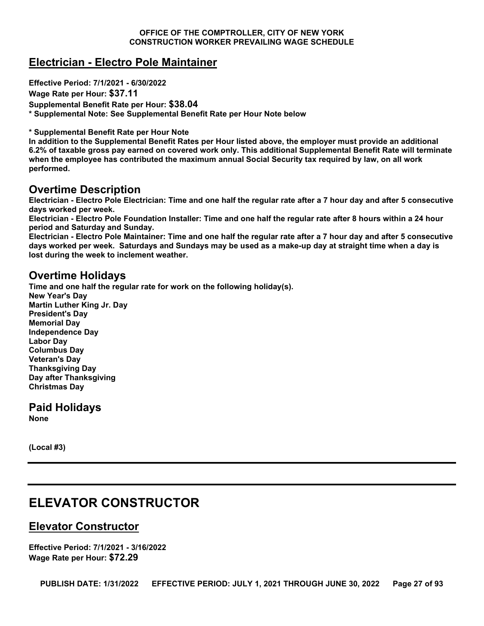### **Electrician - Electro Pole Maintainer**

**Effective Period: 7/1/2021 - 6/30/2022**

**Wage Rate per Hour: \$37.11**

**Supplemental Benefit Rate per Hour: \$38.04**

**\* Supplemental Note: See Supplemental Benefit Rate per Hour Note below** 

**\* Supplemental Benefit Rate per Hour Note**

**In addition to the Supplemental Benefit Rates per Hour listed above, the employer must provide an additional 6.2% of taxable gross pay earned on covered work only. This additional Supplemental Benefit Rate will terminate when the employee has contributed the maximum annual Social Security tax required by law, on all work performed.**

#### **Overtime Description**

**Electrician - Electro Pole Electrician: Time and one half the regular rate after a 7 hour day and after 5 consecutive days worked per week.**

**Electrician - Electro Pole Foundation Installer: Time and one half the regular rate after 8 hours within a 24 hour period and Saturday and Sunday.** 

**Electrician - Electro Pole Maintainer: Time and one half the regular rate after a 7 hour day and after 5 consecutive days worked per week. Saturdays and Sundays may be used as a make-up day at straight time when a day is lost during the week to inclement weather.**

#### **Overtime Holidays**

**Time and one half the regular rate for work on the following holiday(s). New Year's Day Martin Luther King Jr. Day President's Day Memorial Day Independence Day Labor Day Columbus Day Veteran's Day Thanksgiving Day Day after Thanksgiving Christmas Day**

**Paid Holidays None**

**(Local #3)**

## <span id="page-26-0"></span>**ELEVATOR CONSTRUCTOR**

### **Elevator Constructor**

**Effective Period: 7/1/2021 - 3/16/2022 Wage Rate per Hour: \$72.29**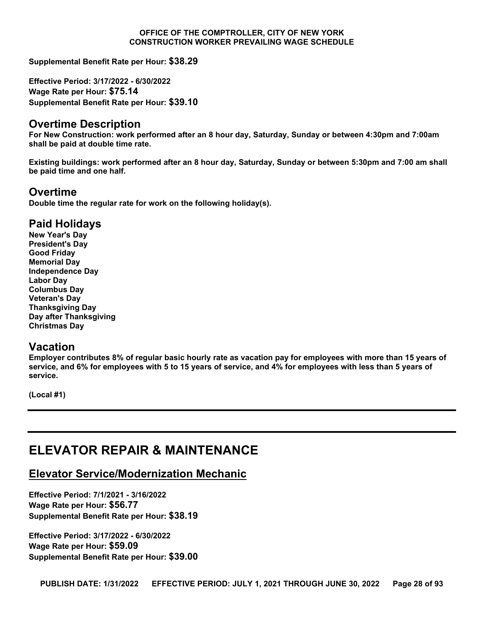**Supplemental Benefit Rate per Hour: \$38.29**

**Effective Period: 3/17/2022 - 6/30/2022 Wage Rate per Hour: \$75.14 Supplemental Benefit Rate per Hour: \$39.10**

#### **Overtime Description**

**For New Construction: work performed after an 8 hour day, Saturday, Sunday or between 4:30pm and 7:00am shall be paid at double time rate.**

**Existing buildings: work performed after an 8 hour day, Saturday, Sunday or between 5:30pm and 7:00 am shall be paid time and one half.**

#### **Overtime**

**Double time the regular rate for work on the following holiday(s).**

#### **Paid Holidays**

**New Year's Day President's Day Good Friday Memorial Day Independence Day Labor Day Columbus Day Veteran's Day Thanksgiving Day Day after Thanksgiving Christmas Day**

#### **Vacation**

**Employer contributes 8% of regular basic hourly rate as vacation pay for employees with more than 15 years of service, and 6% for employees with 5 to 15 years of service, and 4% for employees with less than 5 years of service.**

**(Local #1)**

## <span id="page-27-0"></span>**ELEVATOR REPAIR & MAINTENANCE**

#### **Elevator Service/Modernization Mechanic**

**Effective Period: 7/1/2021 - 3/16/2022 Wage Rate per Hour: \$56.77 Supplemental Benefit Rate per Hour: \$38.19**

**Effective Period: 3/17/2022 - 6/30/2022 Wage Rate per Hour: \$59.09 Supplemental Benefit Rate per Hour: \$39.00**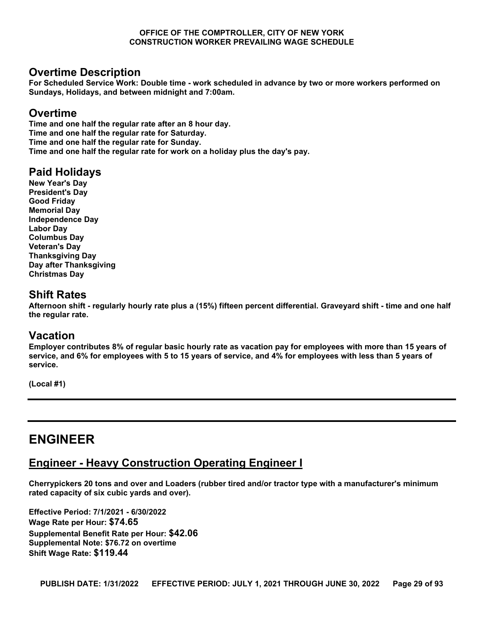#### **Overtime Description**

**For Scheduled Service Work: Double time - work scheduled in advance by two or more workers performed on Sundays, Holidays, and between midnight and 7:00am.**

#### **Overtime**

**Time and one half the regular rate after an 8 hour day. Time and one half the regular rate for Saturday. Time and one half the regular rate for Sunday. Time and one half the regular rate for work on a holiday plus the day's pay.**

#### **Paid Holidays**

**New Year's Day President's Day Good Friday Memorial Day Independence Day Labor Day Columbus Day Veteran's Day Thanksgiving Day Day after Thanksgiving Christmas Day**

### **Shift Rates**

**Afternoon shift - regularly hourly rate plus a (15%) fifteen percent differential. Graveyard shift - time and one half the regular rate.**

#### **Vacation**

**Employer contributes 8% of regular basic hourly rate as vacation pay for employees with more than 15 years of service, and 6% for employees with 5 to 15 years of service, and 4% for employees with less than 5 years of service.**

**(Local #1)**

## <span id="page-28-0"></span>**ENGINEER**

### **Engineer - Heavy Construction Operating Engineer I**

**Cherrypickers 20 tons and over and Loaders (rubber tired and/or tractor type with a manufacturer's minimum rated capacity of six cubic yards and over).**

**Effective Period: 7/1/2021 - 6/30/2022 Wage Rate per Hour: \$74.65 Supplemental Benefit Rate per Hour: \$42.06 Supplemental Note: \$76.72 on overtime Shift Wage Rate: \$119.44**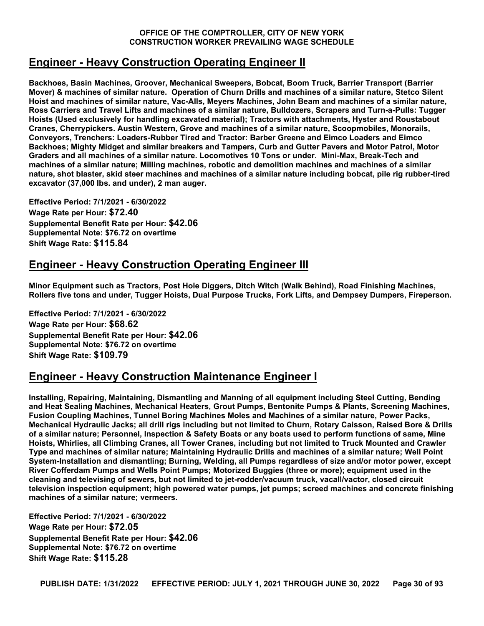### **Engineer - Heavy Construction Operating Engineer II**

**Backhoes, Basin Machines, Groover, Mechanical Sweepers, Bobcat, Boom Truck, Barrier Transport (Barrier Mover) & machines of similar nature. Operation of Churn Drills and machines of a similar nature, Stetco Silent Hoist and machines of similar nature, Vac-Alls, Meyers Machines, John Beam and machines of a similar nature, Ross Carriers and Travel Lifts and machines of a similar nature, Bulldozers, Scrapers and Turn-a-Pulls: Tugger Hoists (Used exclusively for handling excavated material); Tractors with attachments, Hyster and Roustabout Cranes, Cherrypickers. Austin Western, Grove and machines of a similar nature, Scoopmobiles, Monorails, Conveyors, Trenchers: Loaders-Rubber Tired and Tractor: Barber Greene and Eimco Loaders and Eimco Backhoes; Mighty Midget and similar breakers and Tampers, Curb and Gutter Pavers and Motor Patrol, Motor Graders and all machines of a similar nature. Locomotives 10 Tons or under. Mini-Max, Break-Tech and machines of a similar nature; Milling machines, robotic and demolition machines and machines of a similar nature, shot blaster, skid steer machines and machines of a similar nature including bobcat, pile rig rubber-tired excavator (37,000 lbs. and under), 2 man auger.**

**Effective Period: 7/1/2021 - 6/30/2022 Wage Rate per Hour: \$72.40 Supplemental Benefit Rate per Hour: \$42.06 Supplemental Note: \$76.72 on overtime Shift Wage Rate: \$115.84**

### **Engineer - Heavy Construction Operating Engineer III**

**Minor Equipment such as Tractors, Post Hole Diggers, Ditch Witch (Walk Behind), Road Finishing Machines, Rollers five tons and under, Tugger Hoists, Dual Purpose Trucks, Fork Lifts, and Dempsey Dumpers, Fireperson.**

**Effective Period: 7/1/2021 - 6/30/2022 Wage Rate per Hour: \$68.62 Supplemental Benefit Rate per Hour: \$42.06 Supplemental Note: \$76.72 on overtime Shift Wage Rate: \$109.79**

### **Engineer - Heavy Construction Maintenance Engineer I**

**Installing, Repairing, Maintaining, Dismantling and Manning of all equipment including Steel Cutting, Bending and Heat Sealing Machines, Mechanical Heaters, Grout Pumps, Bentonite Pumps & Plants, Screening Machines, Fusion Coupling Machines, Tunnel Boring Machines Moles and Machines of a similar nature, Power Packs, Mechanical Hydraulic Jacks; all drill rigs including but not limited to Churn, Rotary Caisson, Raised Bore & Drills of a similar nature; Personnel, Inspection & Safety Boats or any boats used to perform functions of same, Mine Hoists, Whirlies, all Climbing Cranes, all Tower Cranes, including but not limited to Truck Mounted and Crawler Type and machines of similar nature; Maintaining Hydraulic Drills and machines of a similar nature; Well Point System-Installation and dismantling; Burning, Welding, all Pumps regardless of size and/or motor power, except River Cofferdam Pumps and Wells Point Pumps; Motorized Buggies (three or more); equipment used in the cleaning and televising of sewers, but not limited to jet-rodder/vacuum truck, vacall/vactor, closed circuit television inspection equipment; high powered water pumps, jet pumps; screed machines and concrete finishing machines of a similar nature; vermeers.**

**Effective Period: 7/1/2021 - 6/30/2022 Wage Rate per Hour: \$72.05 Supplemental Benefit Rate per Hour: \$42.06 Supplemental Note: \$76.72 on overtime Shift Wage Rate: \$115.28**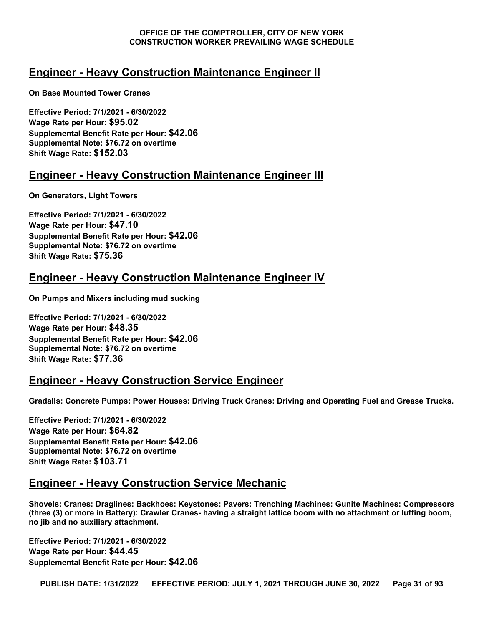### **Engineer - Heavy Construction Maintenance Engineer II**

**On Base Mounted Tower Cranes**

**Effective Period: 7/1/2021 - 6/30/2022 Wage Rate per Hour: \$95.02 Supplemental Benefit Rate per Hour: \$42.06 Supplemental Note: \$76.72 on overtime Shift Wage Rate: \$152.03**

### **Engineer - Heavy Construction Maintenance Engineer III**

**On Generators, Light Towers**

**Effective Period: 7/1/2021 - 6/30/2022 Wage Rate per Hour: \$47.10 Supplemental Benefit Rate per Hour: \$42.06 Supplemental Note: \$76.72 on overtime Shift Wage Rate: \$75.36**

### **Engineer - Heavy Construction Maintenance Engineer IV**

**On Pumps and Mixers including mud sucking**

**Effective Period: 7/1/2021 - 6/30/2022 Wage Rate per Hour: \$48.35 Supplemental Benefit Rate per Hour: \$42.06 Supplemental Note: \$76.72 on overtime Shift Wage Rate: \$77.36**

#### **Engineer - Heavy Construction Service Engineer**

**Gradalls: Concrete Pumps: Power Houses: Driving Truck Cranes: Driving and Operating Fuel and Grease Trucks.**

**Effective Period: 7/1/2021 - 6/30/2022 Wage Rate per Hour: \$64.82 Supplemental Benefit Rate per Hour: \$42.06 Supplemental Note: \$76.72 on overtime Shift Wage Rate: \$103.71**

#### **Engineer - Heavy Construction Service Mechanic**

**Shovels: Cranes: Draglines: Backhoes: Keystones: Pavers: Trenching Machines: Gunite Machines: Compressors (three (3) or more in Battery): Crawler Cranes- having a straight lattice boom with no attachment or luffing boom, no jib and no auxiliary attachment.**

**Effective Period: 7/1/2021 - 6/30/2022 Wage Rate per Hour: \$44.45 Supplemental Benefit Rate per Hour: \$42.06**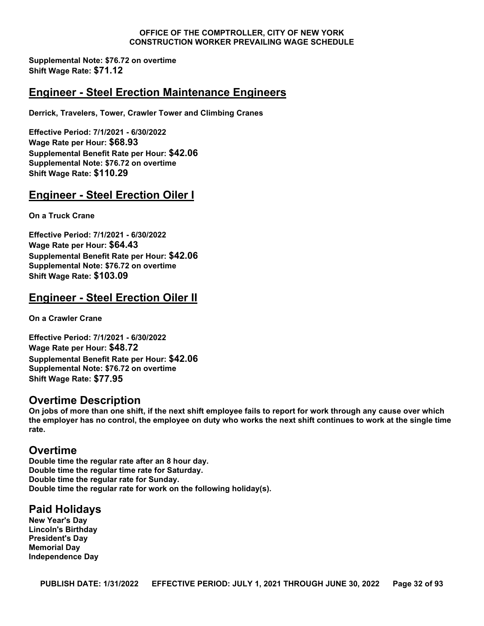**Supplemental Note: \$76.72 on overtime Shift Wage Rate: \$71.12**

#### **Engineer - Steel Erection Maintenance Engineers**

**Derrick, Travelers, Tower, Crawler Tower and Climbing Cranes**

**Effective Period: 7/1/2021 - 6/30/2022 Wage Rate per Hour: \$68.93 Supplemental Benefit Rate per Hour: \$42.06 Supplemental Note: \$76.72 on overtime Shift Wage Rate: \$110.29**

### **Engineer - Steel Erection Oiler I**

**On a Truck Crane**

**Effective Period: 7/1/2021 - 6/30/2022 Wage Rate per Hour: \$64.43 Supplemental Benefit Rate per Hour: \$42.06 Supplemental Note: \$76.72 on overtime Shift Wage Rate: \$103.09**

### **Engineer - Steel Erection Oiler II**

**On a Crawler Crane**

**Effective Period: 7/1/2021 - 6/30/2022 Wage Rate per Hour: \$48.72 Supplemental Benefit Rate per Hour: \$42.06 Supplemental Note: \$76.72 on overtime Shift Wage Rate: \$77.95**

#### **Overtime Description**

**On jobs of more than one shift, if the next shift employee fails to report for work through any cause over which the employer has no control, the employee on duty who works the next shift continues to work at the single time rate.**

#### **Overtime**

**Double time the regular rate after an 8 hour day. Double time the regular time rate for Saturday. Double time the regular rate for Sunday. Double time the regular rate for work on the following holiday(s).**

#### **Paid Holidays**

**New Year's Day Lincoln's Birthday President's Day Memorial Day Independence Day**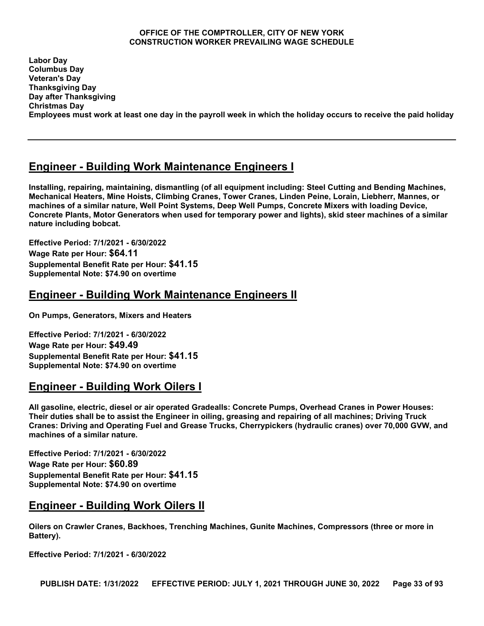**Labor Day Columbus Day Veteran's Day Thanksgiving Day Day after Thanksgiving Christmas Day Employees must work at least one day in the payroll week in which the holiday occurs to receive the paid holiday**

### **Engineer - Building Work Maintenance Engineers I**

**Installing, repairing, maintaining, dismantling (of all equipment including: Steel Cutting and Bending Machines, Mechanical Heaters, Mine Hoists, Climbing Cranes, Tower Cranes, Linden Peine, Lorain, Liebherr, Mannes, or machines of a similar nature, Well Point Systems, Deep Well Pumps, Concrete Mixers with loading Device, Concrete Plants, Motor Generators when used for temporary power and lights), skid steer machines of a similar nature including bobcat.**

**Effective Period: 7/1/2021 - 6/30/2022 Wage Rate per Hour: \$64.11 Supplemental Benefit Rate per Hour: \$41.15 Supplemental Note: \$74.90 on overtime**

### **Engineer - Building Work Maintenance Engineers II**

**On Pumps, Generators, Mixers and Heaters**

**Effective Period: 7/1/2021 - 6/30/2022 Wage Rate per Hour: \$49.49 Supplemental Benefit Rate per Hour: \$41.15 Supplemental Note: \$74.90 on overtime**

### **Engineer - Building Work Oilers I**

**All gasoline, electric, diesel or air operated Gradealls: Concrete Pumps, Overhead Cranes in Power Houses: Their duties shall be to assist the Engineer in oiling, greasing and repairing of all machines; Driving Truck Cranes: Driving and Operating Fuel and Grease Trucks, Cherrypickers (hydraulic cranes) over 70,000 GVW, and machines of a similar nature.**

**Effective Period: 7/1/2021 - 6/30/2022 Wage Rate per Hour: \$60.89 Supplemental Benefit Rate per Hour: \$41.15 Supplemental Note: \$74.90 on overtime**

### **Engineer - Building Work Oilers II**

**Oilers on Crawler Cranes, Backhoes, Trenching Machines, Gunite Machines, Compressors (three or more in Battery).**

**Effective Period: 7/1/2021 - 6/30/2022**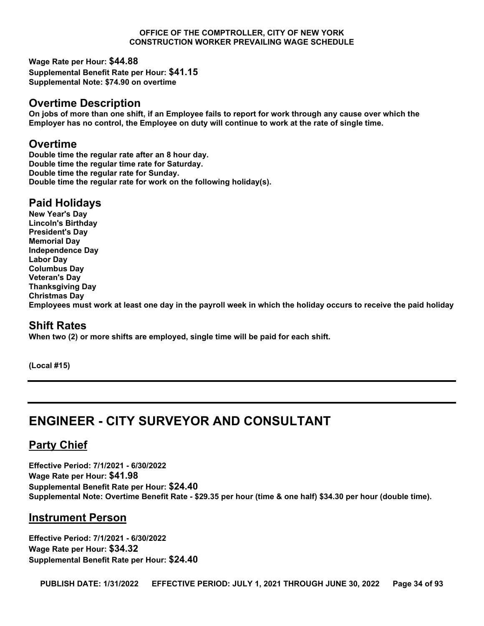**Wage Rate per Hour: \$44.88 Supplemental Benefit Rate per Hour: \$41.15 Supplemental Note: \$74.90 on overtime**

#### **Overtime Description**

**On jobs of more than one shift, if an Employee fails to report for work through any cause over which the Employer has no control, the Employee on duty will continue to work at the rate of single time.**

#### **Overtime**

**Double time the regular rate after an 8 hour day. Double time the regular time rate for Saturday. Double time the regular rate for Sunday. Double time the regular rate for work on the following holiday(s).**

### **Paid Holidays**

**New Year's Day Lincoln's Birthday President's Day Memorial Day Independence Day Labor Day Columbus Day Veteran's Day Thanksgiving Day Christmas Day Employees must work at least one day in the payroll week in which the holiday occurs to receive the paid holiday**

#### **Shift Rates**

**When two (2) or more shifts are employed, single time will be paid for each shift.**

**(Local #15)**

## <span id="page-33-0"></span>**ENGINEER - CITY SURVEYOR AND CONSULTANT**

### **Party Chief**

**Effective Period: 7/1/2021 - 6/30/2022 Wage Rate per Hour: \$41.98 Supplemental Benefit Rate per Hour: \$24.40 Supplemental Note: Overtime Benefit Rate - \$29.35 per hour (time & one half) \$34.30 per hour (double time).**

#### **Instrument Person**

**Effective Period: 7/1/2021 - 6/30/2022 Wage Rate per Hour: \$34.32 Supplemental Benefit Rate per Hour: \$24.40**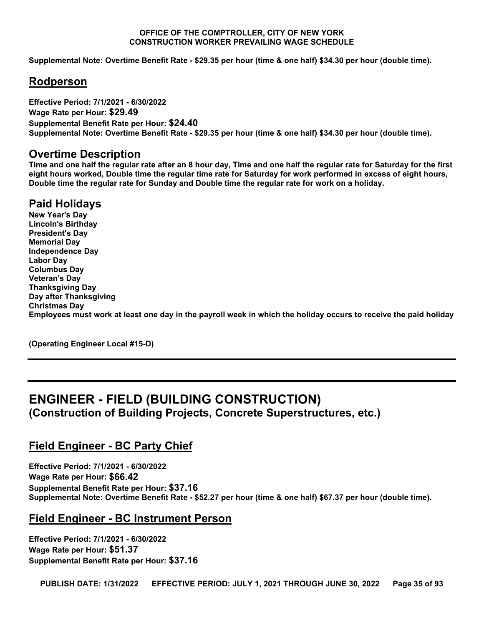**Supplemental Note: Overtime Benefit Rate - \$29.35 per hour (time & one half) \$34.30 per hour (double time).**

#### **Rodperson**

**Effective Period: 7/1/2021 - 6/30/2022 Wage Rate per Hour: \$29.49 Supplemental Benefit Rate per Hour: \$24.40 Supplemental Note: Overtime Benefit Rate - \$29.35 per hour (time & one half) \$34.30 per hour (double time).**

#### **Overtime Description**

**Time and one half the regular rate after an 8 hour day, Time and one half the regular rate for Saturday for the first eight hours worked, Double time the regular time rate for Saturday for work performed in excess of eight hours, Double time the regular rate for Sunday and Double time the regular rate for work on a holiday.**

### **Paid Holidays**

**New Year's Day Lincoln's Birthday President's Day Memorial Day Independence Day Labor Day Columbus Day Veteran's Day Thanksgiving Day Day after Thanksgiving Christmas Day Employees must work at least one day in the payroll week in which the holiday occurs to receive the paid holiday**

**(Operating Engineer Local #15-D)**

# <span id="page-34-0"></span>**ENGINEER - FIELD (BUILDING CONSTRUCTION)**

**(Construction of Building Projects, Concrete Superstructures, etc.)**

#### **Field Engineer - BC Party Chief**

**Effective Period: 7/1/2021 - 6/30/2022 Wage Rate per Hour: \$66.42 Supplemental Benefit Rate per Hour: \$37.16 Supplemental Note: Overtime Benefit Rate - \$52.27 per hour (time & one half) \$67.37 per hour (double time).**

#### **Field Engineer - BC Instrument Person**

**Effective Period: 7/1/2021 - 6/30/2022 Wage Rate per Hour: \$51.37 Supplemental Benefit Rate per Hour: \$37.16**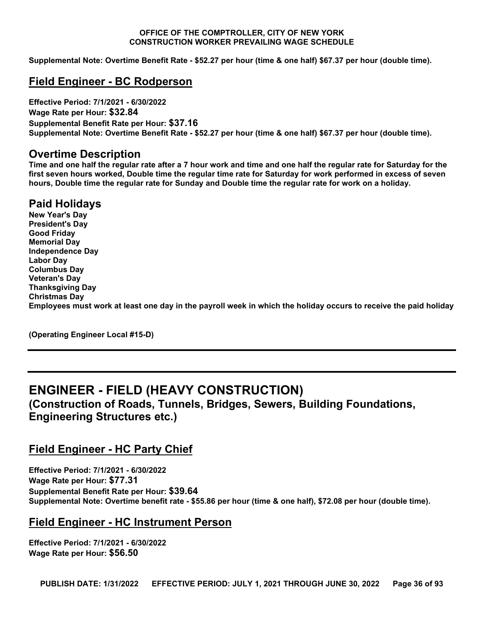**Supplemental Note: Overtime Benefit Rate - \$52.27 per hour (time & one half) \$67.37 per hour (double time).**

#### **Field Engineer - BC Rodperson**

**Effective Period: 7/1/2021 - 6/30/2022 Wage Rate per Hour: \$32.84 Supplemental Benefit Rate per Hour: \$37.16 Supplemental Note: Overtime Benefit Rate - \$52.27 per hour (time & one half) \$67.37 per hour (double time).**

#### **Overtime Description**

**Time and one half the regular rate after a 7 hour work and time and one half the regular rate for Saturday for the first seven hours worked, Double time the regular time rate for Saturday for work performed in excess of seven hours, Double time the regular rate for Sunday and Double time the regular rate for work on a holiday.**

#### **Paid Holidays**

**New Year's Day President's Day Good Friday Memorial Day Independence Day Labor Day Columbus Day Veteran's Day Thanksgiving Day Christmas Day Employees must work at least one day in the payroll week in which the holiday occurs to receive the paid holiday**

**(Operating Engineer Local #15-D)**

### <span id="page-35-0"></span>**ENGINEER - FIELD (HEAVY CONSTRUCTION)**

**(Construction of Roads, Tunnels, Bridges, Sewers, Building Foundations, Engineering Structures etc.)**

#### **Field Engineer - HC Party Chief**

**Effective Period: 7/1/2021 - 6/30/2022 Wage Rate per Hour: \$77.31 Supplemental Benefit Rate per Hour: \$39.64 Supplemental Note: Overtime benefit rate - \$55.86 per hour (time & one half), \$72.08 per hour (double time).**

#### **Field Engineer - HC Instrument Person**

**Effective Period: 7/1/2021 - 6/30/2022 Wage Rate per Hour: \$56.50**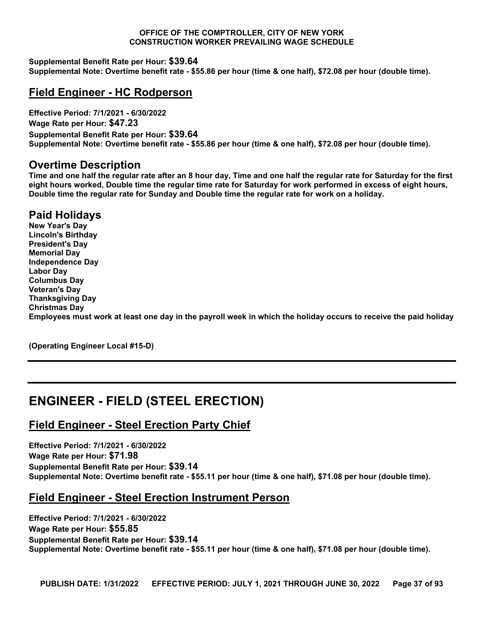**Supplemental Benefit Rate per Hour: \$39.64 Supplemental Note: Overtime benefit rate - \$55.86 per hour (time & one half), \$72.08 per hour (double time).**

# **Field Engineer - HC Rodperson**

**Effective Period: 7/1/2021 - 6/30/2022 Wage Rate per Hour: \$47.23 Supplemental Benefit Rate per Hour: \$39.64 Supplemental Note: Overtime benefit rate - \$55.86 per hour (time & one half), \$72.08 per hour (double time).**

## **Overtime Description**

**Time and one half the regular rate after an 8 hour day, Time and one half the regular rate for Saturday for the first eight hours worked, Double time the regular time rate for Saturday for work performed in excess of eight hours, Double time the regular rate for Sunday and Double time the regular rate for work on a holiday.**

# **Paid Holidays**

**New Year's Day Lincoln's Birthday President's Day Memorial Day Independence Day Labor Day Columbus Day Veteran's Day Thanksgiving Day Christmas Day Employees must work at least one day in the payroll week in which the holiday occurs to receive the paid holiday**

**(Operating Engineer Local #15-D)**

# **ENGINEER - FIELD (STEEL ERECTION)**

# **Field Engineer - Steel Erection Party Chief**

**Effective Period: 7/1/2021 - 6/30/2022 Wage Rate per Hour: \$71.98 Supplemental Benefit Rate per Hour: \$39.14 Supplemental Note: Overtime benefit rate - \$55.11 per hour (time & one half), \$71.08 per hour (double time).**

# **Field Engineer - Steel Erection Instrument Person**

**Effective Period: 7/1/2021 - 6/30/2022 Wage Rate per Hour: \$55.85 Supplemental Benefit Rate per Hour: \$39.14 Supplemental Note: Overtime benefit rate - \$55.11 per hour (time & one half), \$71.08 per hour (double time).**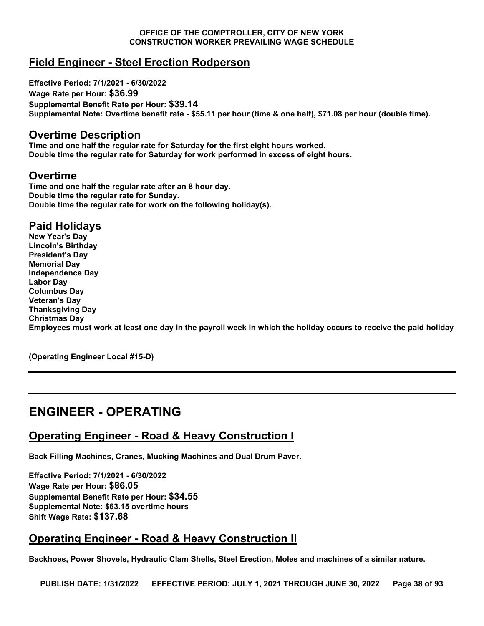# **Field Engineer - Steel Erection Rodperson**

**Effective Period: 7/1/2021 - 6/30/2022 Wage Rate per Hour: \$36.99 Supplemental Benefit Rate per Hour: \$39.14 Supplemental Note: Overtime benefit rate - \$55.11 per hour (time & one half), \$71.08 per hour (double time).**

### **Overtime Description**

**Time and one half the regular rate for Saturday for the first eight hours worked. Double time the regular rate for Saturday for work performed in excess of eight hours.**

## **Overtime**

**Time and one half the regular rate after an 8 hour day. Double time the regular rate for Sunday. Double time the regular rate for work on the following holiday(s).**

# **Paid Holidays**

**New Year's Day Lincoln's Birthday President's Day Memorial Day Independence Day Labor Day Columbus Day Veteran's Day Thanksgiving Day Christmas Day Employees must work at least one day in the payroll week in which the holiday occurs to receive the paid holiday**

**(Operating Engineer Local #15-D)**

# **ENGINEER - OPERATING**

# **Operating Engineer - Road & Heavy Construction I**

**Back Filling Machines, Cranes, Mucking Machines and Dual Drum Paver.**

**Effective Period: 7/1/2021 - 6/30/2022 Wage Rate per Hour: \$86.05 Supplemental Benefit Rate per Hour: \$34.55 Supplemental Note: \$63.15 overtime hours Shift Wage Rate: \$137.68**

# **Operating Engineer - Road & Heavy Construction II**

**Backhoes, Power Shovels, Hydraulic Clam Shells, Steel Erection, Moles and machines of a similar nature.**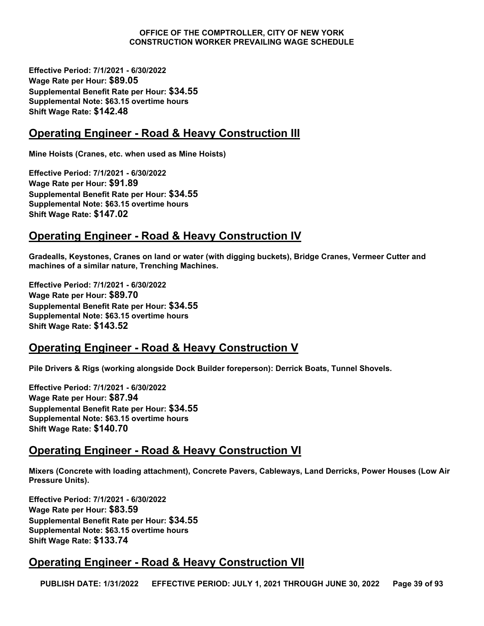**Effective Period: 7/1/2021 - 6/30/2022 Wage Rate per Hour: \$89.05 Supplemental Benefit Rate per Hour: \$34.55 Supplemental Note: \$63.15 overtime hours Shift Wage Rate: \$142.48**

# **Operating Engineer - Road & Heavy Construction III**

**Mine Hoists (Cranes, etc. when used as Mine Hoists)**

**Effective Period: 7/1/2021 - 6/30/2022 Wage Rate per Hour: \$91.89 Supplemental Benefit Rate per Hour: \$34.55 Supplemental Note: \$63.15 overtime hours Shift Wage Rate: \$147.02**

# **Operating Engineer - Road & Heavy Construction IV**

**Gradealls, Keystones, Cranes on land or water (with digging buckets), Bridge Cranes, Vermeer Cutter and machines of a similar nature, Trenching Machines.**

**Effective Period: 7/1/2021 - 6/30/2022 Wage Rate per Hour: \$89.70 Supplemental Benefit Rate per Hour: \$34.55 Supplemental Note: \$63.15 overtime hours Shift Wage Rate: \$143.52**

# **Operating Engineer - Road & Heavy Construction V**

**Pile Drivers & Rigs (working alongside Dock Builder foreperson): Derrick Boats, Tunnel Shovels.**

**Effective Period: 7/1/2021 - 6/30/2022 Wage Rate per Hour: \$87.94 Supplemental Benefit Rate per Hour: \$34.55 Supplemental Note: \$63.15 overtime hours Shift Wage Rate: \$140.70**

# **Operating Engineer - Road & Heavy Construction VI**

**Mixers (Concrete with loading attachment), Concrete Pavers, Cableways, Land Derricks, Power Houses (Low Air Pressure Units).**

**Effective Period: 7/1/2021 - 6/30/2022 Wage Rate per Hour: \$83.59 Supplemental Benefit Rate per Hour: \$34.55 Supplemental Note: \$63.15 overtime hours Shift Wage Rate: \$133.74**

# **Operating Engineer - Road & Heavy Construction VII**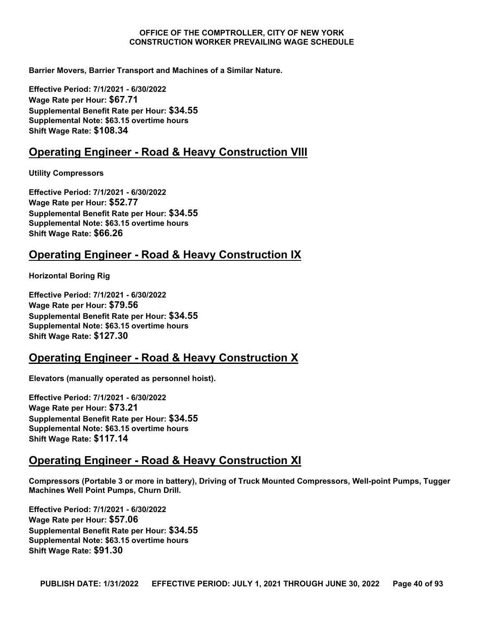**Barrier Movers, Barrier Transport and Machines of a Similar Nature.**

**Effective Period: 7/1/2021 - 6/30/2022 Wage Rate per Hour: \$67.71 Supplemental Benefit Rate per Hour: \$34.55 Supplemental Note: \$63.15 overtime hours Shift Wage Rate: \$108.34**

## **Operating Engineer - Road & Heavy Construction VIII**

**Utility Compressors**

**Effective Period: 7/1/2021 - 6/30/2022 Wage Rate per Hour: \$52.77 Supplemental Benefit Rate per Hour: \$34.55 Supplemental Note: \$63.15 overtime hours Shift Wage Rate: \$66.26**

## **Operating Engineer - Road & Heavy Construction IX**

**Horizontal Boring Rig**

**Effective Period: 7/1/2021 - 6/30/2022 Wage Rate per Hour: \$79.56 Supplemental Benefit Rate per Hour: \$34.55 Supplemental Note: \$63.15 overtime hours Shift Wage Rate: \$127.30**

# **Operating Engineer - Road & Heavy Construction X**

**Elevators (manually operated as personnel hoist).**

**Effective Period: 7/1/2021 - 6/30/2022 Wage Rate per Hour: \$73.21 Supplemental Benefit Rate per Hour: \$34.55 Supplemental Note: \$63.15 overtime hours Shift Wage Rate: \$117.14**

# **Operating Engineer - Road & Heavy Construction XI**

**Compressors (Portable 3 or more in battery), Driving of Truck Mounted Compressors, Well-point Pumps, Tugger Machines Well Point Pumps, Churn Drill.**

**Effective Period: 7/1/2021 - 6/30/2022 Wage Rate per Hour: \$57.06 Supplemental Benefit Rate per Hour: \$34.55 Supplemental Note: \$63.15 overtime hours Shift Wage Rate: \$91.30**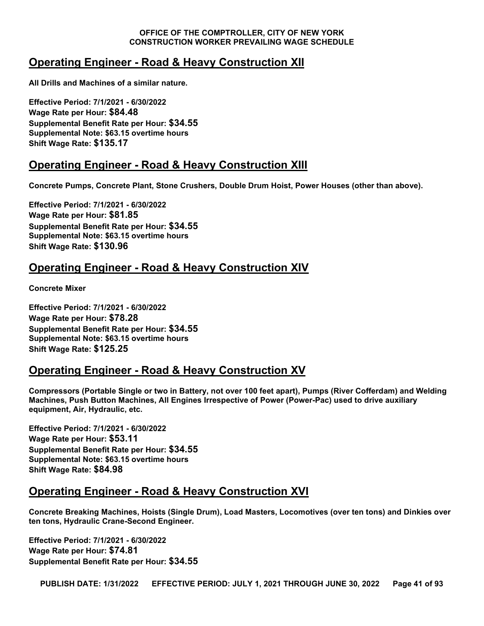# **Operating Engineer - Road & Heavy Construction XII**

**All Drills and Machines of a similar nature.**

**Effective Period: 7/1/2021 - 6/30/2022 Wage Rate per Hour: \$84.48 Supplemental Benefit Rate per Hour: \$34.55 Supplemental Note: \$63.15 overtime hours Shift Wage Rate: \$135.17**

# **Operating Engineer - Road & Heavy Construction XIII**

**Concrete Pumps, Concrete Plant, Stone Crushers, Double Drum Hoist, Power Houses (other than above).**

**Effective Period: 7/1/2021 - 6/30/2022 Wage Rate per Hour: \$81.85 Supplemental Benefit Rate per Hour: \$34.55 Supplemental Note: \$63.15 overtime hours Shift Wage Rate: \$130.96**

# **Operating Engineer - Road & Heavy Construction XIV**

**Concrete Mixer**

**Effective Period: 7/1/2021 - 6/30/2022 Wage Rate per Hour: \$78.28 Supplemental Benefit Rate per Hour: \$34.55 Supplemental Note: \$63.15 overtime hours Shift Wage Rate: \$125.25**

# **Operating Engineer - Road & Heavy Construction XV**

**Compressors (Portable Single or two in Battery, not over 100 feet apart), Pumps (River Cofferdam) and Welding Machines, Push Button Machines, All Engines Irrespective of Power (Power-Pac) used to drive auxiliary equipment, Air, Hydraulic, etc.**

**Effective Period: 7/1/2021 - 6/30/2022 Wage Rate per Hour: \$53.11 Supplemental Benefit Rate per Hour: \$34.55 Supplemental Note: \$63.15 overtime hours Shift Wage Rate: \$84.98**

# **Operating Engineer - Road & Heavy Construction XVI**

**Concrete Breaking Machines, Hoists (Single Drum), Load Masters, Locomotives (over ten tons) and Dinkies over ten tons, Hydraulic Crane-Second Engineer.**

**Effective Period: 7/1/2021 - 6/30/2022 Wage Rate per Hour: \$74.81 Supplemental Benefit Rate per Hour: \$34.55**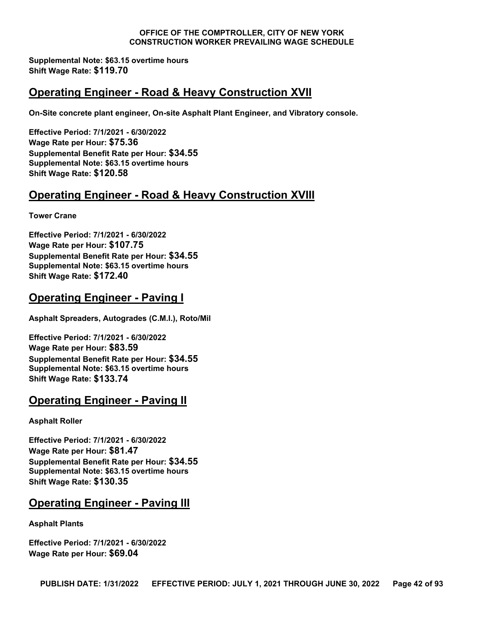**Supplemental Note: \$63.15 overtime hours Shift Wage Rate: \$119.70**

# **Operating Engineer - Road & Heavy Construction XVII**

**On-Site concrete plant engineer, On-site Asphalt Plant Engineer, and Vibratory console.**

**Effective Period: 7/1/2021 - 6/30/2022 Wage Rate per Hour: \$75.36 Supplemental Benefit Rate per Hour: \$34.55 Supplemental Note: \$63.15 overtime hours Shift Wage Rate: \$120.58**

# **Operating Engineer - Road & Heavy Construction XVIII**

**Tower Crane**

**Effective Period: 7/1/2021 - 6/30/2022 Wage Rate per Hour: \$107.75 Supplemental Benefit Rate per Hour: \$34.55 Supplemental Note: \$63.15 overtime hours Shift Wage Rate: \$172.40**

# **Operating Engineer - Paving I**

**Asphalt Spreaders, Autogrades (C.M.I.), Roto/Mil**

**Effective Period: 7/1/2021 - 6/30/2022 Wage Rate per Hour: \$83.59 Supplemental Benefit Rate per Hour: \$34.55 Supplemental Note: \$63.15 overtime hours Shift Wage Rate: \$133.74**

# **Operating Engineer - Paving II**

**Asphalt Roller**

**Effective Period: 7/1/2021 - 6/30/2022 Wage Rate per Hour: \$81.47 Supplemental Benefit Rate per Hour: \$34.55 Supplemental Note: \$63.15 overtime hours Shift Wage Rate: \$130.35**

# **Operating Engineer - Paving III**

**Asphalt Plants**

**Effective Period: 7/1/2021 - 6/30/2022 Wage Rate per Hour: \$69.04**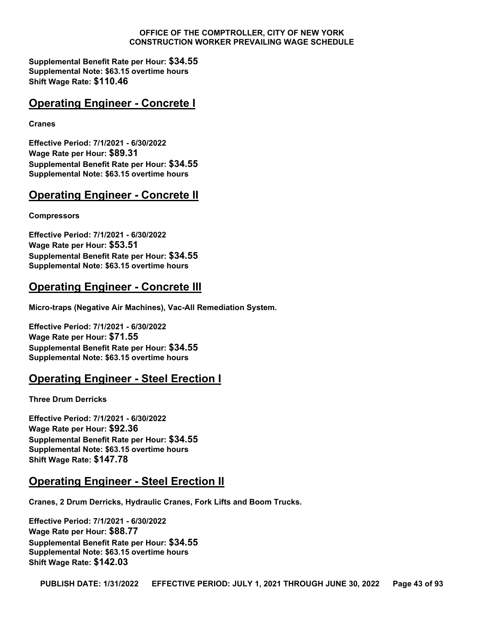**Supplemental Benefit Rate per Hour: \$34.55 Supplemental Note: \$63.15 overtime hours Shift Wage Rate: \$110.46**

# **Operating Engineer - Concrete I**

**Cranes**

**Effective Period: 7/1/2021 - 6/30/2022 Wage Rate per Hour: \$89.31 Supplemental Benefit Rate per Hour: \$34.55 Supplemental Note: \$63.15 overtime hours**

# **Operating Engineer - Concrete II**

#### **Compressors**

**Effective Period: 7/1/2021 - 6/30/2022 Wage Rate per Hour: \$53.51 Supplemental Benefit Rate per Hour: \$34.55 Supplemental Note: \$63.15 overtime hours**

# **Operating Engineer - Concrete III**

**Micro-traps (Negative Air Machines), Vac-All Remediation System.**

**Effective Period: 7/1/2021 - 6/30/2022 Wage Rate per Hour: \$71.55 Supplemental Benefit Rate per Hour: \$34.55 Supplemental Note: \$63.15 overtime hours**

# **Operating Engineer - Steel Erection I**

**Three Drum Derricks**

**Effective Period: 7/1/2021 - 6/30/2022 Wage Rate per Hour: \$92.36 Supplemental Benefit Rate per Hour: \$34.55 Supplemental Note: \$63.15 overtime hours Shift Wage Rate: \$147.78**

# **Operating Engineer - Steel Erection II**

**Cranes, 2 Drum Derricks, Hydraulic Cranes, Fork Lifts and Boom Trucks.**

**Effective Period: 7/1/2021 - 6/30/2022 Wage Rate per Hour: \$88.77 Supplemental Benefit Rate per Hour: \$34.55 Supplemental Note: \$63.15 overtime hours Shift Wage Rate: \$142.03**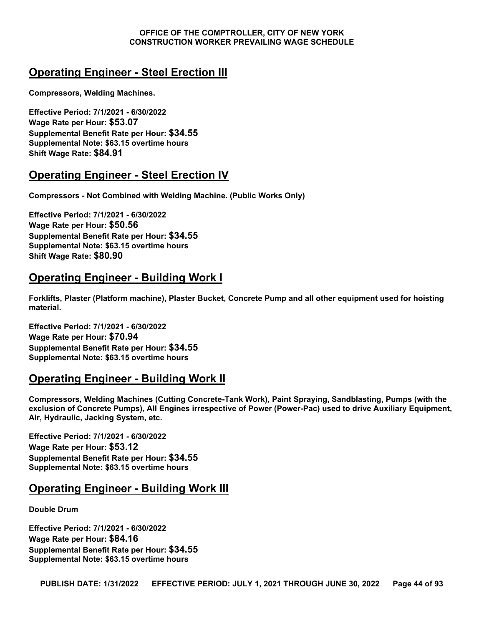# **Operating Engineer - Steel Erection III**

**Compressors, Welding Machines.**

**Effective Period: 7/1/2021 - 6/30/2022 Wage Rate per Hour: \$53.07 Supplemental Benefit Rate per Hour: \$34.55 Supplemental Note: \$63.15 overtime hours Shift Wage Rate: \$84.91**

# **Operating Engineer - Steel Erection IV**

**Compressors - Not Combined with Welding Machine. (Public Works Only)** 

**Effective Period: 7/1/2021 - 6/30/2022 Wage Rate per Hour: \$50.56 Supplemental Benefit Rate per Hour: \$34.55 Supplemental Note: \$63.15 overtime hours Shift Wage Rate: \$80.90**

# **Operating Engineer - Building Work I**

**Forklifts, Plaster (Platform machine), Plaster Bucket, Concrete Pump and all other equipment used for hoisting material.**

**Effective Period: 7/1/2021 - 6/30/2022 Wage Rate per Hour: \$70.94 Supplemental Benefit Rate per Hour: \$34.55 Supplemental Note: \$63.15 overtime hours**

# **Operating Engineer - Building Work II**

**Compressors, Welding Machines (Cutting Concrete-Tank Work), Paint Spraying, Sandblasting, Pumps (with the exclusion of Concrete Pumps), All Engines irrespective of Power (Power-Pac) used to drive Auxiliary Equipment, Air, Hydraulic, Jacking System, etc.**

**Effective Period: 7/1/2021 - 6/30/2022 Wage Rate per Hour: \$53.12 Supplemental Benefit Rate per Hour: \$34.55 Supplemental Note: \$63.15 overtime hours**

# **Operating Engineer - Building Work III**

**Double Drum**

**Effective Period: 7/1/2021 - 6/30/2022 Wage Rate per Hour: \$84.16 Supplemental Benefit Rate per Hour: \$34.55 Supplemental Note: \$63.15 overtime hours**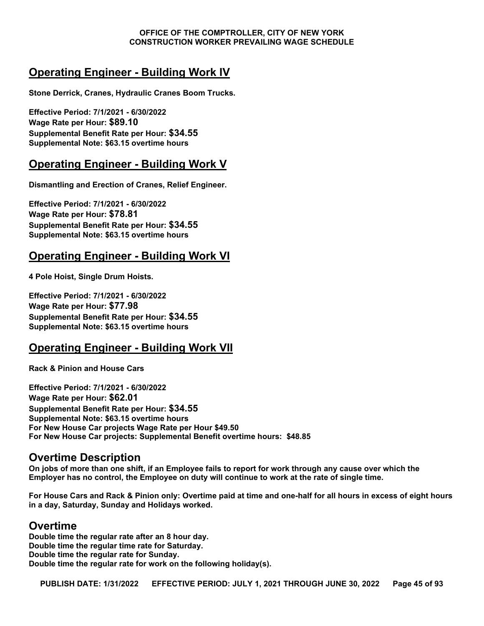# **Operating Engineer - Building Work IV**

**Stone Derrick, Cranes, Hydraulic Cranes Boom Trucks.**

**Effective Period: 7/1/2021 - 6/30/2022 Wage Rate per Hour: \$89.10 Supplemental Benefit Rate per Hour: \$34.55 Supplemental Note: \$63.15 overtime hours**

# **Operating Engineer - Building Work V**

**Dismantling and Erection of Cranes, Relief Engineer.**

**Effective Period: 7/1/2021 - 6/30/2022 Wage Rate per Hour: \$78.81 Supplemental Benefit Rate per Hour: \$34.55 Supplemental Note: \$63.15 overtime hours**

# **Operating Engineer - Building Work VI**

**4 Pole Hoist, Single Drum Hoists.**

**Effective Period: 7/1/2021 - 6/30/2022 Wage Rate per Hour: \$77.98 Supplemental Benefit Rate per Hour: \$34.55 Supplemental Note: \$63.15 overtime hours**

# **Operating Engineer - Building Work VII**

**Rack & Pinion and House Cars**

**Effective Period: 7/1/2021 - 6/30/2022 Wage Rate per Hour: \$62.01 Supplemental Benefit Rate per Hour: \$34.55 Supplemental Note: \$63.15 overtime hours For New House Car projects Wage Rate per Hour \$49.50 For New House Car projects: Supplemental Benefit overtime hours: \$48.85**

# **Overtime Description**

**On jobs of more than one shift, if an Employee fails to report for work through any cause over which the Employer has no control, the Employee on duty will continue to work at the rate of single time.**

**For House Cars and Rack & Pinion only: Overtime paid at time and one-half for all hours in excess of eight hours in a day, Saturday, Sunday and Holidays worked.**

### **Overtime**

**Double time the regular rate after an 8 hour day. Double time the regular time rate for Saturday. Double time the regular rate for Sunday. Double time the regular rate for work on the following holiday(s).**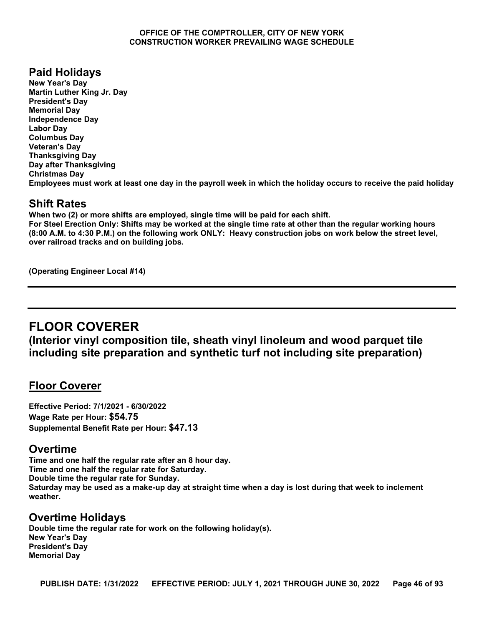# **Paid Holidays**

**New Year's Day Martin Luther King Jr. Day President's Day Memorial Day Independence Day Labor Day Columbus Day Veteran's Day Thanksgiving Day Day after Thanksgiving Christmas Day Employees must work at least one day in the payroll week in which the holiday occurs to receive the paid holiday**

# **Shift Rates**

**When two (2) or more shifts are employed, single time will be paid for each shift. For Steel Erection Only: Shifts may be worked at the single time rate at other than the regular working hours (8:00 A.M. to 4:30 P.M.) on the following work ONLY: Heavy construction jobs on work below the street level, over railroad tracks and on building jobs.**

**(Operating Engineer Local #14)**

# **FLOOR COVERER**

**(Interior vinyl composition tile, sheath vinyl linoleum and wood parquet tile including site preparation and synthetic turf not including site preparation)**

# **Floor Coverer**

**Effective Period: 7/1/2021 - 6/30/2022 Wage Rate per Hour: \$54.75 Supplemental Benefit Rate per Hour: \$47.13**

# **Overtime**

**Time and one half the regular rate after an 8 hour day. Time and one half the regular rate for Saturday. Double time the regular rate for Sunday. Saturday may be used as a make-up day at straight time when a day is lost during that week to inclement weather.**

# **Overtime Holidays**

**Double time the regular rate for work on the following holiday(s). New Year's Day President's Day Memorial Day**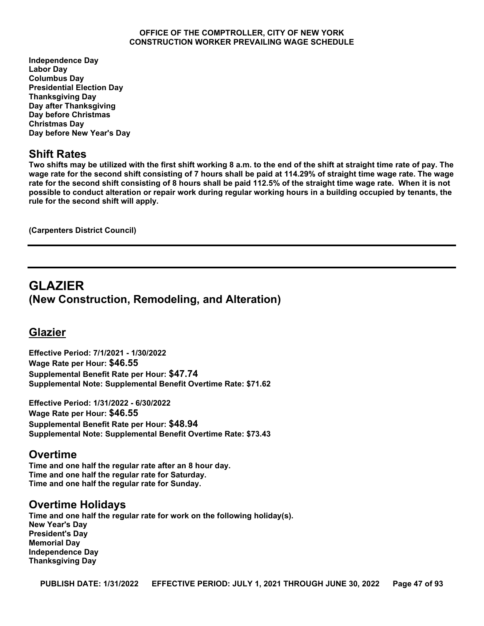**Independence Day Labor Day Columbus Day Presidential Election Day Thanksgiving Day Day after Thanksgiving Day before Christmas Christmas Day Day before New Year's Day**

## **Shift Rates**

**Two shifts may be utilized with the first shift working 8 a.m. to the end of the shift at straight time rate of pay. The wage rate for the second shift consisting of 7 hours shall be paid at 114.29% of straight time wage rate. The wage rate for the second shift consisting of 8 hours shall be paid 112.5% of the straight time wage rate. When it is not possible to conduct alteration or repair work during regular working hours in a building occupied by tenants, the rule for the second shift will apply.**

**(Carpenters District Council)**

# **GLAZIER (New Construction, Remodeling, and Alteration)**

# **Glazier**

**Effective Period: 7/1/2021 - 1/30/2022 Wage Rate per Hour: \$46.55 Supplemental Benefit Rate per Hour: \$47.74 Supplemental Note: Supplemental Benefit Overtime Rate: \$71.62**

**Effective Period: 1/31/2022 - 6/30/2022 Wage Rate per Hour: \$46.55 Supplemental Benefit Rate per Hour: \$48.94 Supplemental Note: Supplemental Benefit Overtime Rate: \$73.43**

### **Overtime**

**Time and one half the regular rate after an 8 hour day. Time and one half the regular rate for Saturday. Time and one half the regular rate for Sunday.**

# **Overtime Holidays**

**Time and one half the regular rate for work on the following holiday(s). New Year's Day President's Day Memorial Day Independence Day Thanksgiving Day**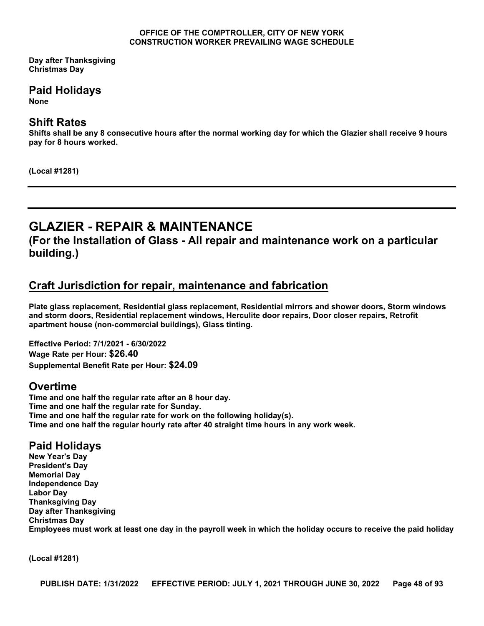**Day after Thanksgiving Christmas Day**

# **Paid Holidays**

**None**

## **Shift Rates**

**Shifts shall be any 8 consecutive hours after the normal working day for which the Glazier shall receive 9 hours pay for 8 hours worked.**

**(Local #1281)**

# **GLAZIER - REPAIR & MAINTENANCE**

**(For the Installation of Glass - All repair and maintenance work on a particular building.)**

# **Craft Jurisdiction for repair, maintenance and fabrication**

**Plate glass replacement, Residential glass replacement, Residential mirrors and shower doors, Storm windows and storm doors, Residential replacement windows, Herculite door repairs, Door closer repairs, Retrofit apartment house (non-commercial buildings), Glass tinting.**

**Effective Period: 7/1/2021 - 6/30/2022 Wage Rate per Hour: \$26.40 Supplemental Benefit Rate per Hour: \$24.09**

# **Overtime**

**Time and one half the regular rate after an 8 hour day. Time and one half the regular rate for Sunday. Time and one half the regular rate for work on the following holiday(s). Time and one half the regular hourly rate after 40 straight time hours in any work week.**

# **Paid Holidays**

**New Year's Day President's Day Memorial Day Independence Day Labor Day Thanksgiving Day Day after Thanksgiving Christmas Day Employees must work at least one day in the payroll week in which the holiday occurs to receive the paid holiday**

**(Local #1281)**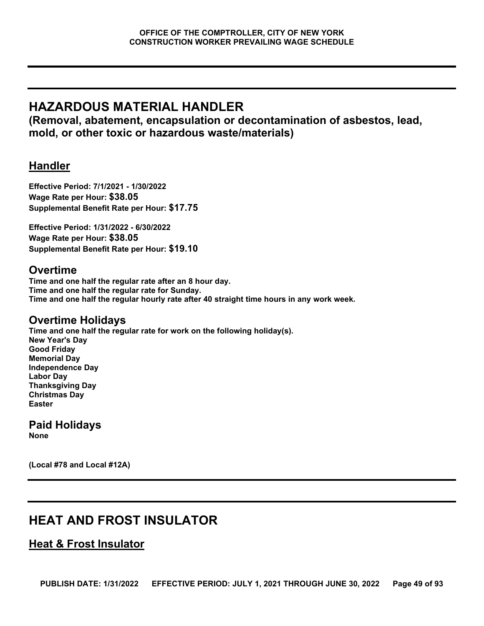# **HAZARDOUS MATERIAL HANDLER**

**(Removal, abatement, encapsulation or decontamination of asbestos, lead, mold, or other toxic or hazardous waste/materials)**

# **Handler**

**Effective Period: 7/1/2021 - 1/30/2022 Wage Rate per Hour: \$38.05 Supplemental Benefit Rate per Hour: \$17.75**

**Effective Period: 1/31/2022 - 6/30/2022 Wage Rate per Hour: \$38.05 Supplemental Benefit Rate per Hour: \$19.10**

# **Overtime**

**Time and one half the regular rate after an 8 hour day. Time and one half the regular rate for Sunday. Time and one half the regular hourly rate after 40 straight time hours in any work week.**

# **Overtime Holidays**

**Time and one half the regular rate for work on the following holiday(s). New Year's Day Good Friday Memorial Day Independence Day Labor Day Thanksgiving Day Christmas Day Easter**

# **Paid Holidays**

**None**

**(Local #78 and Local #12A)**

# **HEAT AND FROST INSULATOR**

# **Heat & Frost Insulator**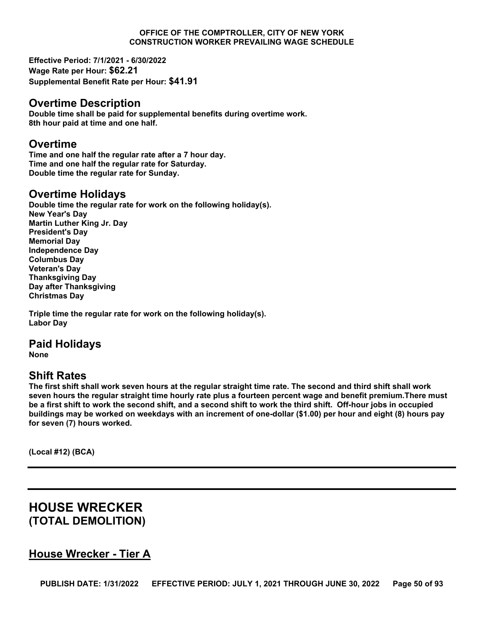**Effective Period: 7/1/2021 - 6/30/2022 Wage Rate per Hour: \$62.21 Supplemental Benefit Rate per Hour: \$41.91**

### **Overtime Description**

**Double time shall be paid for supplemental benefits during overtime work. 8th hour paid at time and one half.**

### **Overtime**

**Time and one half the regular rate after a 7 hour day. Time and one half the regular rate for Saturday. Double time the regular rate for Sunday.**

## **Overtime Holidays**

**Double time the regular rate for work on the following holiday(s). New Year's Day Martin Luther King Jr. Day President's Day Memorial Day Independence Day Columbus Day Veteran's Day Thanksgiving Day Day after Thanksgiving Christmas Day**

**Triple time the regular rate for work on the following holiday(s). Labor Day**

# **Paid Holidays**

**None**

# **Shift Rates**

**The first shift shall work seven hours at the regular straight time rate. The second and third shift shall work seven hours the regular straight time hourly rate plus a fourteen percent wage and benefit premium.There must be a first shift to work the second shift, and a second shift to work the third shift. Off-hour jobs in occupied buildings may be worked on weekdays with an increment of one-dollar (\$1.00) per hour and eight (8) hours pay for seven (7) hours worked.**

**(Local #12) (BCA)**

# **HOUSE WRECKER (TOTAL DEMOLITION)**

# **House Wrecker - Tier A**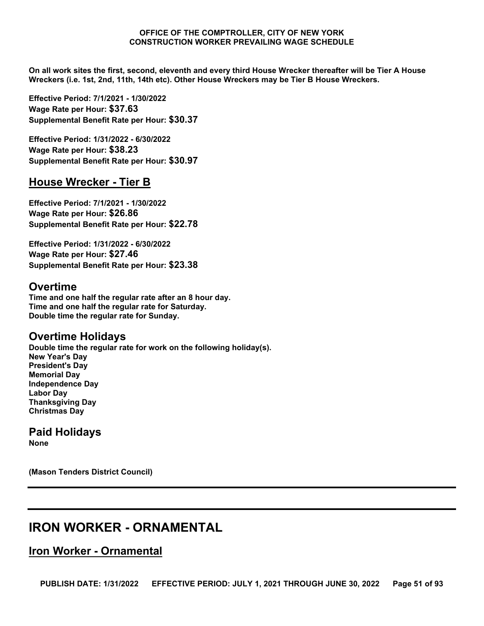**On all work sites the first, second, eleventh and every third House Wrecker thereafter will be Tier A House Wreckers (i.e. 1st, 2nd, 11th, 14th etc). Other House Wreckers may be Tier B House Wreckers.**

**Effective Period: 7/1/2021 - 1/30/2022 Wage Rate per Hour: \$37.63 Supplemental Benefit Rate per Hour: \$30.37**

**Effective Period: 1/31/2022 - 6/30/2022 Wage Rate per Hour: \$38.23 Supplemental Benefit Rate per Hour: \$30.97**

# **House Wrecker - Tier B**

**Effective Period: 7/1/2021 - 1/30/2022 Wage Rate per Hour: \$26.86 Supplemental Benefit Rate per Hour: \$22.78**

**Effective Period: 1/31/2022 - 6/30/2022 Wage Rate per Hour: \$27.46 Supplemental Benefit Rate per Hour: \$23.38**

## **Overtime**

**Time and one half the regular rate after an 8 hour day. Time and one half the regular rate for Saturday. Double time the regular rate for Sunday.**

# **Overtime Holidays**

**Double time the regular rate for work on the following holiday(s). New Year's Day President's Day Memorial Day Independence Day Labor Day Thanksgiving Day Christmas Day**

**Paid Holidays None**

**(Mason Tenders District Council)**

# **IRON WORKER - ORNAMENTAL**

# **Iron Worker - Ornamental**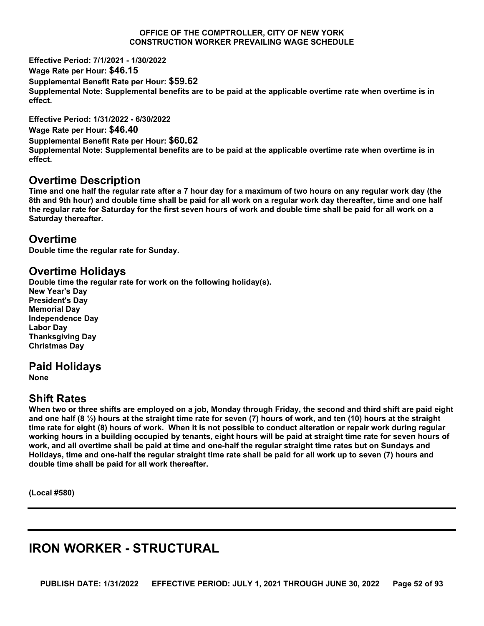**Effective Period: 7/1/2021 - 1/30/2022**

**Wage Rate per Hour: \$46.15 Supplemental Benefit Rate per Hour: \$59.62 Supplemental Note: Supplemental benefits are to be paid at the applicable overtime rate when overtime is in effect.**

**Effective Period: 1/31/2022 - 6/30/2022 Wage Rate per Hour: \$46.40 Supplemental Benefit Rate per Hour: \$60.62 Supplemental Note: Supplemental benefits are to be paid at the applicable overtime rate when overtime is in effect.**

### **Overtime Description**

**Time and one half the regular rate after a 7 hour day for a maximum of two hours on any regular work day (the 8th and 9th hour) and double time shall be paid for all work on a regular work day thereafter, time and one half the regular rate for Saturday for the first seven hours of work and double time shall be paid for all work on a Saturday thereafter.**

## **Overtime**

**Double time the regular rate for Sunday.**

## **Overtime Holidays**

**Double time the regular rate for work on the following holiday(s). New Year's Day President's Day Memorial Day Independence Day Labor Day Thanksgiving Day Christmas Day**

# **Paid Holidays**

**None**

# **Shift Rates**

**When two or three shifts are employed on a job, Monday through Friday, the second and third shift are paid eight and one half (8 ½) hours at the straight time rate for seven (7) hours of work, and ten (10) hours at the straight time rate for eight (8) hours of work. When it is not possible to conduct alteration or repair work during regular working hours in a building occupied by tenants, eight hours will be paid at straight time rate for seven hours of work, and all overtime shall be paid at time and one-half the regular straight time rates but on Sundays and Holidays, time and one-half the regular straight time rate shall be paid for all work up to seven (7) hours and double time shall be paid for all work thereafter.**

**(Local #580)**

# **IRON WORKER - STRUCTURAL**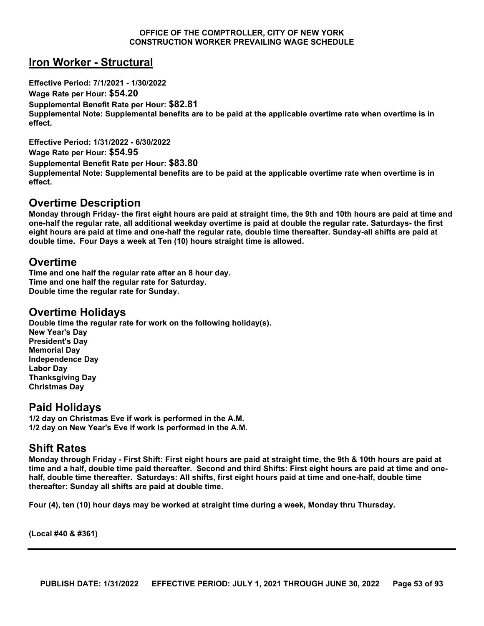# **Iron Worker - Structural**

**Effective Period: 7/1/2021 - 1/30/2022 Wage Rate per Hour: \$54.20 Supplemental Benefit Rate per Hour: \$82.81 Supplemental Note: Supplemental benefits are to be paid at the applicable overtime rate when overtime is in effect.**

**Effective Period: 1/31/2022 - 6/30/2022 Wage Rate per Hour: \$54.95 Supplemental Benefit Rate per Hour: \$83.80 Supplemental Note: Supplemental benefits are to be paid at the applicable overtime rate when overtime is in effect.**

### **Overtime Description**

**Monday through Friday- the first eight hours are paid at straight time, the 9th and 10th hours are paid at time and one-half the regular rate, all additional weekday overtime is paid at double the regular rate. Saturdays- the first eight hours are paid at time and one-half the regular rate, double time thereafter. Sunday-all shifts are paid at double time. Four Days a week at Ten (10) hours straight time is allowed.**

#### **Overtime**

**Time and one half the regular rate after an 8 hour day. Time and one half the regular rate for Saturday. Double time the regular rate for Sunday.**

#### **Overtime Holidays**

**Double time the regular rate for work on the following holiday(s). New Year's Day President's Day Memorial Day Independence Day Labor Day Thanksgiving Day Christmas Day**

### **Paid Holidays**

**1/2 day on Christmas Eve if work is performed in the A.M. 1/2 day on New Year's Eve if work is performed in the A.M.**

#### **Shift Rates**

**Monday through Friday - First Shift: First eight hours are paid at straight time, the 9th & 10th hours are paid at time and a half, double time paid thereafter. Second and third Shifts: First eight hours are paid at time and onehalf, double time thereafter. Saturdays: All shifts, first eight hours paid at time and one-half, double time thereafter: Sunday all shifts are paid at double time.**

**Four (4), ten (10) hour days may be worked at straight time during a week, Monday thru Thursday.**

**(Local #40 & #361)**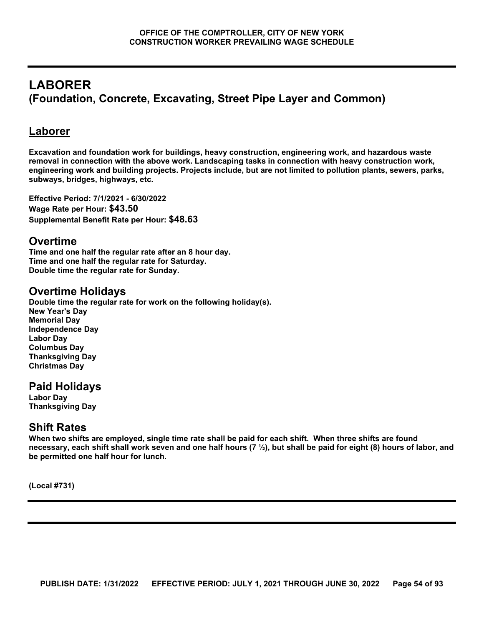# **LABORER (Foundation, Concrete, Excavating, Street Pipe Layer and Common)**

# **Laborer**

**Excavation and foundation work for buildings, heavy construction, engineering work, and hazardous waste removal in connection with the above work. Landscaping tasks in connection with heavy construction work, engineering work and building projects. Projects include, but are not limited to pollution plants, sewers, parks, subways, bridges, highways, etc.**

**Effective Period: 7/1/2021 - 6/30/2022 Wage Rate per Hour: \$43.50 Supplemental Benefit Rate per Hour: \$48.63**

## **Overtime**

**Time and one half the regular rate after an 8 hour day. Time and one half the regular rate for Saturday. Double time the regular rate for Sunday.**

# **Overtime Holidays**

**Double time the regular rate for work on the following holiday(s). New Year's Day Memorial Day Independence Day Labor Day Columbus Day Thanksgiving Day Christmas Day**

# **Paid Holidays**

**Labor Day Thanksgiving Day**

# **Shift Rates**

**When two shifts are employed, single time rate shall be paid for each shift. When three shifts are found necessary, each shift shall work seven and one half hours (7 ½), but shall be paid for eight (8) hours of labor, and be permitted one half hour for lunch.**

**(Local #731)**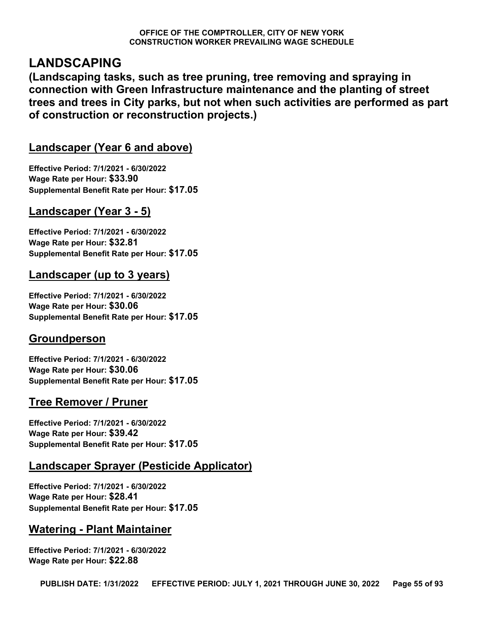# **LANDSCAPING**

**(Landscaping tasks, such as tree pruning, tree removing and spraying in connection with Green Infrastructure maintenance and the planting of street trees and trees in City parks, but not when such activities are performed as part of construction or reconstruction projects.)**

# **Landscaper (Year 6 and above)**

**Effective Period: 7/1/2021 - 6/30/2022 Wage Rate per Hour: \$33.90 Supplemental Benefit Rate per Hour: \$17.05**

# **Landscaper (Year 3 - 5)**

**Effective Period: 7/1/2021 - 6/30/2022 Wage Rate per Hour: \$32.81 Supplemental Benefit Rate per Hour: \$17.05**

# **Landscaper (up to 3 years)**

**Effective Period: 7/1/2021 - 6/30/2022 Wage Rate per Hour: \$30.06 Supplemental Benefit Rate per Hour: \$17.05**

# **Groundperson**

**Effective Period: 7/1/2021 - 6/30/2022 Wage Rate per Hour: \$30.06 Supplemental Benefit Rate per Hour: \$17.05**

# **Tree Remover / Pruner**

**Effective Period: 7/1/2021 - 6/30/2022 Wage Rate per Hour: \$39.42 Supplemental Benefit Rate per Hour: \$17.05**

# **Landscaper Sprayer (Pesticide Applicator)**

**Effective Period: 7/1/2021 - 6/30/2022 Wage Rate per Hour: \$28.41 Supplemental Benefit Rate per Hour: \$17.05**

# **Watering - Plant Maintainer**

**Effective Period: 7/1/2021 - 6/30/2022 Wage Rate per Hour: \$22.88**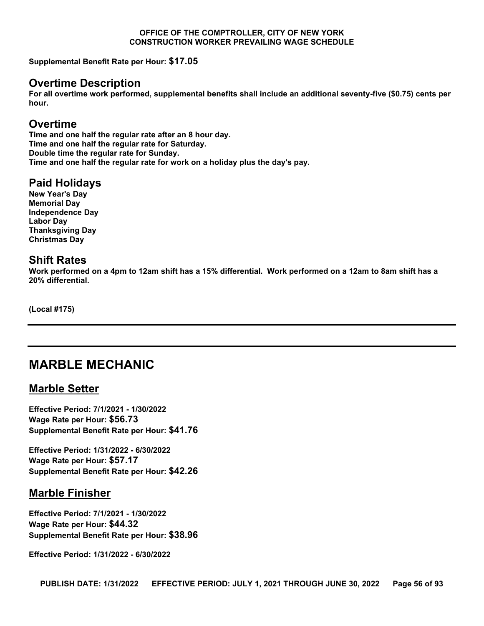**Supplemental Benefit Rate per Hour: \$17.05**

### **Overtime Description**

**For all overtime work performed, supplemental benefits shall include an additional seventy-five (\$0.75) cents per hour.**

### **Overtime**

**Time and one half the regular rate after an 8 hour day. Time and one half the regular rate for Saturday. Double time the regular rate for Sunday. Time and one half the regular rate for work on a holiday plus the day's pay.**

### **Paid Holidays**

**New Year's Day Memorial Day Independence Day Labor Day Thanksgiving Day Christmas Day**

### **Shift Rates**

**Work performed on a 4pm to 12am shift has a 15% differential. Work performed on a 12am to 8am shift has a 20% differential.**

**(Local #175)**

# **MARBLE MECHANIC**

### **Marble Setter**

**Effective Period: 7/1/2021 - 1/30/2022 Wage Rate per Hour: \$56.73 Supplemental Benefit Rate per Hour: \$41.76**

**Effective Period: 1/31/2022 - 6/30/2022 Wage Rate per Hour: \$57.17 Supplemental Benefit Rate per Hour: \$42.26**

# **Marble Finisher**

**Effective Period: 7/1/2021 - 1/30/2022 Wage Rate per Hour: \$44.32 Supplemental Benefit Rate per Hour: \$38.96**

**Effective Period: 1/31/2022 - 6/30/2022**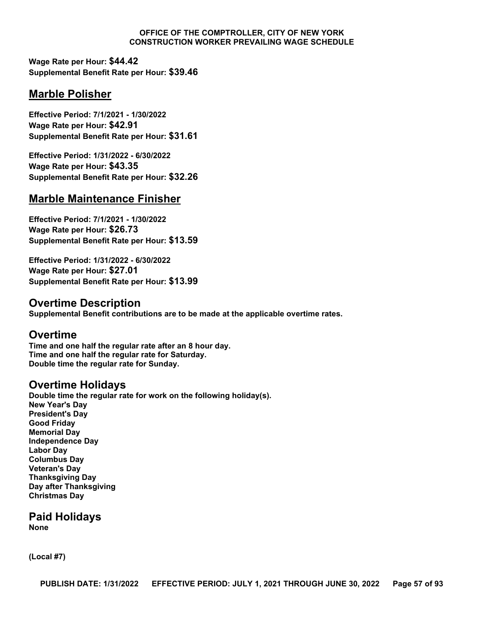**Wage Rate per Hour: \$44.42 Supplemental Benefit Rate per Hour: \$39.46**

# **Marble Polisher**

**Effective Period: 7/1/2021 - 1/30/2022 Wage Rate per Hour: \$42.91 Supplemental Benefit Rate per Hour: \$31.61**

**Effective Period: 1/31/2022 - 6/30/2022 Wage Rate per Hour: \$43.35 Supplemental Benefit Rate per Hour: \$32.26**

# **Marble Maintenance Finisher**

**Effective Period: 7/1/2021 - 1/30/2022 Wage Rate per Hour: \$26.73 Supplemental Benefit Rate per Hour: \$13.59**

**Effective Period: 1/31/2022 - 6/30/2022 Wage Rate per Hour: \$27.01 Supplemental Benefit Rate per Hour: \$13.99**

## **Overtime Description**

**Supplemental Benefit contributions are to be made at the applicable overtime rates.**

### **Overtime**

**Time and one half the regular rate after an 8 hour day. Time and one half the regular rate for Saturday. Double time the regular rate for Sunday.**

### **Overtime Holidays**

**Double time the regular rate for work on the following holiday(s). New Year's Day President's Day Good Friday Memorial Day Independence Day Labor Day Columbus Day Veteran's Day Thanksgiving Day Day after Thanksgiving Christmas Day**

**Paid Holidays None**

**(Local #7)**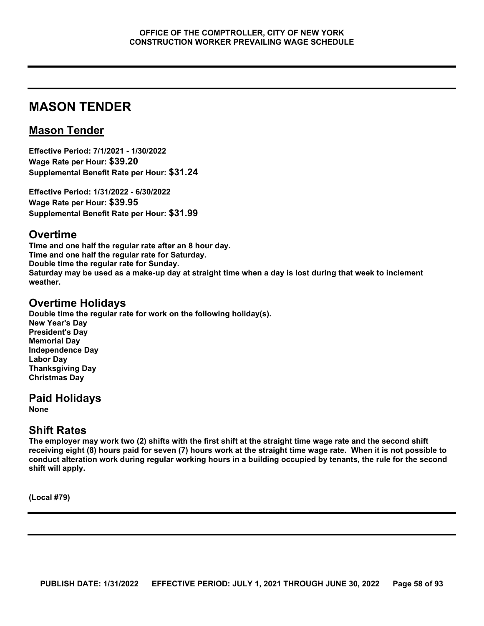# **MASON TENDER**

# **Mason Tender**

**Effective Period: 7/1/2021 - 1/30/2022 Wage Rate per Hour: \$39.20 Supplemental Benefit Rate per Hour: \$31.24**

**Effective Period: 1/31/2022 - 6/30/2022 Wage Rate per Hour: \$39.95 Supplemental Benefit Rate per Hour: \$31.99**

### **Overtime**

**Time and one half the regular rate after an 8 hour day. Time and one half the regular rate for Saturday. Double time the regular rate for Sunday. Saturday may be used as a make-up day at straight time when a day is lost during that week to inclement weather.**

## **Overtime Holidays**

**Double time the regular rate for work on the following holiday(s). New Year's Day President's Day Memorial Day Independence Day Labor Day Thanksgiving Day Christmas Day**

# **Paid Holidays**

**None**

# **Shift Rates**

**The employer may work two (2) shifts with the first shift at the straight time wage rate and the second shift receiving eight (8) hours paid for seven (7) hours work at the straight time wage rate. When it is not possible to conduct alteration work during regular working hours in a building occupied by tenants, the rule for the second shift will apply.**

**(Local #79)**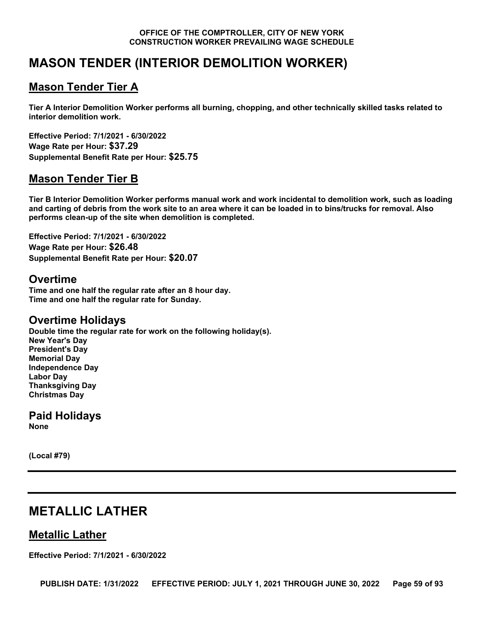# **MASON TENDER (INTERIOR DEMOLITION WORKER)**

# **Mason Tender Tier A**

**Tier A Interior Demolition Worker performs all burning, chopping, and other technically skilled tasks related to interior demolition work.**

**Effective Period: 7/1/2021 - 6/30/2022 Wage Rate per Hour: \$37.29 Supplemental Benefit Rate per Hour: \$25.75**

# **Mason Tender Tier B**

**Tier B Interior Demolition Worker performs manual work and work incidental to demolition work, such as loading and carting of debris from the work site to an area where it can be loaded in to bins/trucks for removal. Also performs clean-up of the site when demolition is completed.**

**Effective Period: 7/1/2021 - 6/30/2022 Wage Rate per Hour: \$26.48 Supplemental Benefit Rate per Hour: \$20.07**

# **Overtime**

**Time and one half the regular rate after an 8 hour day. Time and one half the regular rate for Sunday.**

# **Overtime Holidays**

**Double time the regular rate for work on the following holiday(s). New Year's Day President's Day Memorial Day Independence Day Labor Day Thanksgiving Day Christmas Day**

**Paid Holidays None**

**(Local #79)**

# **METALLIC LATHER**

# **Metallic Lather**

**Effective Period: 7/1/2021 - 6/30/2022**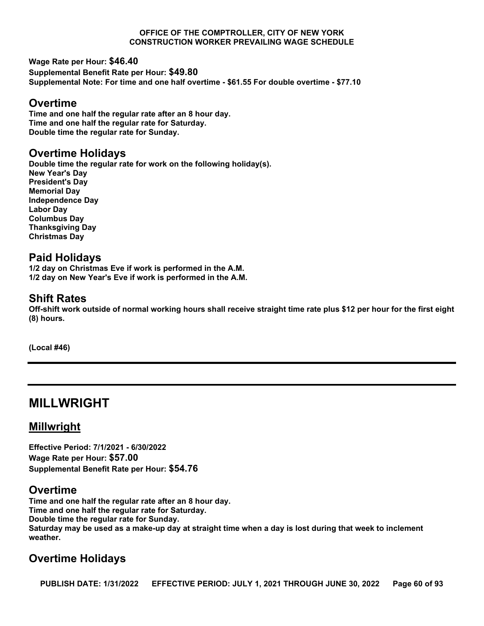**Wage Rate per Hour: \$46.40 Supplemental Benefit Rate per Hour: \$49.80 Supplemental Note: For time and one half overtime - \$61.55 For double overtime - \$77.10**

### **Overtime**

**Time and one half the regular rate after an 8 hour day. Time and one half the regular rate for Saturday. Double time the regular rate for Sunday.**

# **Overtime Holidays**

**Double time the regular rate for work on the following holiday(s). New Year's Day President's Day Memorial Day Independence Day Labor Day Columbus Day Thanksgiving Day Christmas Day**

# **Paid Holidays**

**1/2 day on Christmas Eve if work is performed in the A.M. 1/2 day on New Year's Eve if work is performed in the A.M.**

# **Shift Rates**

**Off-shift work outside of normal working hours shall receive straight time rate plus \$12 per hour for the first eight (8) hours.**

**(Local #46)**

# **MILLWRIGHT**

# **Millwright**

**Effective Period: 7/1/2021 - 6/30/2022 Wage Rate per Hour: \$57.00 Supplemental Benefit Rate per Hour: \$54.76**

# **Overtime**

**Time and one half the regular rate after an 8 hour day. Time and one half the regular rate for Saturday. Double time the regular rate for Sunday. Saturday may be used as a make-up day at straight time when a day is lost during that week to inclement weather.**

# **Overtime Holidays**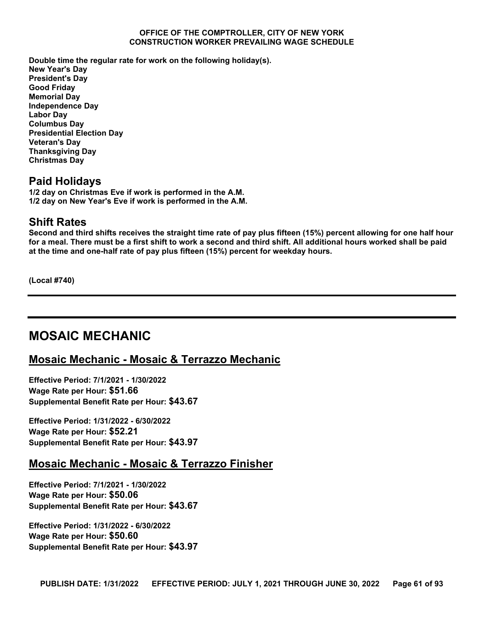**Double time the regular rate for work on the following holiday(s). New Year's Day President's Day Good Friday Memorial Day Independence Day Labor Day Columbus Day Presidential Election Day Veteran's Day Thanksgiving Day Christmas Day**

## **Paid Holidays**

**1/2 day on Christmas Eve if work is performed in the A.M. 1/2 day on New Year's Eve if work is performed in the A.M.**

### **Shift Rates**

**Second and third shifts receives the straight time rate of pay plus fifteen (15%) percent allowing for one half hour for a meal. There must be a first shift to work a second and third shift. All additional hours worked shall be paid at the time and one-half rate of pay plus fifteen (15%) percent for weekday hours.**

**(Local #740)**

# **MOSAIC MECHANIC**

# **Mosaic Mechanic - Mosaic & Terrazzo Mechanic**

**Effective Period: 7/1/2021 - 1/30/2022 Wage Rate per Hour: \$51.66 Supplemental Benefit Rate per Hour: \$43.67**

**Effective Period: 1/31/2022 - 6/30/2022 Wage Rate per Hour: \$52.21 Supplemental Benefit Rate per Hour: \$43.97**

### **Mosaic Mechanic - Mosaic & Terrazzo Finisher**

**Effective Period: 7/1/2021 - 1/30/2022 Wage Rate per Hour: \$50.06 Supplemental Benefit Rate per Hour: \$43.67**

**Effective Period: 1/31/2022 - 6/30/2022 Wage Rate per Hour: \$50.60 Supplemental Benefit Rate per Hour: \$43.97**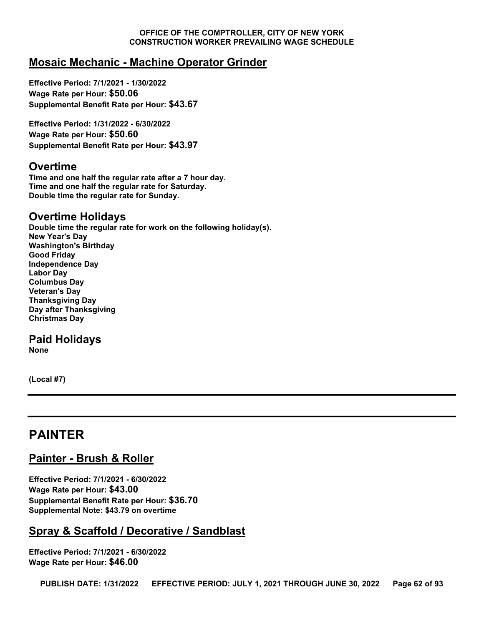# **Mosaic Mechanic - Machine Operator Grinder**

**Effective Period: 7/1/2021 - 1/30/2022 Wage Rate per Hour: \$50.06 Supplemental Benefit Rate per Hour: \$43.67**

**Effective Period: 1/31/2022 - 6/30/2022 Wage Rate per Hour: \$50.60 Supplemental Benefit Rate per Hour: \$43.97**

#### **Overtime**

**Time and one half the regular rate after a 7 hour day. Time and one half the regular rate for Saturday. Double time the regular rate for Sunday.**

### **Overtime Holidays**

**Double time the regular rate for work on the following holiday(s). New Year's Day Washington's Birthday Good Friday Independence Day Labor Day Columbus Day Veteran's Day Thanksgiving Day Day after Thanksgiving Christmas Day**

### **Paid Holidays**

**None**

**(Local #7)**

# **PAINTER**

# **Painter - Brush & Roller**

**Effective Period: 7/1/2021 - 6/30/2022 Wage Rate per Hour: \$43.00 Supplemental Benefit Rate per Hour: \$36.70 Supplemental Note: \$43.79 on overtime**

# **Spray & Scaffold / Decorative / Sandblast**

**Effective Period: 7/1/2021 - 6/30/2022 Wage Rate per Hour: \$46.00**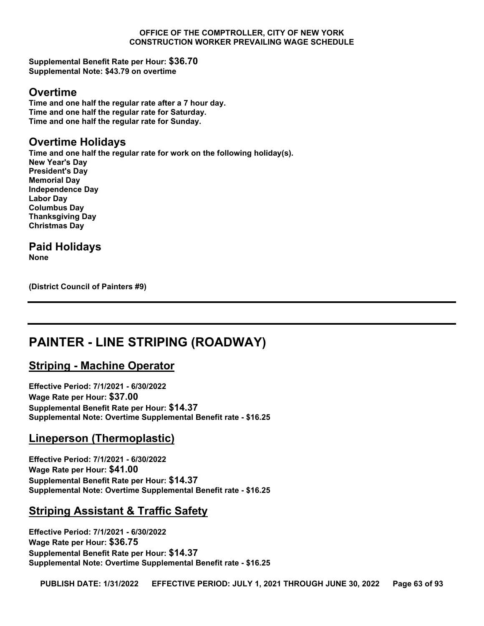**Supplemental Benefit Rate per Hour: \$36.70 Supplemental Note: \$43.79 on overtime**

#### **Overtime**

**Time and one half the regular rate after a 7 hour day. Time and one half the regular rate for Saturday. Time and one half the regular rate for Sunday.**

# **Overtime Holidays**

**Time and one half the regular rate for work on the following holiday(s). New Year's Day President's Day Memorial Day Independence Day Labor Day Columbus Day Thanksgiving Day Christmas Day**

# **Paid Holidays**

**None**

**(District Council of Painters #9)**

# **PAINTER - LINE STRIPING (ROADWAY)**

# **Striping - Machine Operator**

**Effective Period: 7/1/2021 - 6/30/2022 Wage Rate per Hour: \$37.00 Supplemental Benefit Rate per Hour: \$14.37 Supplemental Note: Overtime Supplemental Benefit rate - \$16.25**

# **Lineperson (Thermoplastic)**

**Effective Period: 7/1/2021 - 6/30/2022 Wage Rate per Hour: \$41.00 Supplemental Benefit Rate per Hour: \$14.37 Supplemental Note: Overtime Supplemental Benefit rate - \$16.25**

# **Striping Assistant & Traffic Safety**

**Effective Period: 7/1/2021 - 6/30/2022 Wage Rate per Hour: \$36.75 Supplemental Benefit Rate per Hour: \$14.37 Supplemental Note: Overtime Supplemental Benefit rate - \$16.25**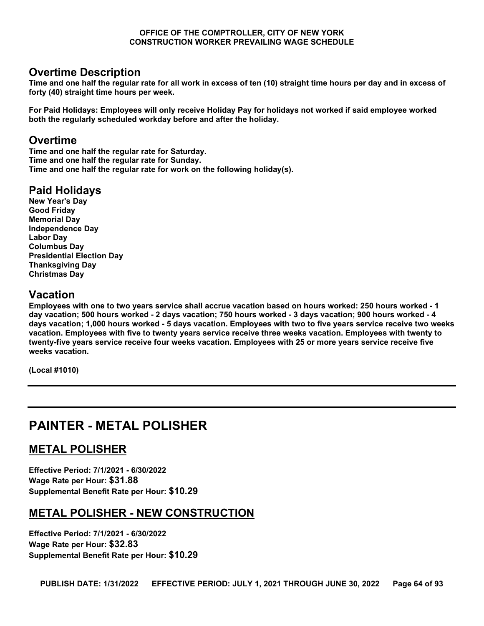## **Overtime Description**

**Time and one half the regular rate for all work in excess of ten (10) straight time hours per day and in excess of forty (40) straight time hours per week.** 

**For Paid Holidays: Employees will only receive Holiday Pay for holidays not worked if said employee worked both the regularly scheduled workday before and after the holiday.**

## **Overtime**

**Time and one half the regular rate for Saturday. Time and one half the regular rate for Sunday. Time and one half the regular rate for work on the following holiday(s).**

# **Paid Holidays**

**New Year's Day Good Friday Memorial Day Independence Day Labor Day Columbus Day Presidential Election Day Thanksgiving Day Christmas Day**

# **Vacation**

**Employees with one to two years service shall accrue vacation based on hours worked: 250 hours worked - 1 day vacation; 500 hours worked - 2 days vacation; 750 hours worked - 3 days vacation; 900 hours worked - 4 days vacation; 1,000 hours worked - 5 days vacation. Employees with two to five years service receive two weeks vacation. Employees with five to twenty years service receive three weeks vacation. Employees with twenty to twenty-five years service receive four weeks vacation. Employees with 25 or more years service receive five weeks vacation.**

**(Local #1010)**

# **PAINTER - METAL POLISHER**

# **METAL POLISHER**

**Effective Period: 7/1/2021 - 6/30/2022 Wage Rate per Hour: \$31.88 Supplemental Benefit Rate per Hour: \$10.29**

# **METAL POLISHER - NEW CONSTRUCTION**

**Effective Period: 7/1/2021 - 6/30/2022 Wage Rate per Hour: \$32.83 Supplemental Benefit Rate per Hour: \$10.29**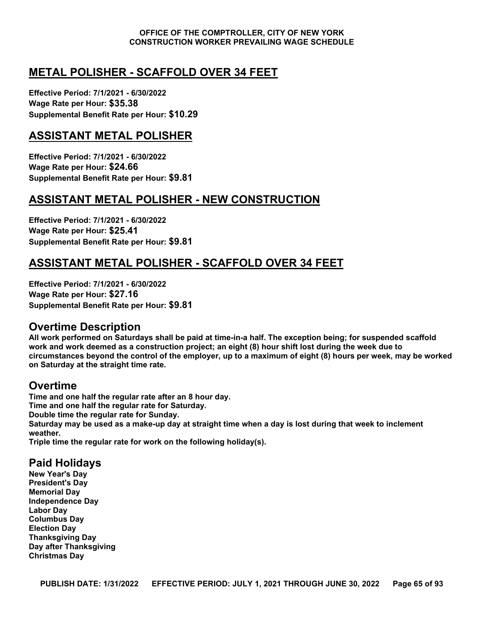# **METAL POLISHER - SCAFFOLD OVER 34 FEET**

**Effective Period: 7/1/2021 - 6/30/2022 Wage Rate per Hour: \$35.38 Supplemental Benefit Rate per Hour: \$10.29**

# **ASSISTANT METAL POLISHER**

**Effective Period: 7/1/2021 - 6/30/2022 Wage Rate per Hour: \$24.66 Supplemental Benefit Rate per Hour: \$9.81**

# **ASSISTANT METAL POLISHER - NEW CONSTRUCTION**

**Effective Period: 7/1/2021 - 6/30/2022 Wage Rate per Hour: \$25.41 Supplemental Benefit Rate per Hour: \$9.81**

# **ASSISTANT METAL POLISHER - SCAFFOLD OVER 34 FEET**

**Effective Period: 7/1/2021 - 6/30/2022 Wage Rate per Hour: \$27.16 Supplemental Benefit Rate per Hour: \$9.81**

### **Overtime Description**

**All work performed on Saturdays shall be paid at time-in-a half. The exception being; for suspended scaffold work and work deemed as a construction project; an eight (8) hour shift lost during the week due to circumstances beyond the control of the employer, up to a maximum of eight (8) hours per week, may be worked on Saturday at the straight time rate.**

# **Overtime**

**Time and one half the regular rate after an 8 hour day. Time and one half the regular rate for Saturday. Double time the regular rate for Sunday. Saturday may be used as a make-up day at straight time when a day is lost during that week to inclement weather.**

**Triple time the regular rate for work on the following holiday(s).**

# **Paid Holidays**

**New Year's Day President's Day Memorial Day Independence Day Labor Day Columbus Day Election Day Thanksgiving Day Day after Thanksgiving Christmas Day**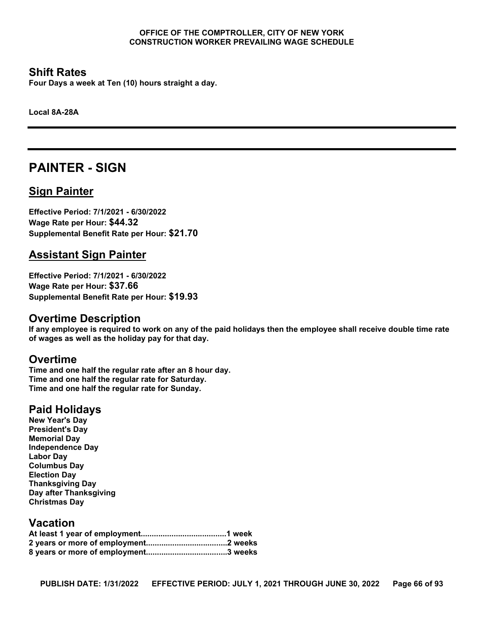### **Shift Rates**

**Four Days a week at Ten (10) hours straight a day.**

**Local 8A-28A**

# **PAINTER - SIGN**

# **Sign Painter**

**Effective Period: 7/1/2021 - 6/30/2022 Wage Rate per Hour: \$44.32 Supplemental Benefit Rate per Hour: \$21.70**

# **Assistant Sign Painter**

**Effective Period: 7/1/2021 - 6/30/2022 Wage Rate per Hour: \$37.66 Supplemental Benefit Rate per Hour: \$19.93**

# **Overtime Description**

**If any employee is required to work on any of the paid holidays then the employee shall receive double time rate of wages as well as the holiday pay for that day.**

### **Overtime**

**Time and one half the regular rate after an 8 hour day. Time and one half the regular rate for Saturday. Time and one half the regular rate for Sunday.**

# **Paid Holidays**

**New Year's Day President's Day Memorial Day Independence Day Labor Day Columbus Day Election Day Thanksgiving Day Day after Thanksgiving Christmas Day**

## **Vacation**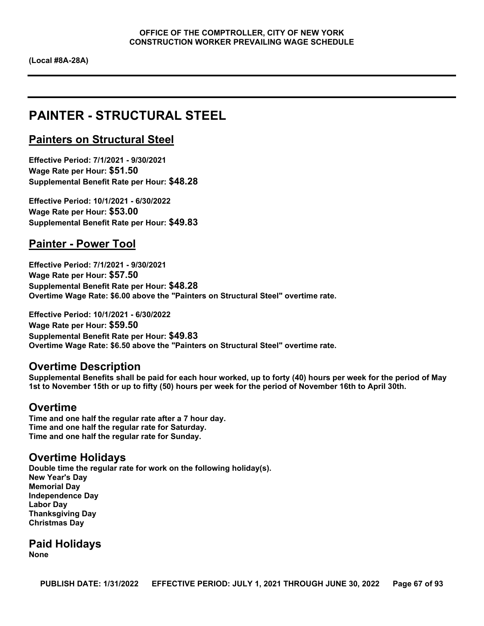# **PAINTER - STRUCTURAL STEEL**

### **Painters on Structural Steel**

**Effective Period: 7/1/2021 - 9/30/2021 Wage Rate per Hour: \$51.50 Supplemental Benefit Rate per Hour: \$48.28**

**Effective Period: 10/1/2021 - 6/30/2022 Wage Rate per Hour: \$53.00 Supplemental Benefit Rate per Hour: \$49.83**

## **Painter - Power Tool**

**Effective Period: 7/1/2021 - 9/30/2021 Wage Rate per Hour: \$57.50 Supplemental Benefit Rate per Hour: \$48.28 Overtime Wage Rate: \$6.00 above the "Painters on Structural Steel" overtime rate.**

**Effective Period: 10/1/2021 - 6/30/2022 Wage Rate per Hour: \$59.50 Supplemental Benefit Rate per Hour: \$49.83 Overtime Wage Rate: \$6.50 above the "Painters on Structural Steel" overtime rate.**

#### **Overtime Description**

**Supplemental Benefits shall be paid for each hour worked, up to forty (40) hours per week for the period of May 1st to November 15th or up to fifty (50) hours per week for the period of November 16th to April 30th.**

#### **Overtime**

**Time and one half the regular rate after a 7 hour day. Time and one half the regular rate for Saturday. Time and one half the regular rate for Sunday.**

### **Overtime Holidays**

**Double time the regular rate for work on the following holiday(s). New Year's Day Memorial Day Independence Day Labor Day Thanksgiving Day Christmas Day**

**Paid Holidays None**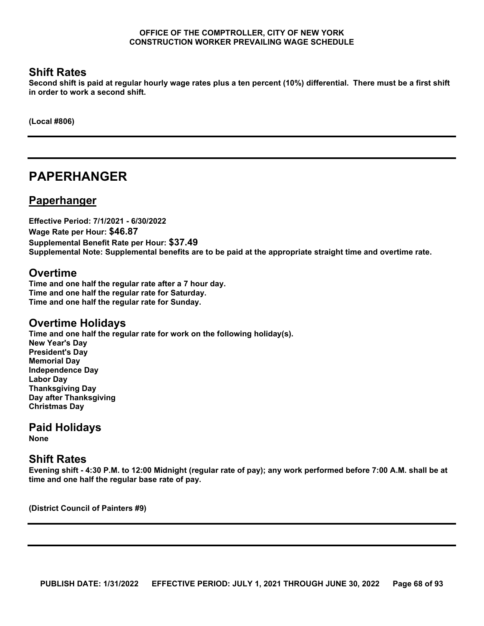## **Shift Rates**

**Second shift is paid at regular hourly wage rates plus a ten percent (10%) differential. There must be a first shift in order to work a second shift.**

**(Local #806)**

# **PAPERHANGER**

### **Paperhanger**

**Effective Period: 7/1/2021 - 6/30/2022 Wage Rate per Hour: \$46.87 Supplemental Benefit Rate per Hour: \$37.49 Supplemental Note: Supplemental benefits are to be paid at the appropriate straight time and overtime rate.**

### **Overtime**

**Time and one half the regular rate after a 7 hour day. Time and one half the regular rate for Saturday. Time and one half the regular rate for Sunday.**

# **Overtime Holidays**

**Time and one half the regular rate for work on the following holiday(s). New Year's Day President's Day Memorial Day Independence Day Labor Day Thanksgiving Day Day after Thanksgiving Christmas Day**

# **Paid Holidays**

**None**

### **Shift Rates**

**Evening shift - 4:30 P.M. to 12:00 Midnight (regular rate of pay); any work performed before 7:00 A.M. shall be at time and one half the regular base rate of pay.**

**(District Council of Painters #9)**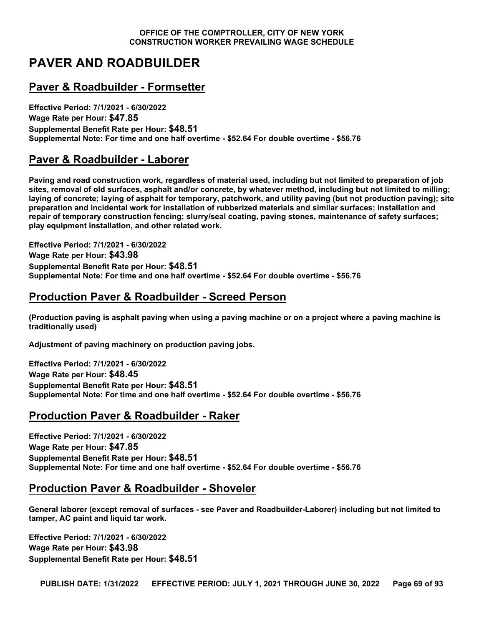# **PAVER AND ROADBUILDER**

# **Paver & Roadbuilder - Formsetter**

**Effective Period: 7/1/2021 - 6/30/2022 Wage Rate per Hour: \$47.85 Supplemental Benefit Rate per Hour: \$48.51 Supplemental Note: For time and one half overtime - \$52.64 For double overtime - \$56.76**

# **Paver & Roadbuilder - Laborer**

**Paving and road construction work, regardless of material used, including but not limited to preparation of job sites, removal of old surfaces, asphalt and/or concrete, by whatever method, including but not limited to milling; laying of concrete; laying of asphalt for temporary, patchwork, and utility paving (but not production paving); site preparation and incidental work for installation of rubberized materials and similar surfaces; installation and repair of temporary construction fencing; slurry/seal coating, paving stones, maintenance of safety surfaces; play equipment installation, and other related work.**

**Effective Period: 7/1/2021 - 6/30/2022 Wage Rate per Hour: \$43.98 Supplemental Benefit Rate per Hour: \$48.51 Supplemental Note: For time and one half overtime - \$52.64 For double overtime - \$56.76**

# **Production Paver & Roadbuilder - Screed Person**

**(Production paving is asphalt paving when using a paving machine or on a project where a paving machine is traditionally used)**

**Adjustment of paving machinery on production paving jobs.**

**Effective Period: 7/1/2021 - 6/30/2022 Wage Rate per Hour: \$48.45 Supplemental Benefit Rate per Hour: \$48.51 Supplemental Note: For time and one half overtime - \$52.64 For double overtime - \$56.76**

# **Production Paver & Roadbuilder - Raker**

**Effective Period: 7/1/2021 - 6/30/2022 Wage Rate per Hour: \$47.85 Supplemental Benefit Rate per Hour: \$48.51 Supplemental Note: For time and one half overtime - \$52.64 For double overtime - \$56.76**

# **Production Paver & Roadbuilder - Shoveler**

**General laborer (except removal of surfaces - see Paver and Roadbuilder-Laborer) including but not limited to tamper, AC paint and liquid tar work.**

**Effective Period: 7/1/2021 - 6/30/2022 Wage Rate per Hour: \$43.98 Supplemental Benefit Rate per Hour: \$48.51**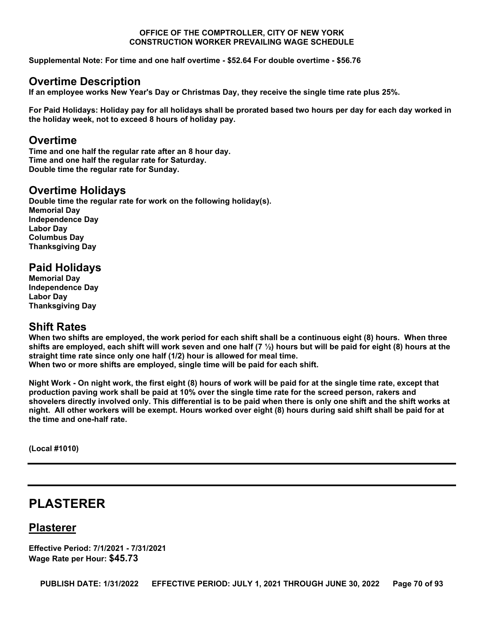**Supplemental Note: For time and one half overtime - \$52.64 For double overtime - \$56.76**

### **Overtime Description**

**If an employee works New Year's Day or Christmas Day, they receive the single time rate plus 25%.** 

**For Paid Holidays: Holiday pay for all holidays shall be prorated based two hours per day for each day worked in the holiday week, not to exceed 8 hours of holiday pay.**

### **Overtime**

**Time and one half the regular rate after an 8 hour day. Time and one half the regular rate for Saturday. Double time the regular rate for Sunday.**

### **Overtime Holidays**

**Double time the regular rate for work on the following holiday(s). Memorial Day Independence Day Labor Day Columbus Day Thanksgiving Day**

### **Paid Holidays**

**Memorial Day Independence Day Labor Day Thanksgiving Day**

### **Shift Rates**

**When two shifts are employed, the work period for each shift shall be a continuous eight (8) hours. When three shifts are employed, each shift will work seven and one half (7 ½) hours but will be paid for eight (8) hours at the straight time rate since only one half (1/2) hour is allowed for meal time. When two or more shifts are employed, single time will be paid for each shift.** 

**Night Work - On night work, the first eight (8) hours of work will be paid for at the single time rate, except that production paving work shall be paid at 10% over the single time rate for the screed person, rakers and shovelers directly involved only. This differential is to be paid when there is only one shift and the shift works at night. All other workers will be exempt. Hours worked over eight (8) hours during said shift shall be paid for at the time and one-half rate.**

**(Local #1010)**

# **PLASTERER**

### **Plasterer**

**Effective Period: 7/1/2021 - 7/31/2021 Wage Rate per Hour: \$45.73**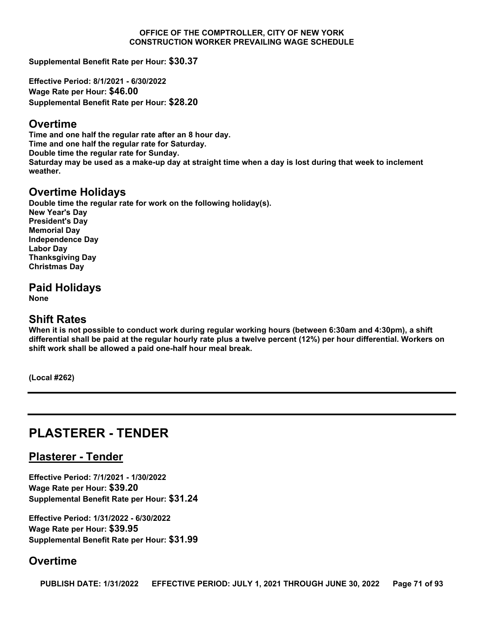**Supplemental Benefit Rate per Hour: \$30.37**

**Effective Period: 8/1/2021 - 6/30/2022 Wage Rate per Hour: \$46.00 Supplemental Benefit Rate per Hour: \$28.20**

#### **Overtime**

**Time and one half the regular rate after an 8 hour day. Time and one half the regular rate for Saturday. Double time the regular rate for Sunday. Saturday may be used as a make-up day at straight time when a day is lost during that week to inclement weather.**

# **Overtime Holidays**

**Double time the regular rate for work on the following holiday(s). New Year's Day President's Day Memorial Day Independence Day Labor Day Thanksgiving Day Christmas Day**

**Paid Holidays**

**None**

### **Shift Rates**

**When it is not possible to conduct work during regular working hours (between 6:30am and 4:30pm), a shift differential shall be paid at the regular hourly rate plus a twelve percent (12%) per hour differential. Workers on shift work shall be allowed a paid one-half hour meal break.**

**(Local #262)**

# **PLASTERER - TENDER**

### **Plasterer - Tender**

**Effective Period: 7/1/2021 - 1/30/2022 Wage Rate per Hour: \$39.20 Supplemental Benefit Rate per Hour: \$31.24**

**Effective Period: 1/31/2022 - 6/30/2022 Wage Rate per Hour: \$39.95 Supplemental Benefit Rate per Hour: \$31.99**

### **Overtime**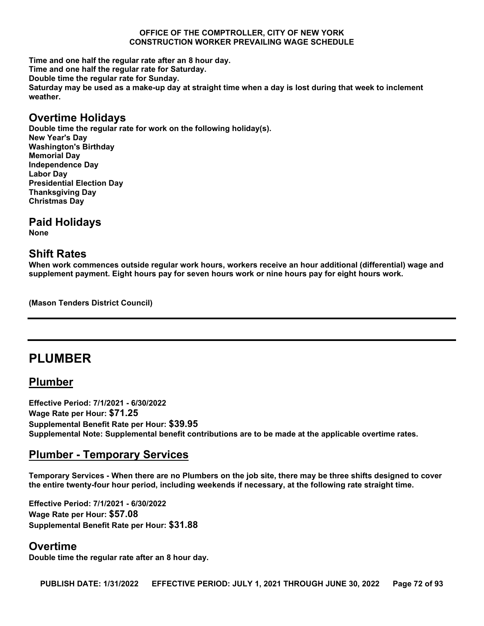**Time and one half the regular rate after an 8 hour day. Time and one half the regular rate for Saturday. Double time the regular rate for Sunday. Saturday may be used as a make-up day at straight time when a day is lost during that week to inclement weather.**

#### **Overtime Holidays**

**Double time the regular rate for work on the following holiday(s). New Year's Day Washington's Birthday Memorial Day Independence Day Labor Day Presidential Election Day Thanksgiving Day Christmas Day**

#### **Paid Holidays**

**None**

### **Shift Rates**

**When work commences outside regular work hours, workers receive an hour additional (differential) wage and supplement payment. Eight hours pay for seven hours work or nine hours pay for eight hours work.**

**(Mason Tenders District Council)**

# **PLUMBER**

### **Plumber**

**Effective Period: 7/1/2021 - 6/30/2022 Wage Rate per Hour: \$71.25 Supplemental Benefit Rate per Hour: \$39.95 Supplemental Note: Supplemental benefit contributions are to be made at the applicable overtime rates.**

# **Plumber - Temporary Services**

**Temporary Services - When there are no Plumbers on the job site, there may be three shifts designed to cover the entire twenty-four hour period, including weekends if necessary, at the following rate straight time.**

**Effective Period: 7/1/2021 - 6/30/2022 Wage Rate per Hour: \$57.08 Supplemental Benefit Rate per Hour: \$31.88**

### **Overtime**

**Double time the regular rate after an 8 hour day.**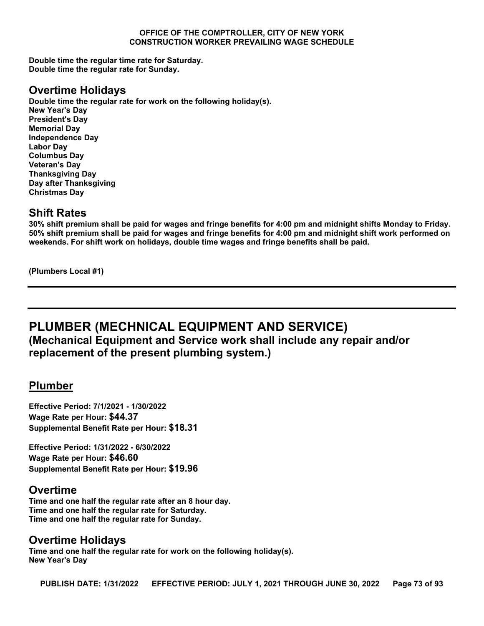**Double time the regular time rate for Saturday. Double time the regular rate for Sunday.**

### **Overtime Holidays**

**Double time the regular rate for work on the following holiday(s). New Year's Day President's Day Memorial Day Independence Day Labor Day Columbus Day Veteran's Day Thanksgiving Day Day after Thanksgiving Christmas Day**

### **Shift Rates**

**30% shift premium shall be paid for wages and fringe benefits for 4:00 pm and midnight shifts Monday to Friday. 50% shift premium shall be paid for wages and fringe benefits for 4:00 pm and midnight shift work performed on weekends. For shift work on holidays, double time wages and fringe benefits shall be paid.**

**(Plumbers Local #1)**

## **PLUMBER (MECHNICAL EQUIPMENT AND SERVICE) (Mechanical Equipment and Service work shall include any repair and/or replacement of the present plumbing system.)**

### **Plumber**

**Effective Period: 7/1/2021 - 1/30/2022 Wage Rate per Hour: \$44.37 Supplemental Benefit Rate per Hour: \$18.31**

**Effective Period: 1/31/2022 - 6/30/2022 Wage Rate per Hour: \$46.60 Supplemental Benefit Rate per Hour: \$19.96**

### **Overtime**

**Time and one half the regular rate after an 8 hour day. Time and one half the regular rate for Saturday. Time and one half the regular rate for Sunday.**

# **Overtime Holidays**

**Time and one half the regular rate for work on the following holiday(s). New Year's Day**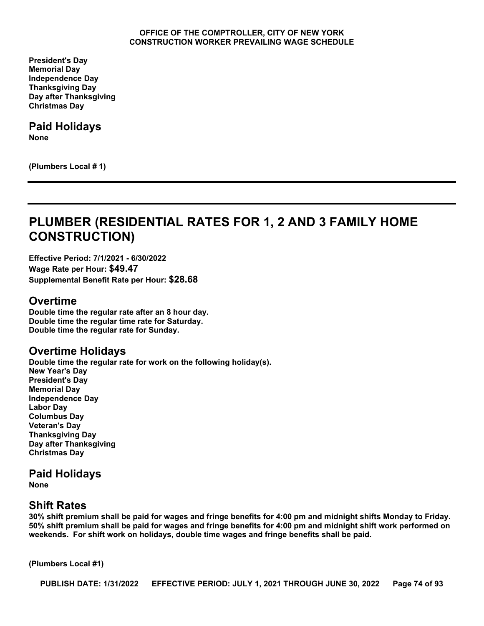**President's Day Memorial Day Independence Day Thanksgiving Day Day after Thanksgiving Christmas Day**

# **Paid Holidays**

**None**

**(Plumbers Local # 1)**

# **PLUMBER (RESIDENTIAL RATES FOR 1, 2 AND 3 FAMILY HOME CONSTRUCTION)**

**Effective Period: 7/1/2021 - 6/30/2022 Wage Rate per Hour: \$49.47 Supplemental Benefit Rate per Hour: \$28.68**

#### **Overtime**

**Double time the regular rate after an 8 hour day. Double time the regular time rate for Saturday. Double time the regular rate for Sunday.**

### **Overtime Holidays**

**Double time the regular rate for work on the following holiday(s). New Year's Day President's Day Memorial Day Independence Day Labor Day Columbus Day Veteran's Day Thanksgiving Day Day after Thanksgiving Christmas Day**

### **Paid Holidays**

**None**

### **Shift Rates**

**30% shift premium shall be paid for wages and fringe benefits for 4:00 pm and midnight shifts Monday to Friday. 50% shift premium shall be paid for wages and fringe benefits for 4:00 pm and midnight shift work performed on weekends. For shift work on holidays, double time wages and fringe benefits shall be paid.**

**(Plumbers Local #1)**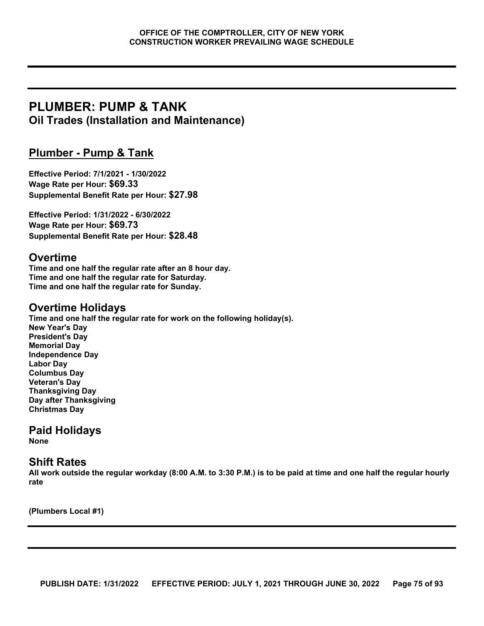## **PLUMBER: PUMP & TANK Oil Trades (Installation and Maintenance)**

### **Plumber - Pump & Tank**

**Effective Period: 7/1/2021 - 1/30/2022 Wage Rate per Hour: \$69.33 Supplemental Benefit Rate per Hour: \$27.98**

**Effective Period: 1/31/2022 - 6/30/2022 Wage Rate per Hour: \$69.73 Supplemental Benefit Rate per Hour: \$28.48**

### **Overtime**

**Time and one half the regular rate after an 8 hour day. Time and one half the regular rate for Saturday. Time and one half the regular rate for Sunday.**

### **Overtime Holidays**

**Time and one half the regular rate for work on the following holiday(s). New Year's Day President's Day Memorial Day Independence Day Labor Day Columbus Day Veteran's Day Thanksgiving Day Day after Thanksgiving Christmas Day**

### **Paid Holidays**

**None**

### **Shift Rates**

**All work outside the regular workday (8:00 A.M. to 3:30 P.M.) is to be paid at time and one half the regular hourly rate**

**(Plumbers Local #1)**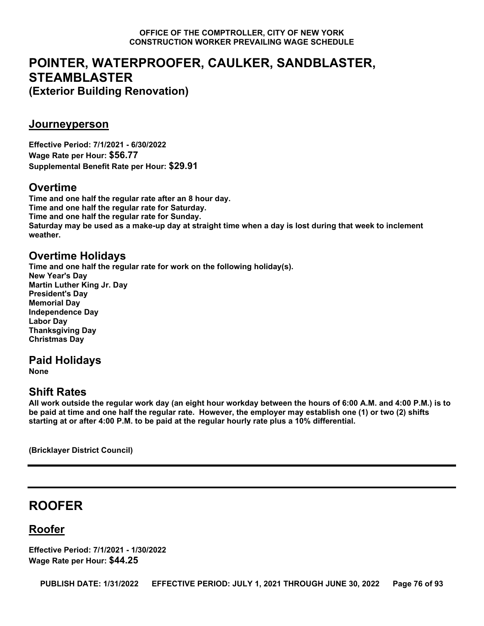# **POINTER, WATERPROOFER, CAULKER, SANDBLASTER, STEAMBLASTER (Exterior Building Renovation)**

### **Journeyperson**

**Effective Period: 7/1/2021 - 6/30/2022 Wage Rate per Hour: \$56.77 Supplemental Benefit Rate per Hour: \$29.91**

## **Overtime**

**Time and one half the regular rate after an 8 hour day. Time and one half the regular rate for Saturday. Time and one half the regular rate for Sunday. Saturday may be used as a make-up day at straight time when a day is lost during that week to inclement weather.**

### **Overtime Holidays**

**Time and one half the regular rate for work on the following holiday(s). New Year's Day Martin Luther King Jr. Day President's Day Memorial Day Independence Day Labor Day Thanksgiving Day Christmas Day**

### **Paid Holidays**

**None**

### **Shift Rates**

**All work outside the regular work day (an eight hour workday between the hours of 6:00 A.M. and 4:00 P.M.) is to be paid at time and one half the regular rate. However, the employer may establish one (1) or two (2) shifts starting at or after 4:00 P.M. to be paid at the regular hourly rate plus a 10% differential.**

**(Bricklayer District Council)**

# **ROOFER**

## **Roofer**

**Effective Period: 7/1/2021 - 1/30/2022 Wage Rate per Hour: \$44.25**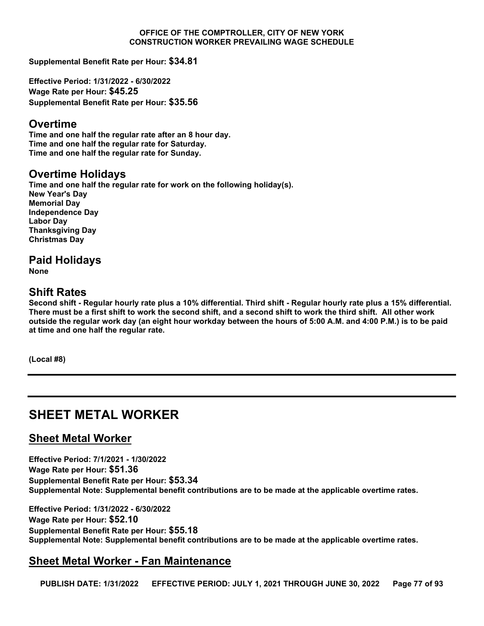**Supplemental Benefit Rate per Hour: \$34.81**

**Effective Period: 1/31/2022 - 6/30/2022 Wage Rate per Hour: \$45.25 Supplemental Benefit Rate per Hour: \$35.56**

#### **Overtime**

**Time and one half the regular rate after an 8 hour day. Time and one half the regular rate for Saturday. Time and one half the regular rate for Sunday.**

### **Overtime Holidays**

**Time and one half the regular rate for work on the following holiday(s). New Year's Day Memorial Day Independence Day Labor Day Thanksgiving Day Christmas Day**

### **Paid Holidays**

**None**

### **Shift Rates**

**Second shift - Regular hourly rate plus a 10% differential. Third shift - Regular hourly rate plus a 15% differential. There must be a first shift to work the second shift, and a second shift to work the third shift. All other work outside the regular work day (an eight hour workday between the hours of 5:00 A.M. and 4:00 P.M.) is to be paid at time and one half the regular rate.**

**(Local #8)**

# **SHEET METAL WORKER**

### **Sheet Metal Worker**

**Effective Period: 7/1/2021 - 1/30/2022 Wage Rate per Hour: \$51.36 Supplemental Benefit Rate per Hour: \$53.34 Supplemental Note: Supplemental benefit contributions are to be made at the applicable overtime rates.**

**Effective Period: 1/31/2022 - 6/30/2022 Wage Rate per Hour: \$52.10 Supplemental Benefit Rate per Hour: \$55.18 Supplemental Note: Supplemental benefit contributions are to be made at the applicable overtime rates.**

### **Sheet Metal Worker - Fan Maintenance**

**PUBLISH DATE: 1/31/2022 EFFECTIVE PERIOD: JULY 1, 2021 THROUGH JUNE 30, 2022 Page 77 of 93**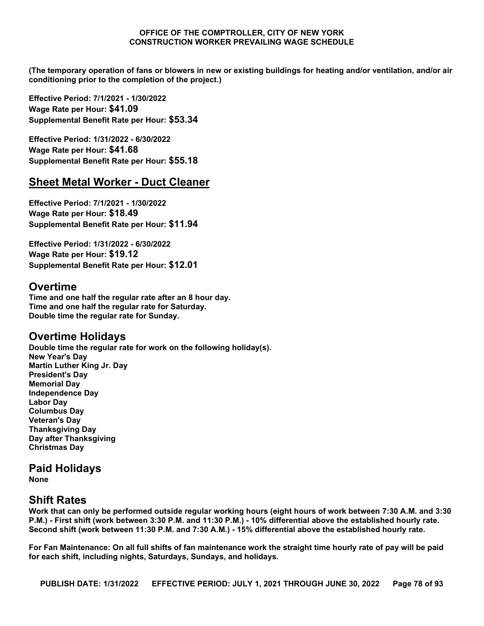**(The temporary operation of fans or blowers in new or existing buildings for heating and/or ventilation, and/or air conditioning prior to the completion of the project.)**

**Effective Period: 7/1/2021 - 1/30/2022 Wage Rate per Hour: \$41.09 Supplemental Benefit Rate per Hour: \$53.34**

**Effective Period: 1/31/2022 - 6/30/2022 Wage Rate per Hour: \$41.68 Supplemental Benefit Rate per Hour: \$55.18**

### **Sheet Metal Worker - Duct Cleaner**

**Effective Period: 7/1/2021 - 1/30/2022 Wage Rate per Hour: \$18.49 Supplemental Benefit Rate per Hour: \$11.94**

**Effective Period: 1/31/2022 - 6/30/2022 Wage Rate per Hour: \$19.12 Supplemental Benefit Rate per Hour: \$12.01**

### **Overtime**

**Time and one half the regular rate after an 8 hour day. Time and one half the regular rate for Saturday. Double time the regular rate for Sunday.**

### **Overtime Holidays**

**Double time the regular rate for work on the following holiday(s). New Year's Day Martin Luther King Jr. Day President's Day Memorial Day Independence Day Labor Day Columbus Day Veteran's Day Thanksgiving Day Day after Thanksgiving Christmas Day**

## **Paid Holidays**

**None**

### **Shift Rates**

**Work that can only be performed outside regular working hours (eight hours of work between 7:30 A.M. and 3:30 P.M.) - First shift (work between 3:30 P.M. and 11:30 P.M.) - 10% differential above the established hourly rate. Second shift (work between 11:30 P.M. and 7:30 A.M.) - 15% differential above the established hourly rate.** 

**For Fan Maintenance: On all full shifts of fan maintenance work the straight time hourly rate of pay will be paid for each shift, including nights, Saturdays, Sundays, and holidays.**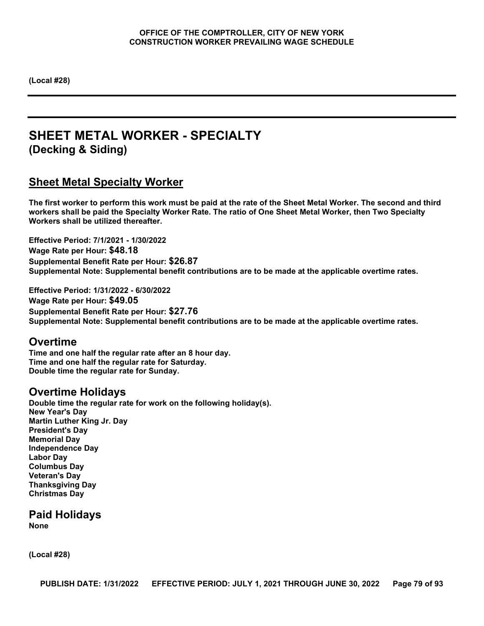**(Local #28)**

# **SHEET METAL WORKER - SPECIALTY (Decking & Siding)**

### **Sheet Metal Specialty Worker**

**The first worker to perform this work must be paid at the rate of the Sheet Metal Worker. The second and third workers shall be paid the Specialty Worker Rate. The ratio of One Sheet Metal Worker, then Two Specialty Workers shall be utilized thereafter.**

**Effective Period: 7/1/2021 - 1/30/2022 Wage Rate per Hour: \$48.18 Supplemental Benefit Rate per Hour: \$26.87 Supplemental Note: Supplemental benefit contributions are to be made at the applicable overtime rates.**

**Effective Period: 1/31/2022 - 6/30/2022 Wage Rate per Hour: \$49.05 Supplemental Benefit Rate per Hour: \$27.76 Supplemental Note: Supplemental benefit contributions are to be made at the applicable overtime rates.**

### **Overtime**

**Time and one half the regular rate after an 8 hour day. Time and one half the regular rate for Saturday. Double time the regular rate for Sunday.**

### **Overtime Holidays**

**Double time the regular rate for work on the following holiday(s). New Year's Day Martin Luther King Jr. Day President's Day Memorial Day Independence Day Labor Day Columbus Day Veteran's Day Thanksgiving Day Christmas Day**

**Paid Holidays None**

**(Local #28)**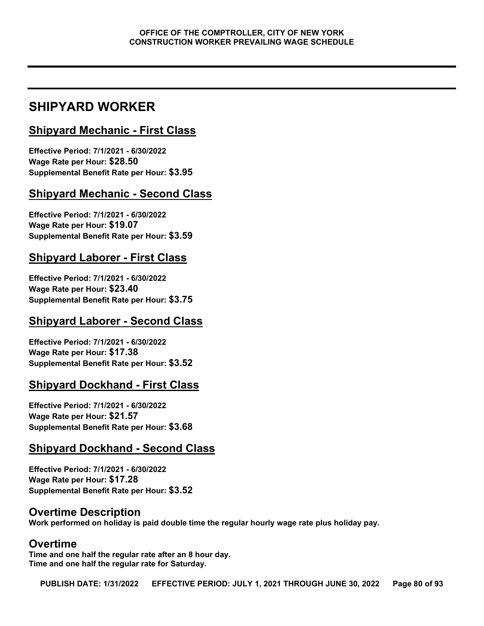# **SHIPYARD WORKER**

## **Shipyard Mechanic - First Class**

**Effective Period: 7/1/2021 - 6/30/2022 Wage Rate per Hour: \$28.50 Supplemental Benefit Rate per Hour: \$3.95**

## **Shipyard Mechanic - Second Class**

**Effective Period: 7/1/2021 - 6/30/2022 Wage Rate per Hour: \$19.07 Supplemental Benefit Rate per Hour: \$3.59**

### **Shipyard Laborer - First Class**

**Effective Period: 7/1/2021 - 6/30/2022 Wage Rate per Hour: \$23.40 Supplemental Benefit Rate per Hour: \$3.75**

### **Shipyard Laborer - Second Class**

**Effective Period: 7/1/2021 - 6/30/2022 Wage Rate per Hour: \$17.38 Supplemental Benefit Rate per Hour: \$3.52**

### **Shipyard Dockhand - First Class**

**Effective Period: 7/1/2021 - 6/30/2022 Wage Rate per Hour: \$21.57 Supplemental Benefit Rate per Hour: \$3.68**

### **Shipyard Dockhand - Second Class**

**Effective Period: 7/1/2021 - 6/30/2022 Wage Rate per Hour: \$17.28 Supplemental Benefit Rate per Hour: \$3.52**

### **Overtime Description**

**Work performed on holiday is paid double time the regular hourly wage rate plus holiday pay.**

### **Overtime**

**Time and one half the regular rate after an 8 hour day. Time and one half the regular rate for Saturday.**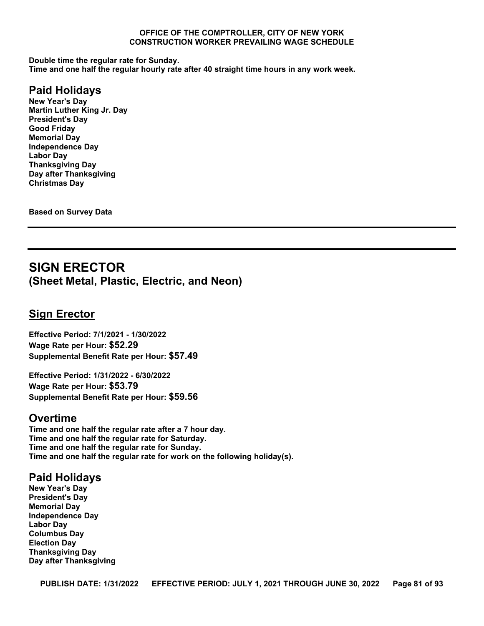**Double time the regular rate for Sunday.**

**Time and one half the regular hourly rate after 40 straight time hours in any work week.**

### **Paid Holidays**

**New Year's Day Martin Luther King Jr. Day President's Day Good Friday Memorial Day Independence Day Labor Day Thanksgiving Day Day after Thanksgiving Christmas Day**

**Based on Survey Data**

## **SIGN ERECTOR (Sheet Metal, Plastic, Electric, and Neon)**

### **Sign Erector**

**Effective Period: 7/1/2021 - 1/30/2022 Wage Rate per Hour: \$52.29 Supplemental Benefit Rate per Hour: \$57.49**

**Effective Period: 1/31/2022 - 6/30/2022 Wage Rate per Hour: \$53.79 Supplemental Benefit Rate per Hour: \$59.56**

#### **Overtime**

**Time and one half the regular rate after a 7 hour day. Time and one half the regular rate for Saturday. Time and one half the regular rate for Sunday. Time and one half the regular rate for work on the following holiday(s).**

### **Paid Holidays**

**New Year's Day President's Day Memorial Day Independence Day Labor Day Columbus Day Election Day Thanksgiving Day Day after Thanksgiving**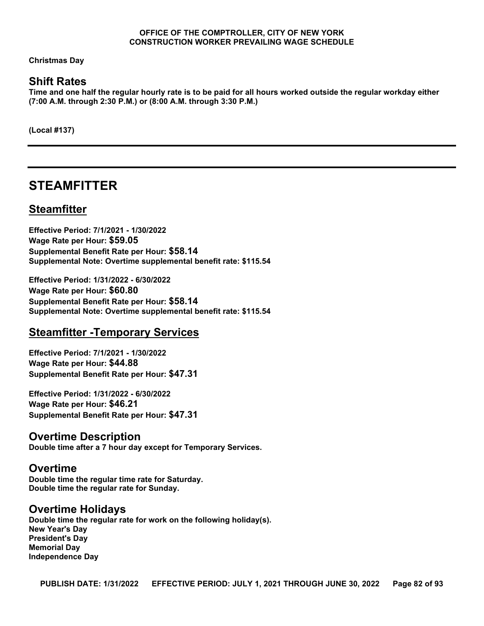**Christmas Day**

### **Shift Rates**

**Time and one half the regular hourly rate is to be paid for all hours worked outside the regular workday either (7:00 A.M. through 2:30 P.M.) or (8:00 A.M. through 3:30 P.M.)**

**(Local #137)**

## **STEAMFITTER**

### **Steamfitter**

**Effective Period: 7/1/2021 - 1/30/2022 Wage Rate per Hour: \$59.05 Supplemental Benefit Rate per Hour: \$58.14 Supplemental Note: Overtime supplemental benefit rate: \$115.54**

**Effective Period: 1/31/2022 - 6/30/2022 Wage Rate per Hour: \$60.80 Supplemental Benefit Rate per Hour: \$58.14 Supplemental Note: Overtime supplemental benefit rate: \$115.54**

### **Steamfitter -Temporary Services**

**Effective Period: 7/1/2021 - 1/30/2022 Wage Rate per Hour: \$44.88 Supplemental Benefit Rate per Hour: \$47.31**

**Effective Period: 1/31/2022 - 6/30/2022 Wage Rate per Hour: \$46.21 Supplemental Benefit Rate per Hour: \$47.31**

### **Overtime Description**

**Double time after a 7 hour day except for Temporary Services.**

#### **Overtime**

**Double time the regular time rate for Saturday. Double time the regular rate for Sunday.**

#### **Overtime Holidays**

**Double time the regular rate for work on the following holiday(s). New Year's Day President's Day Memorial Day Independence Day**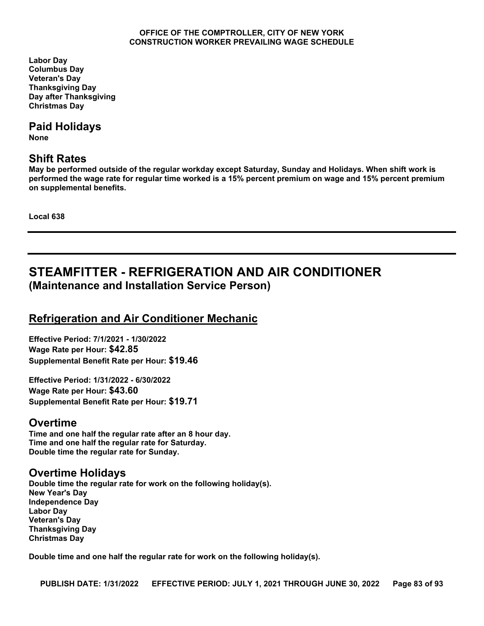**Labor Day Columbus Day Veteran's Day Thanksgiving Day Day after Thanksgiving Christmas Day**

### **Paid Holidays**

**None**

### **Shift Rates**

**May be performed outside of the regular workday except Saturday, Sunday and Holidays. When shift work is performed the wage rate for regular time worked is a 15% percent premium on wage and 15% percent premium on supplemental benefits.**

**Local 638**

# **STEAMFITTER - REFRIGERATION AND AIR CONDITIONER (Maintenance and Installation Service Person)**

## **Refrigeration and Air Conditioner Mechanic**

**Effective Period: 7/1/2021 - 1/30/2022 Wage Rate per Hour: \$42.85 Supplemental Benefit Rate per Hour: \$19.46**

**Effective Period: 1/31/2022 - 6/30/2022 Wage Rate per Hour: \$43.60 Supplemental Benefit Rate per Hour: \$19.71**

## **Overtime**

**Time and one half the regular rate after an 8 hour day. Time and one half the regular rate for Saturday. Double time the regular rate for Sunday.**

## **Overtime Holidays**

**Double time the regular rate for work on the following holiday(s). New Year's Day Independence Day Labor Day Veteran's Day Thanksgiving Day Christmas Day**

**Double time and one half the regular rate for work on the following holiday(s).**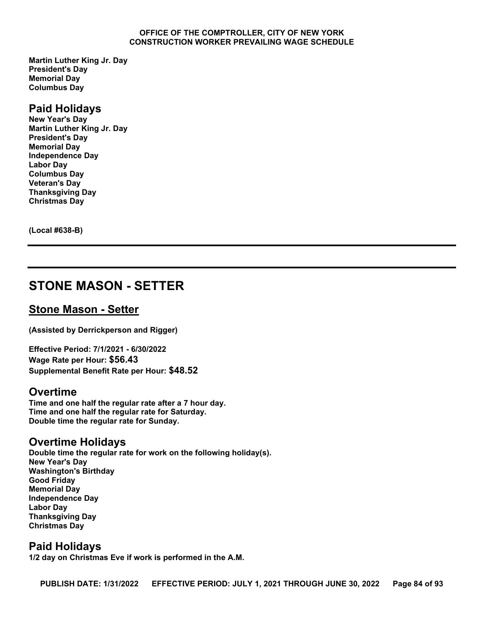**Martin Luther King Jr. Day President's Day Memorial Day Columbus Day**

#### **Paid Holidays**

**New Year's Day Martin Luther King Jr. Day President's Day Memorial Day Independence Day Labor Day Columbus Day Veteran's Day Thanksgiving Day Christmas Day**

**(Local #638-B)**

## **STONE MASON - SETTER**

#### **Stone Mason - Setter**

**(Assisted by Derrickperson and Rigger)**

**Effective Period: 7/1/2021 - 6/30/2022 Wage Rate per Hour: \$56.43 Supplemental Benefit Rate per Hour: \$48.52**

#### **Overtime**

**Time and one half the regular rate after a 7 hour day. Time and one half the regular rate for Saturday. Double time the regular rate for Sunday.**

#### **Overtime Holidays**

**Double time the regular rate for work on the following holiday(s). New Year's Day Washington's Birthday Good Friday Memorial Day Independence Day Labor Day Thanksgiving Day Christmas Day**

### **Paid Holidays**

**1/2 day on Christmas Eve if work is performed in the A.M.**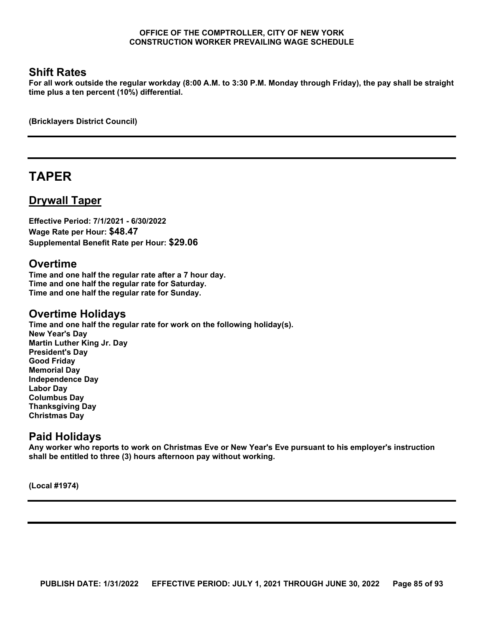### **Shift Rates**

**For all work outside the regular workday (8:00 A.M. to 3:30 P.M. Monday through Friday), the pay shall be straight time plus a ten percent (10%) differential.**

**(Bricklayers District Council)**

# **TAPER**

### **Drywall Taper**

**Effective Period: 7/1/2021 - 6/30/2022 Wage Rate per Hour: \$48.47 Supplemental Benefit Rate per Hour: \$29.06**

#### **Overtime**

**Time and one half the regular rate after a 7 hour day. Time and one half the regular rate for Saturday. Time and one half the regular rate for Sunday.**

#### **Overtime Holidays**

**Time and one half the regular rate for work on the following holiday(s). New Year's Day Martin Luther King Jr. Day President's Day Good Friday Memorial Day Independence Day Labor Day Columbus Day Thanksgiving Day Christmas Day**

### **Paid Holidays**

**Any worker who reports to work on Christmas Eve or New Year's Eve pursuant to his employer's instruction shall be entitled to three (3) hours afternoon pay without working.**

**(Local #1974)**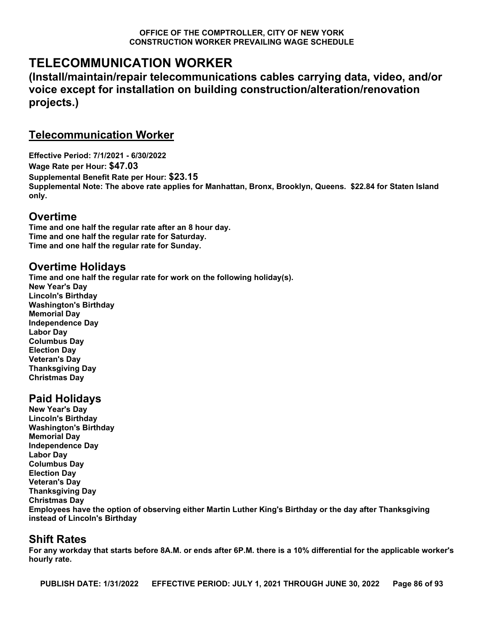# **TELECOMMUNICATION WORKER**

**(Install/maintain/repair telecommunications cables carrying data, video, and/or voice except for installation on building construction/alteration/renovation projects.)**

### **Telecommunication Worker**

**Effective Period: 7/1/2021 - 6/30/2022 Wage Rate per Hour: \$47.03 Supplemental Benefit Rate per Hour: \$23.15 Supplemental Note: The above rate applies for Manhattan, Bronx, Brooklyn, Queens. \$22.84 for Staten Island only.**

### **Overtime**

**Time and one half the regular rate after an 8 hour day. Time and one half the regular rate for Saturday. Time and one half the regular rate for Sunday.**

## **Overtime Holidays**

**Time and one half the regular rate for work on the following holiday(s). New Year's Day Lincoln's Birthday Washington's Birthday Memorial Day Independence Day Labor Day Columbus Day Election Day Veteran's Day Thanksgiving Day Christmas Day**

## **Paid Holidays**

**New Year's Day Lincoln's Birthday Washington's Birthday Memorial Day Independence Day Labor Day Columbus Day Election Day Veteran's Day Thanksgiving Day Christmas Day Employees have the option of observing either Martin Luther King's Birthday or the day after Thanksgiving instead of Lincoln's Birthday**

## **Shift Rates**

**For any workday that starts before 8A.M. or ends after 6P.M. there is a 10% differential for the applicable worker's hourly rate.**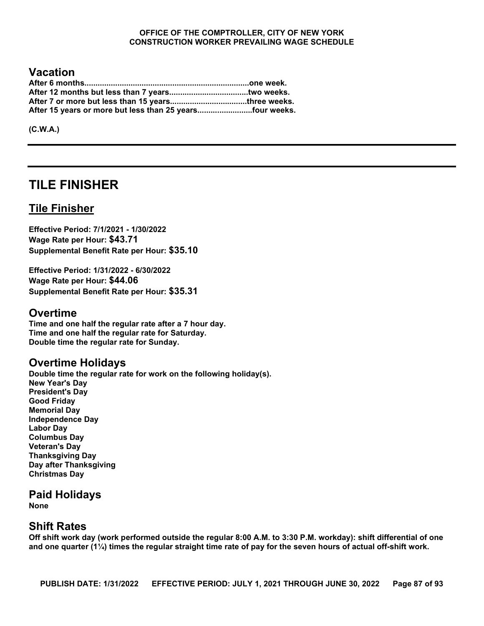### **Vacation**

| After 15 years or more but less than 25 yearsfour weeks. |  |
|----------------------------------------------------------|--|

**(C.W.A.)**

# **TILE FINISHER**

### **Tile Finisher**

**Effective Period: 7/1/2021 - 1/30/2022 Wage Rate per Hour: \$43.71 Supplemental Benefit Rate per Hour: \$35.10**

**Effective Period: 1/31/2022 - 6/30/2022 Wage Rate per Hour: \$44.06 Supplemental Benefit Rate per Hour: \$35.31**

#### **Overtime**

**Time and one half the regular rate after a 7 hour day. Time and one half the regular rate for Saturday. Double time the regular rate for Sunday.**

### **Overtime Holidays**

**Double time the regular rate for work on the following holiday(s). New Year's Day President's Day Good Friday Memorial Day Independence Day Labor Day Columbus Day Veteran's Day Thanksgiving Day Day after Thanksgiving Christmas Day**

### **Paid Holidays**

**None**

### **Shift Rates**

**Off shift work day (work performed outside the regular 8:00 A.M. to 3:30 P.M. workday): shift differential of one and one quarter (1¼) times the regular straight time rate of pay for the seven hours of actual off-shift work.**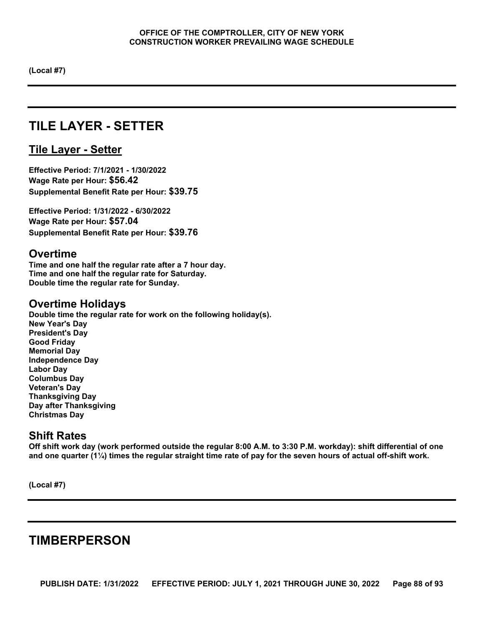**(Local #7)**

# **TILE LAYER - SETTER**

### **Tile Layer - Setter**

**Effective Period: 7/1/2021 - 1/30/2022 Wage Rate per Hour: \$56.42 Supplemental Benefit Rate per Hour: \$39.75**

**Effective Period: 1/31/2022 - 6/30/2022 Wage Rate per Hour: \$57.04 Supplemental Benefit Rate per Hour: \$39.76**

### **Overtime**

**Time and one half the regular rate after a 7 hour day. Time and one half the regular rate for Saturday. Double time the regular rate for Sunday.**

### **Overtime Holidays**

**Double time the regular rate for work on the following holiday(s). New Year's Day President's Day Good Friday Memorial Day Independence Day Labor Day Columbus Day Veteran's Day Thanksgiving Day Day after Thanksgiving Christmas Day**

### **Shift Rates**

**Off shift work day (work performed outside the regular 8:00 A.M. to 3:30 P.M. workday): shift differential of one and one quarter (1¼) times the regular straight time rate of pay for the seven hours of actual off-shift work.**

**(Local #7)**

# **TIMBERPERSON**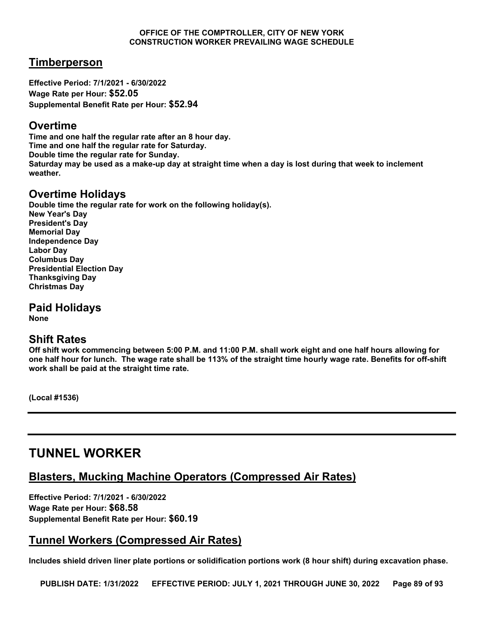### **Timberperson**

**Effective Period: 7/1/2021 - 6/30/2022 Wage Rate per Hour: \$52.05 Supplemental Benefit Rate per Hour: \$52.94**

### **Overtime**

**Time and one half the regular rate after an 8 hour day. Time and one half the regular rate for Saturday. Double time the regular rate for Sunday. Saturday may be used as a make-up day at straight time when a day is lost during that week to inclement weather.**

### **Overtime Holidays**

**Double time the regular rate for work on the following holiday(s). New Year's Day President's Day Memorial Day Independence Day Labor Day Columbus Day Presidential Election Day Thanksgiving Day Christmas Day**

**Paid Holidays None**

**Shift Rates**

**Off shift work commencing between 5:00 P.M. and 11:00 P.M. shall work eight and one half hours allowing for one half hour for lunch. The wage rate shall be 113% of the straight time hourly wage rate. Benefits for off-shift work shall be paid at the straight time rate.**

**(Local #1536)**

# **TUNNEL WORKER**

### **Blasters, Mucking Machine Operators (Compressed Air Rates)**

**Effective Period: 7/1/2021 - 6/30/2022 Wage Rate per Hour: \$68.58 Supplemental Benefit Rate per Hour: \$60.19**

## **Tunnel Workers (Compressed Air Rates)**

**Includes shield driven liner plate portions or solidification portions work (8 hour shift) during excavation phase.**

**PUBLISH DATE: 1/31/2022 EFFECTIVE PERIOD: JULY 1, 2021 THROUGH JUNE 30, 2022 Page 89 of 93**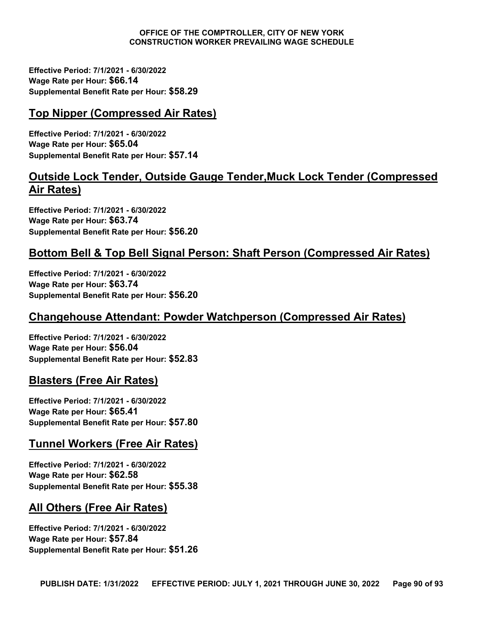**Effective Period: 7/1/2021 - 6/30/2022 Wage Rate per Hour: \$66.14 Supplemental Benefit Rate per Hour: \$58.29**

## **Top Nipper (Compressed Air Rates)**

**Effective Period: 7/1/2021 - 6/30/2022 Wage Rate per Hour: \$65.04 Supplemental Benefit Rate per Hour: \$57.14**

### **Outside Lock Tender, Outside Gauge Tender,Muck Lock Tender (Compressed Air Rates)**

**Effective Period: 7/1/2021 - 6/30/2022 Wage Rate per Hour: \$63.74 Supplemental Benefit Rate per Hour: \$56.20**

## **Bottom Bell & Top Bell Signal Person: Shaft Person (Compressed Air Rates)**

**Effective Period: 7/1/2021 - 6/30/2022 Wage Rate per Hour: \$63.74 Supplemental Benefit Rate per Hour: \$56.20**

### **Changehouse Attendant: Powder Watchperson (Compressed Air Rates)**

**Effective Period: 7/1/2021 - 6/30/2022 Wage Rate per Hour: \$56.04 Supplemental Benefit Rate per Hour: \$52.83**

### **Blasters (Free Air Rates)**

**Effective Period: 7/1/2021 - 6/30/2022 Wage Rate per Hour: \$65.41 Supplemental Benefit Rate per Hour: \$57.80**

### **Tunnel Workers (Free Air Rates)**

**Effective Period: 7/1/2021 - 6/30/2022 Wage Rate per Hour: \$62.58 Supplemental Benefit Rate per Hour: \$55.38**

## **All Others (Free Air Rates)**

**Effective Period: 7/1/2021 - 6/30/2022 Wage Rate per Hour: \$57.84 Supplemental Benefit Rate per Hour: \$51.26**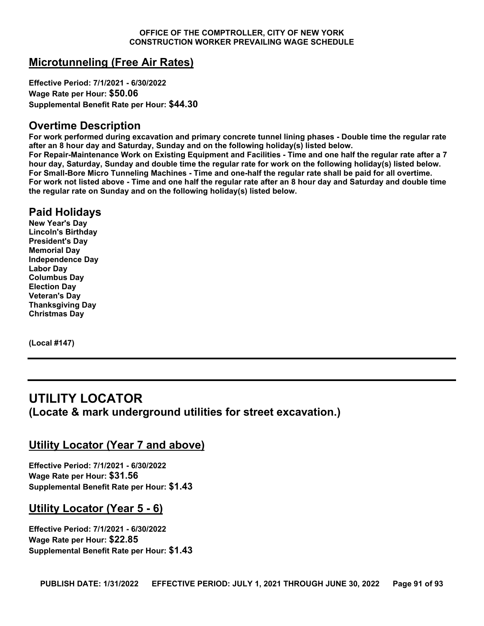### **Microtunneling (Free Air Rates)**

**Effective Period: 7/1/2021 - 6/30/2022 Wage Rate per Hour: \$50.06 Supplemental Benefit Rate per Hour: \$44.30**

### **Overtime Description**

**For work performed during excavation and primary concrete tunnel lining phases - Double time the regular rate after an 8 hour day and Saturday, Sunday and on the following holiday(s) listed below.** 

**For Repair-Maintenance Work on Existing Equipment and Facilities - Time and one half the regular rate after a 7 hour day, Saturday, Sunday and double time the regular rate for work on the following holiday(s) listed below. For Small-Bore Micro Tunneling Machines - Time and one-half the regular rate shall be paid for all overtime. For work not listed above - Time and one half the regular rate after an 8 hour day and Saturday and double time the regular rate on Sunday and on the following holiday(s) listed below.**

## **Paid Holidays**

**New Year's Day Lincoln's Birthday President's Day Memorial Day Independence Day Labor Day Columbus Day Election Day Veteran's Day Thanksgiving Day Christmas Day**

**(Local #147)**

## **UTILITY LOCATOR (Locate & mark underground utilities for street excavation.)**

### **Utility Locator (Year 7 and above)**

**Effective Period: 7/1/2021 - 6/30/2022 Wage Rate per Hour: \$31.56 Supplemental Benefit Rate per Hour: \$1.43**

### **Utility Locator (Year 5 - 6)**

**Effective Period: 7/1/2021 - 6/30/2022 Wage Rate per Hour: \$22.85 Supplemental Benefit Rate per Hour: \$1.43**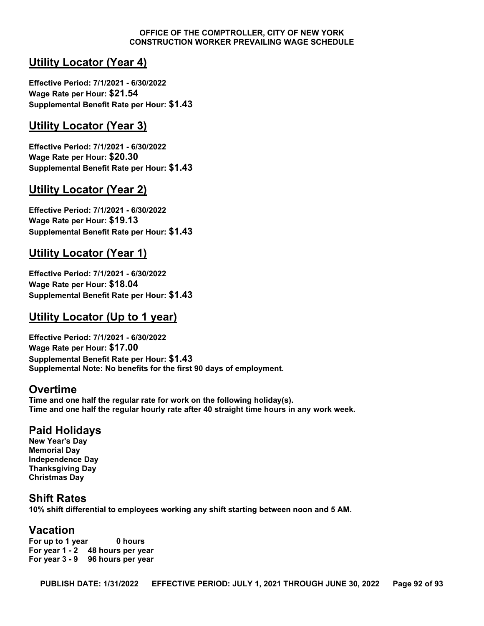### **Utility Locator (Year 4)**

**Effective Period: 7/1/2021 - 6/30/2022 Wage Rate per Hour: \$21.54 Supplemental Benefit Rate per Hour: \$1.43**

### **Utility Locator (Year 3)**

**Effective Period: 7/1/2021 - 6/30/2022 Wage Rate per Hour: \$20.30 Supplemental Benefit Rate per Hour: \$1.43**

### **Utility Locator (Year 2)**

**Effective Period: 7/1/2021 - 6/30/2022 Wage Rate per Hour: \$19.13 Supplemental Benefit Rate per Hour: \$1.43**

## **Utility Locator (Year 1)**

**Effective Period: 7/1/2021 - 6/30/2022 Wage Rate per Hour: \$18.04 Supplemental Benefit Rate per Hour: \$1.43**

## **Utility Locator (Up to 1 year)**

**Effective Period: 7/1/2021 - 6/30/2022 Wage Rate per Hour: \$17.00 Supplemental Benefit Rate per Hour: \$1.43 Supplemental Note: No benefits for the first 90 days of employment.**

### **Overtime**

**Time and one half the regular rate for work on the following holiday(s). Time and one half the regular hourly rate after 40 straight time hours in any work week.**

### **Paid Holidays**

**New Year's Day Memorial Day Independence Day Thanksgiving Day Christmas Day**

### **Shift Rates**

**10% shift differential to employees working any shift starting between noon and 5 AM.**

### **Vacation**

**For up to 1 year 0 hours For year 1 - 2 48 hours per year For year 3 - 9 96 hours per year**